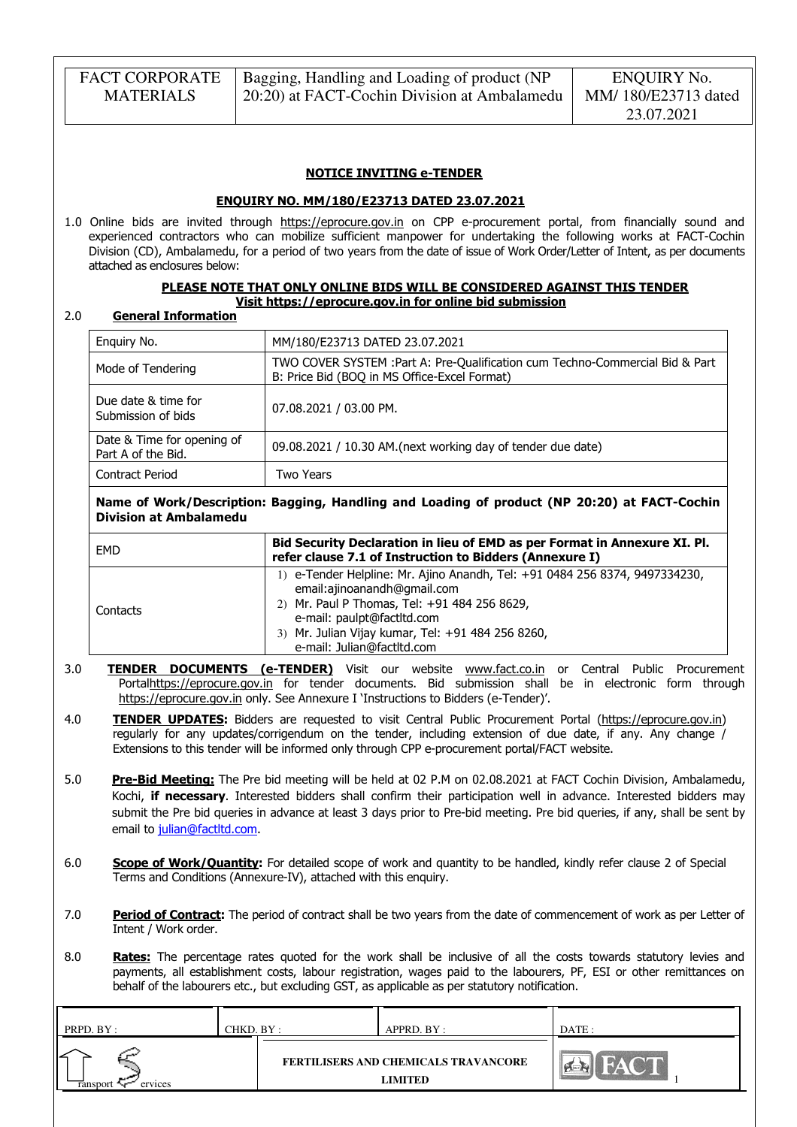| <b>FACT CORPORATE</b> | Bagging, Handling and Loading of product (NP | ENQUIRY No.         |
|-----------------------|----------------------------------------------|---------------------|
| <b>MATERIALS</b>      | 20:20) at FACT-Cochin Division at Ambalamedu | MM/180/E23713 dated |
|                       |                                              | 23.07.2021          |

#### NOTICE INVITING e-TENDER

#### ENQUIRY NO. MM/180/E23713 DATED 23.07.2021

1.0 Online bids are invited through https://eprocure.gov.in on CPP e-procurement portal, from financially sound and experienced contractors who can mobilize sufficient manpower for undertaking the following works at FACT-Cochin Division (CD), Ambalamedu, for a period of two years from the date of issue of Work Order/Letter of Intent, as per documents attached as enclosures below:

#### PLEASE NOTE THAT ONLY ONLINE BIDS WILL BE CONSIDERED AGAINST THIS TENDER Visit https://eprocure.gov.in for online bid submission

#### 2.0 General Information

| Enquiry No.                                      | MM/180/E23713 DATED 23.07.2021                                                                                                |
|--------------------------------------------------|-------------------------------------------------------------------------------------------------------------------------------|
| Mode of Tendering                                | TWO COVER SYSTEM : Part A: Pre-Qualification cum Techno-Commercial Bid & Part<br>B: Price Bid (BOQ in MS Office-Excel Format) |
| Due date & time for<br>Submission of bids        | 07.08.2021 / 03.00 PM.                                                                                                        |
| Date & Time for opening of<br>Part A of the Bid. | 09.08.2021 / 10.30 AM. (next working day of tender due date)                                                                  |
| <b>Contract Period</b>                           | Two Years                                                                                                                     |

### Name of Work/Description: Bagging, Handling and Loading of product (NP 20:20) at FACT-Cochin Division at Ambalamedu

| EMD      | Bid Security Declaration in lieu of EMD as per Format in Annexure XI. Pl.<br>refer clause 7.1 of Instruction to Bidders (Annexure I)                                                                                                                                        |
|----------|-----------------------------------------------------------------------------------------------------------------------------------------------------------------------------------------------------------------------------------------------------------------------------|
| Contacts | 1) e-Tender Helpline: Mr. Ajino Anandh, Tel: +91 0484 256 8374, 9497334230,<br>email:ajinoanandh@qmail.com<br>2) Mr. Paul P Thomas, Tel: +91 484 256 8629,<br>e-mail: paulpt@factltd.com<br>3) Mr. Julian Vijay kumar, Tel: +91 484 256 8260,<br>e-mail: Julian@factltd.com |

- 3.0 **TENDER DOCUMENTS (e-TENDER)** Visit our website www.fact.co.in or Central Public Procurement Portalhttps://eprocure.gov.in for tender documents. Bid submission shall be in electronic form through https://eprocure.gov.in only. See Annexure I 'Instructions to Bidders (e-Tender)'.
- 4.0 **TENDER UPDATES:** Bidders are requested to visit Central Public Procurement Portal (https://eprocure.gov.in) regularly for any updates/corrigendum on the tender, including extension of due date, if any. Any change / Extensions to this tender will be informed only through CPP e-procurement portal/FACT website.
- 5.0 Pre-Bid Meeting: The Pre bid meeting will be held at 02 P.M on 02.08.2021 at FACT Cochin Division, Ambalamedu, Kochi, if necessary. Interested bidders shall confirm their participation well in advance. Interested bidders may submit the Pre bid queries in advance at least 3 days prior to Pre-bid meeting. Pre bid queries, if any, shall be sent by email to julian@factltd.com.
- 6.0 Scope of Work/Quantity: For detailed scope of work and quantity to be handled, kindly refer clause 2 of Special Terms and Conditions (Annexure-IV), attached with this enquiry.
- 7.0 Period of Contract: The period of contract shall be two years from the date of commencement of work as per Letter of Intent / Work order.
- 8.0 Rates: The percentage rates quoted for the work shall be inclusive of all the costs towards statutory levies and payments, all establishment costs, labour registration, wages paid to the labourers, PF, ESI or other remittances on behalf of the labourers etc., but excluding GST, as applicable as per statutory notification.

| PRPD. BY :                      | CHKD. BY : | APPRD. BY :                                     | DATE:                             |
|---------------------------------|------------|-------------------------------------------------|-----------------------------------|
| ∠<br>ervices<br><b>Tansport</b> |            | FERTILISERS AND CHEMICALS TRAVANCORE<br>LIMITED | $\mathbb{R}^{n}$<br><b>TAGAIN</b> |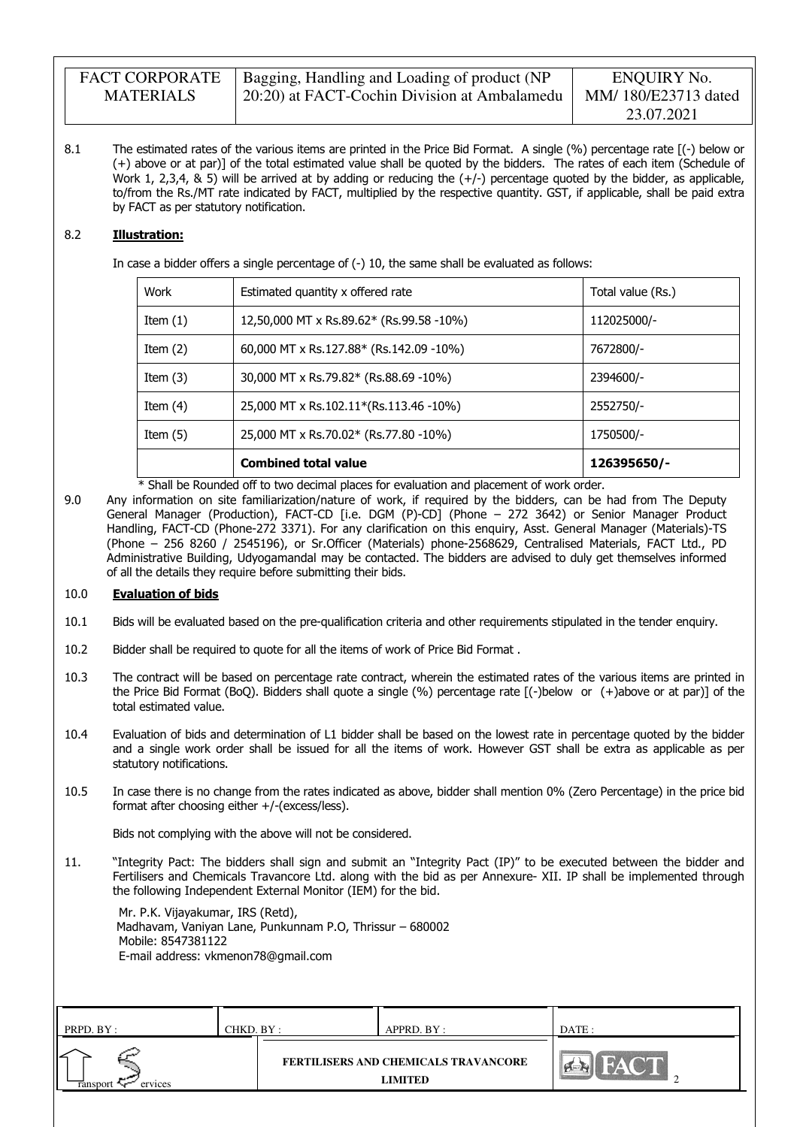| <b>FACT CORPORATE</b> | Bagging, Handling and Loading of product (NP              | ENQUIRY No.         |
|-----------------------|-----------------------------------------------------------|---------------------|
| <b>MATERIALS</b>      | <sup>1</sup> 20:20) at FACT-Cochin Division at Ambalamedu | MM/180/E23713 dated |
|                       |                                                           | 23.07.2021          |

8.1 The estimated rates of the various items are printed in the Price Bid Format. A single (%) percentage rate [(-) below or (+) above or at par)] of the total estimated value shall be quoted by the bidders. The rates of each item (Schedule of Work 1, 2,3,4,  $\&$  5) will be arrived at by adding or reducing the  $(+)$  percentage quoted by the bidder, as applicable, to/from the Rs./MT rate indicated by FACT, multiplied by the respective quantity. GST, if applicable, shall be paid extra by FACT as per statutory notification.

### 8.2 Illustration:

In case a bidder offers a single percentage of (-) 10, the same shall be evaluated as follows:

| Work       | Estimated quantity x offered rate        | Total value (Rs.) |
|------------|------------------------------------------|-------------------|
| Item $(1)$ | 12,50,000 MT x Rs.89.62* (Rs.99.58 -10%) | 112025000/-       |
| Item $(2)$ | 60,000 MT x Rs.127.88* (Rs.142.09 -10%)  | 7672800/-         |
| Item $(3)$ | 30,000 MT x Rs.79.82* (Rs.88.69 -10%)    | 2394600/-         |
| Item $(4)$ | 25,000 MT x Rs.102.11*(Rs.113.46 -10%)   | 2552750/-         |
| Item $(5)$ | 25,000 MT x Rs.70.02* (Rs.77.80 -10%)    | 1750500/-         |
|            | <b>Combined total value</b>              | 126395650/-       |

\* Shall be Rounded off to two decimal places for evaluation and placement of work order.

9.0 Any information on site familiarization/nature of work, if required by the bidders, can be had from The Deputy General Manager (Production), FACT-CD [i.e. DGM (P)-CD] (Phone – 272 3642) or Senior Manager Product Handling, FACT-CD (Phone-272 3371). For any clarification on this enquiry, Asst. General Manager (Materials)-TS (Phone – 256 8260 / 2545196), or Sr.Officer (Materials) phone-2568629, Centralised Materials, FACT Ltd., PD Administrative Building, Udyogamandal may be contacted. The bidders are advised to duly get themselves informed of all the details they require before submitting their bids.

### 10.0 Evaluation of bids

- 10.1 Bids will be evaluated based on the pre-qualification criteria and other requirements stipulated in the tender enquiry.
- 10.2 Bidder shall be required to quote for all the items of work of Price Bid Format .
- 10.3 The contract will be based on percentage rate contract, wherein the estimated rates of the various items are printed in the Price Bid Format (BoQ). Bidders shall quote a single (%) percentage rate [(-)below or (+)above or at par)] of the total estimated value.
- 10.4 Evaluation of bids and determination of L1 bidder shall be based on the lowest rate in percentage quoted by the bidder and a single work order shall be issued for all the items of work. However GST shall be extra as applicable as per statutory notifications.
- 10.5 In case there is no change from the rates indicated as above, bidder shall mention 0% (Zero Percentage) in the price bid format after choosing either +/-(excess/less).

Bids not complying with the above will not be considered.

11. "Integrity Pact: The bidders shall sign and submit an "Integrity Pact (IP)" to be executed between the bidder and Fertilisers and Chemicals Travancore Ltd. along with the bid as per Annexure- XII. IP shall be implemented through the following Independent External Monitor (IEM) for the bid.

 Mr. P.K. Vijayakumar, IRS (Retd), Madhavam, Vaniyan Lane, Punkunnam P.O, Thrissur – 680002 Mobile: 8547381122 E-mail address: vkmenon78@gmail.com

| PRPD. BY :          | CHKD. BY : | APPRD. BY :                                            | DATE: |
|---------------------|------------|--------------------------------------------------------|-------|
| ervices<br>ransport |            | <b>FERTILISERS AND CHEMICALS TRAVANCORE</b><br>LIMITED | c     |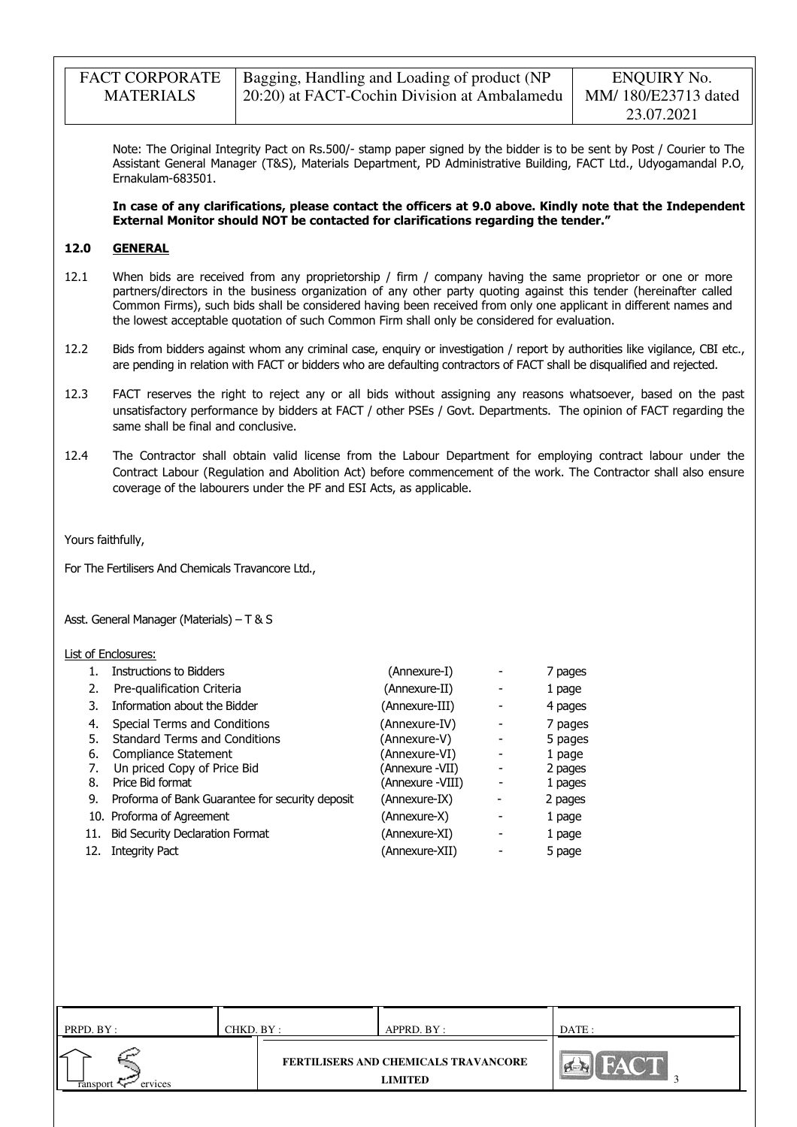| <b>FACT CORPORATE</b> | Bagging, Handling and Loading of product (NP | ENQUIRY No.         |
|-----------------------|----------------------------------------------|---------------------|
| <b>MATERIALS</b>      | 20:20) at FACT-Cochin Division at Ambalamedu | MM/180/E23713 dated |
|                       |                                              | 23.07.2021          |

Note: The Original Integrity Pact on Rs.500/- stamp paper signed by the bidder is to be sent by Post / Courier to The Assistant General Manager (T&S), Materials Department, PD Administrative Building, FACT Ltd., Udyogamandal P.O, Ernakulam-683501.

 In case of any clarifications, please contact the officers at 9.0 above. Kindly note that the Independent External Monitor should NOT be contacted for clarifications regarding the tender."

#### 12.0 GENERAL

- 12.1 When bids are received from any proprietorship / firm / company having the same proprietor or one or more partners/directors in the business organization of any other party quoting against this tender (hereinafter called Common Firms), such bids shall be considered having been received from only one applicant in different names and the lowest acceptable quotation of such Common Firm shall only be considered for evaluation.
- 12.2 Bids from bidders against whom any criminal case, enquiry or investigation / report by authorities like vigilance, CBI etc., are pending in relation with FACT or bidders who are defaulting contractors of FACT shall be disqualified and rejected.
- 12.3 FACT reserves the right to reject any or all bids without assigning any reasons whatsoever, based on the past unsatisfactory performance by bidders at FACT / other PSEs / Govt. Departments. The opinion of FACT regarding the same shall be final and conclusive.
- 12.4 The Contractor shall obtain valid license from the Labour Department for employing contract labour under the Contract Labour (Regulation and Abolition Act) before commencement of the work. The Contractor shall also ensure coverage of the labourers under the PF and ESI Acts, as applicable.

Yours faithfully,

For The Fertilisers And Chemicals Travancore Ltd.,

Asst. General Manager (Materials) – T & S

#### List of Enclosures:

|     | <b>Instructions to Bidders</b>                  | (Annexure-I)     | 7 pages |
|-----|-------------------------------------------------|------------------|---------|
| 2.  | Pre-qualification Criteria                      | (Annexure-II)    | 1 page  |
| 3.  | Information about the Bidder                    | (Annexure-III)   | 4 pages |
| 4.  | Special Terms and Conditions                    | (Annexure-IV)    | 7 pages |
| 5.  | <b>Standard Terms and Conditions</b>            | (Annexure-V)     | 5 pages |
| 6.  | Compliance Statement                            | (Annexure-VI)    | 1 page  |
|     | Un priced Copy of Price Bid                     | (Annexure -VII)  | 2 pages |
| 8.  | Price Bid format                                | (Annexure -VIII) | 1 pages |
| 9.  | Proforma of Bank Guarantee for security deposit | (Annexure-IX)    | 2 pages |
|     | 10. Proforma of Agreement                       | (Annexure-X)     | 1 page  |
| 11. | <b>Bid Security Declaration Format</b>          | (Annexure-XI)    | 1 page  |
| 12. | <b>Integrity Pact</b>                           | (Annexure-XII)   | 5 page  |
|     |                                                 |                  |         |

| PRPD. BY :          | CHKD. BY : | APPRD. BY :                                                   | DATE : |
|---------------------|------------|---------------------------------------------------------------|--------|
| ervices<br>ransport |            | <b>FERTILISERS AND CHEMICALS TRAVANCORE</b><br><b>LIMITED</b> | r.     |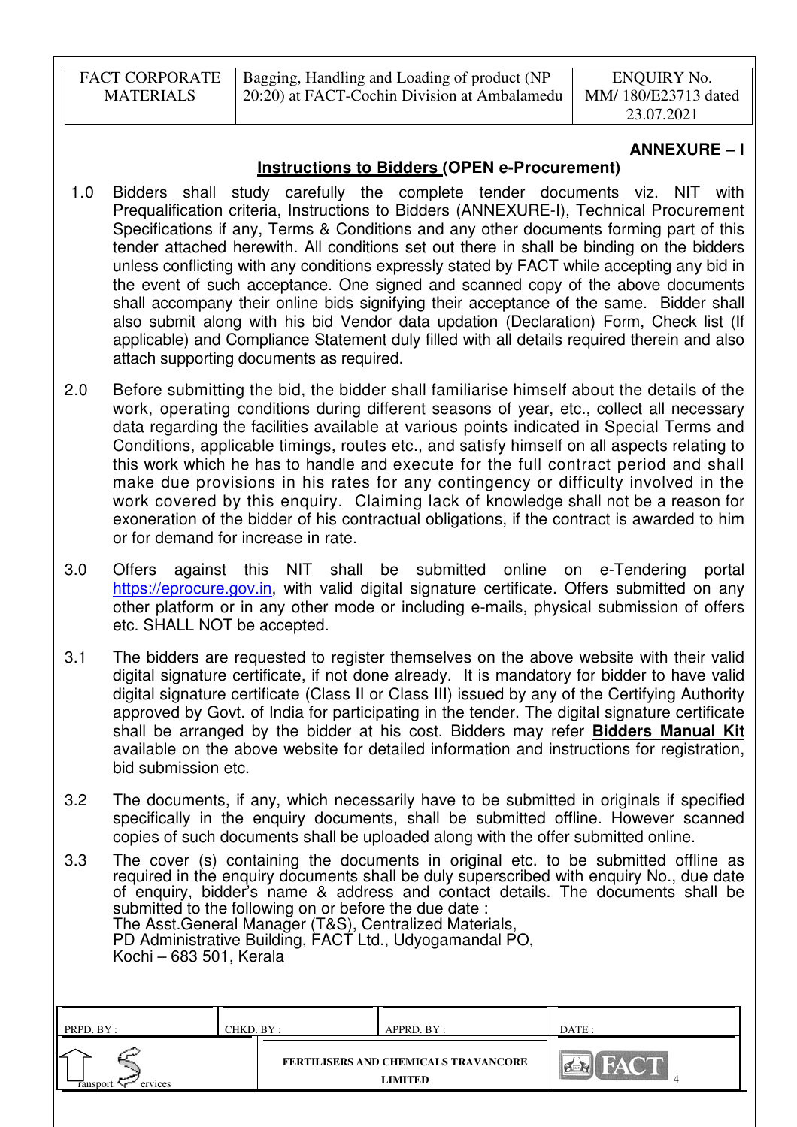| <b>FACT CORPORATE</b> | Bagging, Handling and Loading of product (NP | ENQUIRY No.         |
|-----------------------|----------------------------------------------|---------------------|
| MATERIALS             | 20:20) at FACT-Cochin Division at Ambalamedu | MM/180/E23713 dated |
|                       |                                              | 23.07.2021          |

## **ANNEXURE – I**

# **Instructions to Bidders (OPEN e-Procurement)**

- 1.0 Bidders shall study carefully the complete tender documents viz. NIT with Prequalification criteria, Instructions to Bidders (ANNEXURE-I), Technical Procurement Specifications if any, Terms & Conditions and any other documents forming part of this tender attached herewith. All conditions set out there in shall be binding on the bidders unless conflicting with any conditions expressly stated by FACT while accepting any bid in the event of such acceptance. One signed and scanned copy of the above documents shall accompany their online bids signifying their acceptance of the same. Bidder shall also submit along with his bid Vendor data updation (Declaration) Form, Check list (If applicable) and Compliance Statement duly filled with all details required therein and also attach supporting documents as required.
- 2.0 Before submitting the bid, the bidder shall familiarise himself about the details of the work, operating conditions during different seasons of year, etc., collect all necessary data regarding the facilities available at various points indicated in Special Terms and Conditions, applicable timings, routes etc., and satisfy himself on all aspects relating to this work which he has to handle and execute for the full contract period and shall make due provisions in his rates for any contingency or difficulty involved in the work covered by this enquiry. Claiming lack of knowledge shall not be a reason for exoneration of the bidder of his contractual obligations, if the contract is awarded to him or for demand for increase in rate.
- 3.0 Offers against this NIT shall be submitted online on e-Tendering portal https://eprocure.gov.in, with valid digital signature certificate. Offers submitted on any other platform or in any other mode or including e-mails, physical submission of offers etc. SHALL NOT be accepted.
- 3.1 The bidders are requested to register themselves on the above website with their valid digital signature certificate, if not done already. It is mandatory for bidder to have valid digital signature certificate (Class II or Class III) issued by any of the Certifying Authority approved by Govt. of India for participating in the tender. The digital signature certificate shall be arranged by the bidder at his cost. Bidders may refer **Bidders Manual Kit**  available on the above website for detailed information and instructions for registration, bid submission etc.
- 3.2 The documents, if any, which necessarily have to be submitted in originals if specified specifically in the enquiry documents, shall be submitted offline. However scanned copies of such documents shall be uploaded along with the offer submitted online.
- 3.3 The cover (s) containing the documents in original etc. to be submitted offline as required in the enquiry documents shall be duly superscribed with enquiry No., due date of enquiry, bidder's name & address and contact details. The documents shall be submitted to the following on or before the due date : The Asst.General Manager (T&S), Centralized Materials, PD Administrative Building, FACT Ltd., Udyogamandal PO, Kochi – 683 501, Kerala

| FERTILISERS AND CHEMICALS TRAVANCORE | PRPD. BY:           | CHKD. BY : | APPRD. BY :    | DATE: |
|--------------------------------------|---------------------|------------|----------------|-------|
|                                      | ervices<br>ansport: |            | <b>LIMITED</b> |       |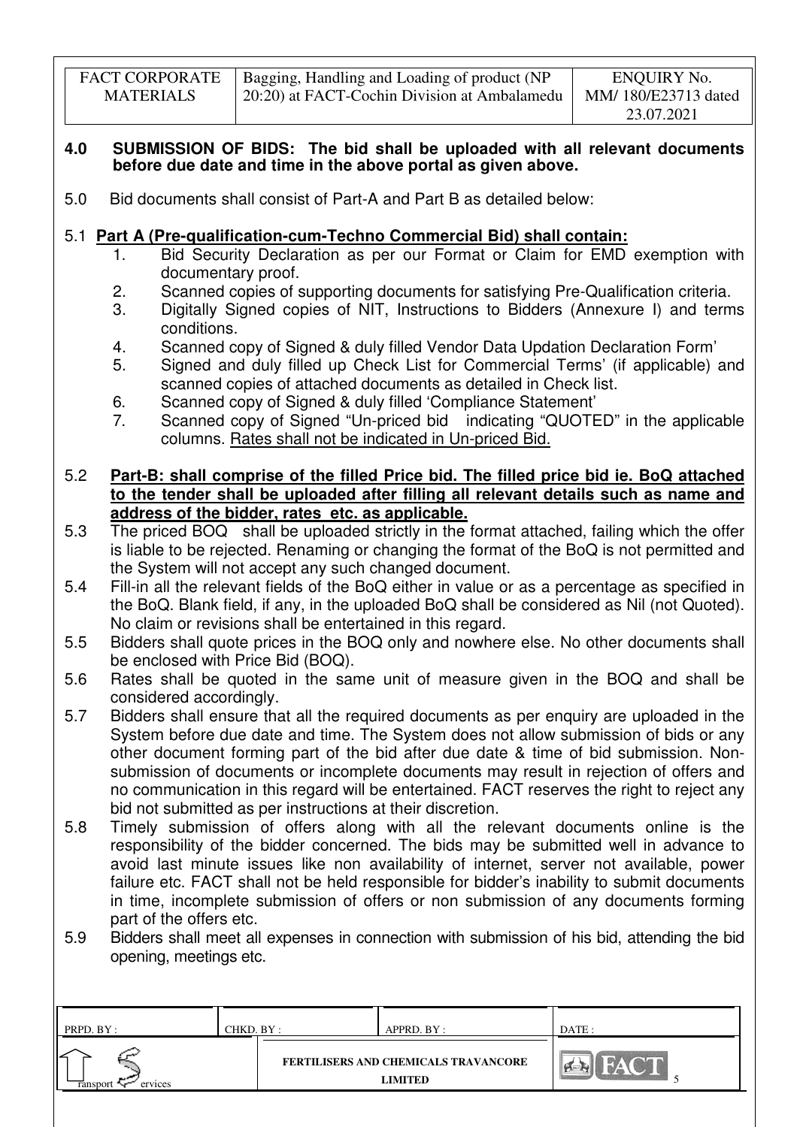| <b>FACT CORPORATE</b> | Bagging, Handling and Loading of product (NP | ENQUIRY No.         |
|-----------------------|----------------------------------------------|---------------------|
| <b>MATERIALS</b>      | 20:20) at FACT-Cochin Division at Ambalamedu | MM/180/E23713 dated |
|                       |                                              | 23.07.2021          |

### **4.0 SUBMISSION OF BIDS: The bid shall be uploaded with all relevant documents before due date and time in the above portal as given above.**

5.0 Bid documents shall consist of Part-A and Part B as detailed below:

# 5.1 **Part A (Pre-qualification-cum-Techno Commercial Bid) shall contain:**

- 1. Bid Security Declaration as per our Format or Claim for EMD exemption with documentary proof.
- 2. Scanned copies of supporting documents for satisfying Pre-Qualification criteria.
- 3. Digitally Signed copies of NIT, Instructions to Bidders (Annexure I) and terms conditions.
- 4. Scanned copy of Signed & duly filled Vendor Data Updation Declaration Form'
- 5. Signed and duly filled up Check List for Commercial Terms' (if applicable) and scanned copies of attached documents as detailed in Check list.
- 6. Scanned copy of Signed & duly filled 'Compliance Statement'
- 7. Scanned copy of Signed "Un-priced bid indicating "QUOTED" in the applicable columns. Rates shall not be indicated in Un-priced Bid.

## 5.2 **Part-B: shall comprise of the filled Price bid. The filled price bid ie. BoQ attached to the tender shall be uploaded after filling all relevant details such as name and address of the bidder, rates etc. as applicable.**

- 5.3 The priced BOQ shall be uploaded strictly in the format attached, failing which the offer is liable to be rejected. Renaming or changing the format of the BoQ is not permitted and the System will not accept any such changed document.
- 5.4 Fill-in all the relevant fields of the BoQ either in value or as a percentage as specified in the BoQ. Blank field, if any, in the uploaded BoQ shall be considered as Nil (not Quoted). No claim or revisions shall be entertained in this regard.
- 5.5 Bidders shall quote prices in the BOQ only and nowhere else. No other documents shall be enclosed with Price Bid (BOQ).
- 5.6 Rates shall be quoted in the same unit of measure given in the BOQ and shall be considered accordingly.
- 5.7 Bidders shall ensure that all the required documents as per enquiry are uploaded in the System before due date and time. The System does not allow submission of bids or any other document forming part of the bid after due date & time of bid submission. Nonsubmission of documents or incomplete documents may result in rejection of offers and no communication in this regard will be entertained. FACT reserves the right to reject any bid not submitted as per instructions at their discretion.
- 5.8 Timely submission of offers along with all the relevant documents online is the responsibility of the bidder concerned. The bids may be submitted well in advance to avoid last minute issues like non availability of internet, server not available, power failure etc. FACT shall not be held responsible for bidder's inability to submit documents in time, incomplete submission of offers or non submission of any documents forming part of the offers etc.
- 5.9 Bidders shall meet all expenses in connection with submission of his bid, attending the bid opening, meetings etc.

| PRPD. BY :               | CHKD. BY : | APPRD. BY :                                                   | DATE : |
|--------------------------|------------|---------------------------------------------------------------|--------|
| ↙<br>ervices<br>ransport |            | <b>FERTILISERS AND CHEMICALS TRAVANCORE</b><br><b>LIMITED</b> |        |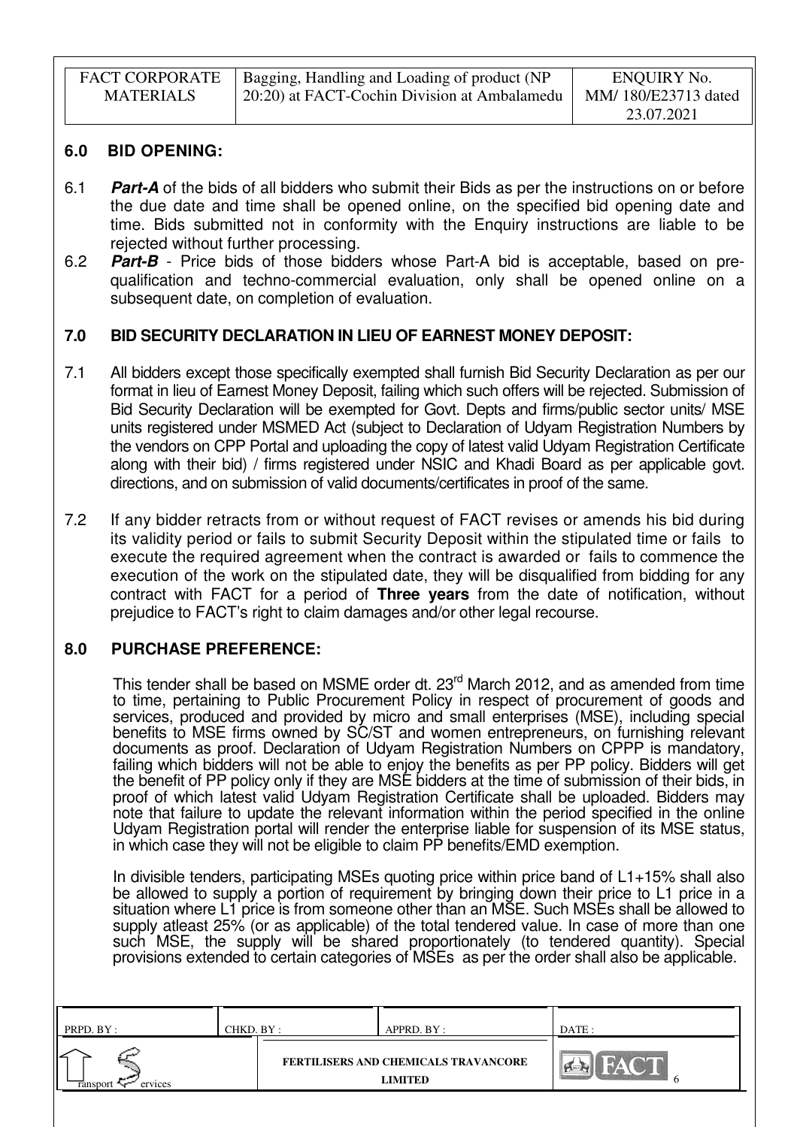| <b>FACT CORPORATE</b> | Bagging, Handling and Loading of product (NP | ENQUIRY No.         |
|-----------------------|----------------------------------------------|---------------------|
| <b>MATERIALS</b>      | 20:20) at FACT-Cochin Division at Ambalamedu | MM/180/E23713 dated |
|                       |                                              | 23.07.2021          |

### **6.0 BID OPENING:**

- 6.1 **Part-A** of the bids of all bidders who submit their Bids as per the instructions on or before the due date and time shall be opened online, on the specified bid opening date and time. Bids submitted not in conformity with the Enquiry instructions are liable to be rejected without further processing.
- 6.2 **Part-B** Price bids of those bidders whose Part-A bid is acceptable, based on prequalification and techno-commercial evaluation, only shall be opened online on a subsequent date, on completion of evaluation.

### **7.0 BID SECURITY DECLARATION IN LIEU OF EARNEST MONEY DEPOSIT:**

- 7.1 All bidders except those specifically exempted shall furnish Bid Security Declaration as per our format in lieu of Earnest Money Deposit, failing which such offers will be rejected. Submission of Bid Security Declaration will be exempted for Govt. Depts and firms/public sector units/ MSE units registered under MSMED Act (subject to Declaration of Udyam Registration Numbers by the vendors on CPP Portal and uploading the copy of latest valid Udyam Registration Certificate along with their bid) / firms registered under NSIC and Khadi Board as per applicable govt. directions, and on submission of valid documents/certificates in proof of the same.
- 7.2 If any bidder retracts from or without request of FACT revises or amends his bid during its validity period or fails to submit Security Deposit within the stipulated time or fails to execute the required agreement when the contract is awarded or fails to commence the execution of the work on the stipulated date, they will be disqualified from bidding for any contract with FACT for a period of **Three years** from the date of notification, without prejudice to FACT's right to claim damages and/or other legal recourse.

# **8.0 PURCHASE PREFERENCE:**

This tender shall be based on MSME order dt. 23<sup>rd</sup> March 2012, and as amended from time to time, pertaining to Public Procurement Policy in respect of procurement of goods and services, produced and provided by micro and small enterprises (MSE), including special benefits to MSE firms owned by SC/ST and women entrepreneurs, on furnishing relevant documents as proof. Declaration of Udyam Registration Numbers on CPPP is mandatory, failing which bidders will not be able to enjoy the benefits as per PP policy. Bidders will get the benefit of PP policy only if they are MSE bidders at the time of submission of their bids, in proof of which latest valid Udyam Registration Certificate shall be uploaded. Bidders may note that failure to update the relevant information within the period specified in the online Udyam Registration portal will render the enterprise liable for suspension of its MSE status, in which case they will not be eligible to claim PP benefits/EMD exemption.

In divisible tenders, participating MSEs quoting price within price band of L1+15% shall also be allowed to supply a portion of requirement by bringing down their price to L1 price in a situation where L1 price is from someone other than an MSE. Such MSEs shall be allowed to supply atleast 25% (or as applicable) of the total tendered value. In case of more than one such MSE, the supply will be shared proportionately (to tendered quantity). Special provisions extended to certain categories of MSEs as per the order shall also be applicable.

| PRPD. BY:                | CHKD. BY : | APPRD. BY :                                            | DATE : |
|--------------------------|------------|--------------------------------------------------------|--------|
| ↙<br>ervices<br>ransport |            | FERTILISERS AND CHEMICALS TRAVANCORE<br><b>LIMITED</b> |        |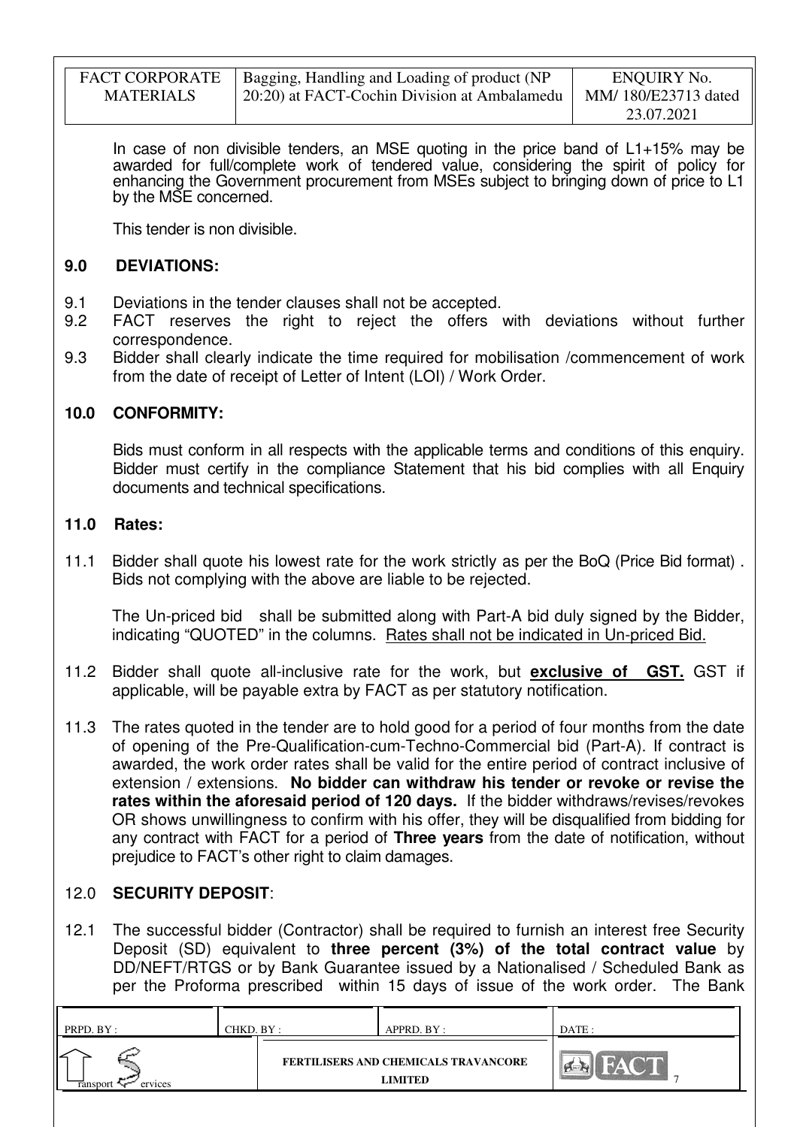| <b>FACT CORPORATE</b> | Bagging, Handling and Loading of product (NP | ENQUIRY No.         |
|-----------------------|----------------------------------------------|---------------------|
| <b>MATERIALS</b>      | 20:20) at FACT-Cochin Division at Ambalamedu | MM/180/E23713 dated |
|                       |                                              | 23.07.2021          |

In case of non divisible tenders, an MSE quoting in the price band of L1+15% may be awarded for full/complete work of tendered value, considering the spirit of policy for enhancing the Government procurement from MSEs subject to bringing down of price to L1 by the MSE concerned.

This tender is non divisible.

## **9.0 DEVIATIONS:**

- 9.1 Deviations in the tender clauses shall not be accepted.
- 9.2 FACT reserves the right to reject the offers with deviations without further correspondence.
- 9.3 Bidder shall clearly indicate the time required for mobilisation /commencement of work from the date of receipt of Letter of Intent (LOI) / Work Order.

# **10.0 CONFORMITY:**

Bids must conform in all respects with the applicable terms and conditions of this enquiry. Bidder must certify in the compliance Statement that his bid complies with all Enquiry documents and technical specifications.

### **11.0 Rates:**

11.1 Bidder shall quote his lowest rate for the work strictly as per the BoQ (Price Bid format) . Bids not complying with the above are liable to be rejected.

The Un-priced bid shall be submitted along with Part-A bid duly signed by the Bidder, indicating "QUOTED" in the columns. Rates shall not be indicated in Un-priced Bid.

- 11.2 Bidder shall quote all-inclusive rate for the work, but **exclusive of GST.** GST if applicable, will be payable extra by FACT as per statutory notification.
- 11.3 The rates quoted in the tender are to hold good for a period of four months from the date of opening of the Pre-Qualification-cum-Techno-Commercial bid (Part-A). If contract is awarded, the work order rates shall be valid for the entire period of contract inclusive of extension / extensions. **No bidder can withdraw his tender or revoke or revise the rates within the aforesaid period of 120 days.** If the bidder withdraws/revises/revokes OR shows unwillingness to confirm with his offer, they will be disqualified from bidding for any contract with FACT for a period of **Three years** from the date of notification, without prejudice to FACT's other right to claim damages.

# 12.0 **SECURITY DEPOSIT**:

12.1 The successful bidder (Contractor) shall be required to furnish an interest free Security Deposit (SD) equivalent to **three percent (3%) of the total contract value** by DD/NEFT/RTGS or by Bank Guarantee issued by a Nationalised / Scheduled Bank as per the Proforma prescribed within 15 days of issue of the work order. The Bank

| PRPD. BY :          | CHKD. BY : | APPRD. BY :                                     | DATE: |
|---------------------|------------|-------------------------------------------------|-------|
| ervices<br>ransport |            | FERTILISERS AND CHEMICALS TRAVANCORE<br>LIMITED | m.    |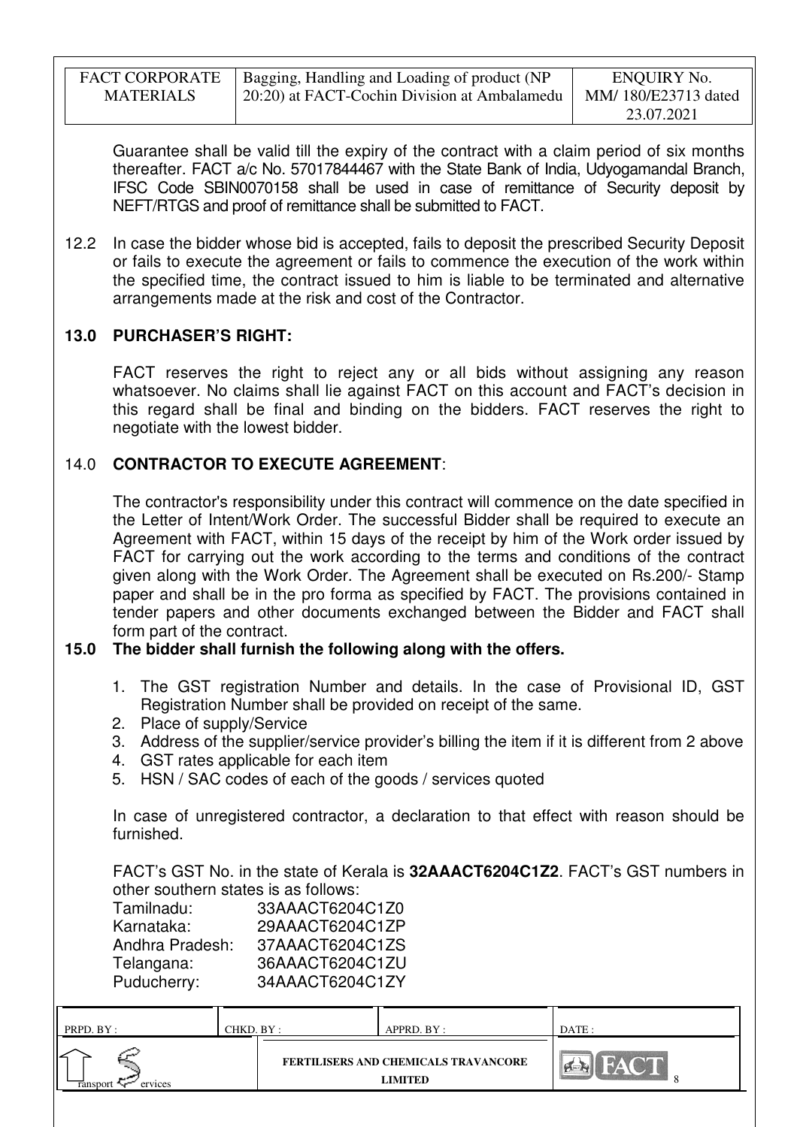| <b>FACT CORPORATE</b> | Bagging, Handling and Loading of product (NP | ENQUIRY No.         |
|-----------------------|----------------------------------------------|---------------------|
| <b>MATERIALS</b>      | 20:20) at FACT-Cochin Division at Ambalamedu | MM/180/E23713 dated |
|                       |                                              | 23.07.2021          |

Guarantee shall be valid till the expiry of the contract with a claim period of six months thereafter. FACT a/c No. 57017844467 with the State Bank of India, Udyogamandal Branch, IFSC Code SBIN0070158 shall be used in case of remittance of Security deposit by NEFT/RTGS and proof of remittance shall be submitted to FACT.

12.2 In case the bidder whose bid is accepted, fails to deposit the prescribed Security Deposit or fails to execute the agreement or fails to commence the execution of the work within the specified time, the contract issued to him is liable to be terminated and alternative arrangements made at the risk and cost of the Contractor.

# **13.0 PURCHASER'S RIGHT:**

 FACT reserves the right to reject any or all bids without assigning any reason whatsoever. No claims shall lie against FACT on this account and FACT's decision in this regard shall be final and binding on the bidders. FACT reserves the right to negotiate with the lowest bidder.

# 14.0 **CONTRACTOR TO EXECUTE AGREEMENT**:

 The contractor's responsibility under this contract will commence on the date specified in the Letter of Intent/Work Order. The successful Bidder shall be required to execute an Agreement with FACT, within 15 days of the receipt by him of the Work order issued by FACT for carrying out the work according to the terms and conditions of the contract given along with the Work Order. The Agreement shall be executed on Rs.200/- Stamp paper and shall be in the pro forma as specified by FACT. The provisions contained in tender papers and other documents exchanged between the Bidder and FACT shall form part of the contract.

# **15.0 The bidder shall furnish the following along with the offers.**

- 1. The GST registration Number and details. In the case of Provisional ID, GST Registration Number shall be provided on receipt of the same.
- 2. Place of supply/Service
- 3. Address of the supplier/service provider's billing the item if it is different from 2 above
- 4. GST rates applicable for each item
- 5. HSN / SAC codes of each of the goods / services quoted

In case of unregistered contractor, a declaration to that effect with reason should be furnished.

FACT's GST No. in the state of Kerala is **32AAACT6204C1Z2**. FACT's GST numbers in other southern states is as follows:

| Tamilnadu:      | 33AAACT6204C1Z0 |
|-----------------|-----------------|
| Karnataka:      | 29AAACT6204C1ZP |
| Andhra Pradesh: | 37AAACT6204C1ZS |
| Telangana:      | 36AAACT6204C1ZU |
| Puducherry:     | 34AAACT6204C1ZY |

| PRPD. BY:          | CHKD. BY : | APPRD. BY :                                            | DATE: |
|--------------------|------------|--------------------------------------------------------|-------|
| ervices<br>ranspo: |            | <b>FERTILISERS AND CHEMICALS TRAVANCORE</b><br>LIMITED |       |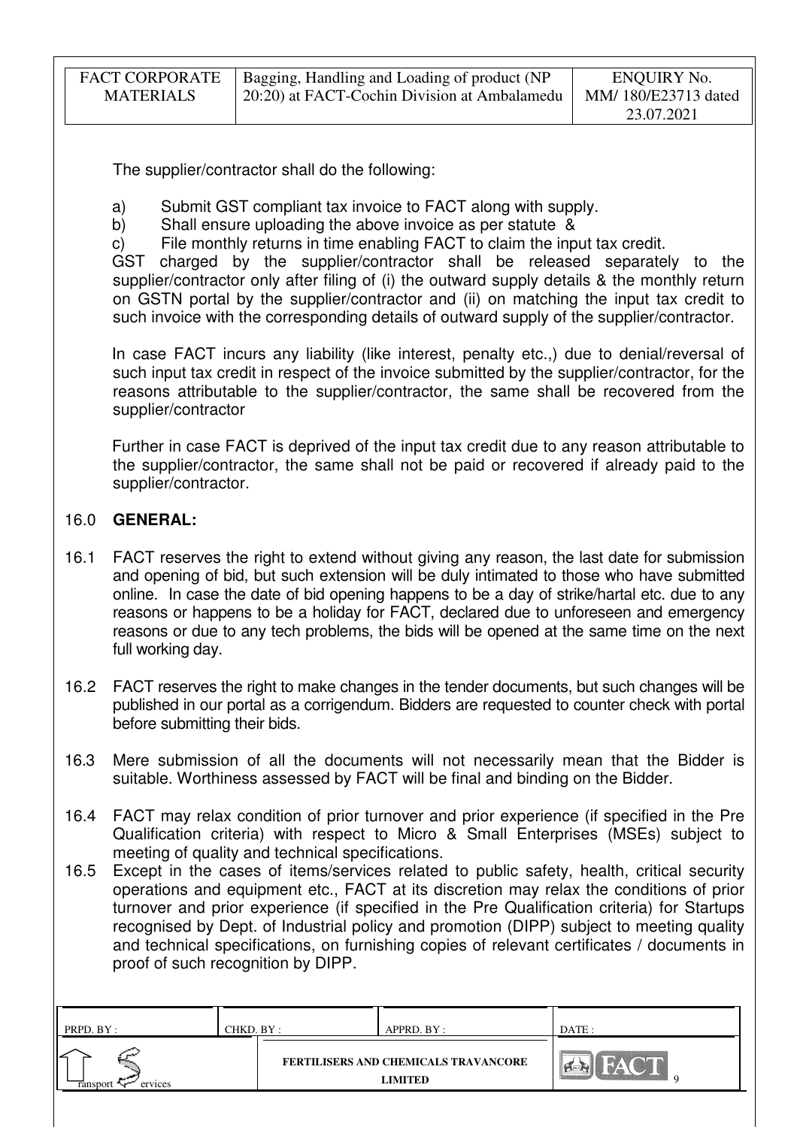| <b>FACT CORPORATE</b> | Bagging, Handling and Loading of product (NP | ENQUIRY No.         |
|-----------------------|----------------------------------------------|---------------------|
| <b>MATERIALS</b>      | 20:20) at FACT-Cochin Division at Ambalamedu | MM/180/E23713 dated |
|                       |                                              | 23.07.2021          |

The supplier/contractor shall do the following:

- a) Submit GST compliant tax invoice to FACT along with supply.
- b) Shall ensure uploading the above invoice as per statute &
- c) File monthly returns in time enabling FACT to claim the input tax credit.

GST charged by the supplier/contractor shall be released separately to the supplier/contractor only after filing of (i) the outward supply details & the monthly return on GSTN portal by the supplier/contractor and (ii) on matching the input tax credit to such invoice with the corresponding details of outward supply of the supplier/contractor.

In case FACT incurs any liability (like interest, penalty etc.,) due to denial/reversal of such input tax credit in respect of the invoice submitted by the supplier/contractor, for the reasons attributable to the supplier/contractor, the same shall be recovered from the supplier/contractor

Further in case FACT is deprived of the input tax credit due to any reason attributable to the supplier/contractor, the same shall not be paid or recovered if already paid to the supplier/contractor.

# 16.0 **GENERAL:**

- 16.1 FACT reserves the right to extend without giving any reason, the last date for submission and opening of bid, but such extension will be duly intimated to those who have submitted online. In case the date of bid opening happens to be a day of strike/hartal etc. due to any reasons or happens to be a holiday for FACT, declared due to unforeseen and emergency reasons or due to any tech problems, the bids will be opened at the same time on the next full working day.
- 16.2 FACT reserves the right to make changes in the tender documents, but such changes will be published in our portal as a corrigendum. Bidders are requested to counter check with portal before submitting their bids.
- 16.3 Mere submission of all the documents will not necessarily mean that the Bidder is suitable. Worthiness assessed by FACT will be final and binding on the Bidder.
- 16.4 FACT may relax condition of prior turnover and prior experience (if specified in the Pre Qualification criteria) with respect to Micro & Small Enterprises (MSEs) subject to meeting of quality and technical specifications.
- 16.5 Except in the cases of items/services related to public safety, health, critical security operations and equipment etc., FACT at its discretion may relax the conditions of prior turnover and prior experience (if specified in the Pre Qualification criteria) for Startups recognised by Dept. of Industrial policy and promotion (DIPP) subject to meeting quality and technical specifications, on furnishing copies of relevant certificates / documents in proof of such recognition by DIPP.

| PRPD. BY :                 | CHKD. BY : | APPRD. BY :                                            | DATE: |
|----------------------------|------------|--------------------------------------------------------|-------|
| <b>Tansport</b><br>ervices |            | FERTILISERS AND CHEMICALS TRAVANCORE<br><b>LIMITED</b> |       |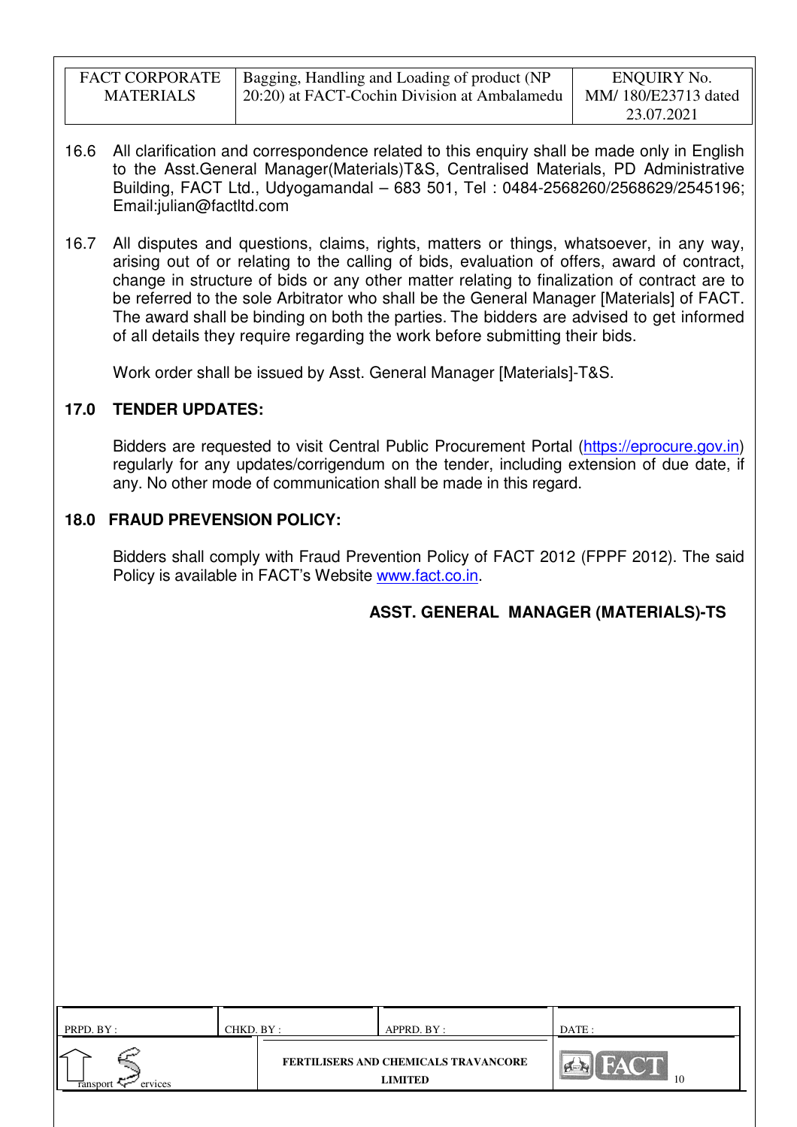| <b>FACT CORPORATE</b> | Bagging, Handling and Loading of product (NP | ENQUIRY No.         |
|-----------------------|----------------------------------------------|---------------------|
| <b>MATERIALS</b>      | 20:20) at FACT-Cochin Division at Ambalamedu | MM/180/E23713 dated |
|                       |                                              | 23.07.2021          |

- 16.6 All clarification and correspondence related to this enquiry shall be made only in English to the Asst.General Manager(Materials)T&S, Centralised Materials, PD Administrative Building, FACT Ltd., Udyogamandal – 683 501, Tel : 0484-2568260/2568629/2545196; Email:julian@factltd.com
- 16.7 All disputes and questions, claims, rights, matters or things, whatsoever, in any way, arising out of or relating to the calling of bids, evaluation of offers, award of contract, change in structure of bids or any other matter relating to finalization of contract are to be referred to the sole Arbitrator who shall be the General Manager [Materials] of FACT. The award shall be binding on both the parties. The bidders are advised to get informed of all details they require regarding the work before submitting their bids.

Work order shall be issued by Asst. General Manager [Materials]-T&S.

# **17.0 TENDER UPDATES:**

Bidders are requested to visit Central Public Procurement Portal (https://eprocure.gov.in) regularly for any updates/corrigendum on the tender, including extension of due date, if any. No other mode of communication shall be made in this regard.

# **18.0 FRAUD PREVENSION POLICY:**

Bidders shall comply with Fraud Prevention Policy of FACT 2012 (FPPF 2012). The said Policy is available in FACT's Website www.fact.co.in.

**ASST. GENERAL MANAGER (MATERIALS)-TS** 

| PRPD. BY :                 | CHKD. BY : | APPRD. BY :                                     | DATE: |
|----------------------------|------------|-------------------------------------------------|-------|
| ervices<br><b>Tansport</b> |            | FERTILISERS AND CHEMICALS TRAVANCORE<br>LIMITED | 10    |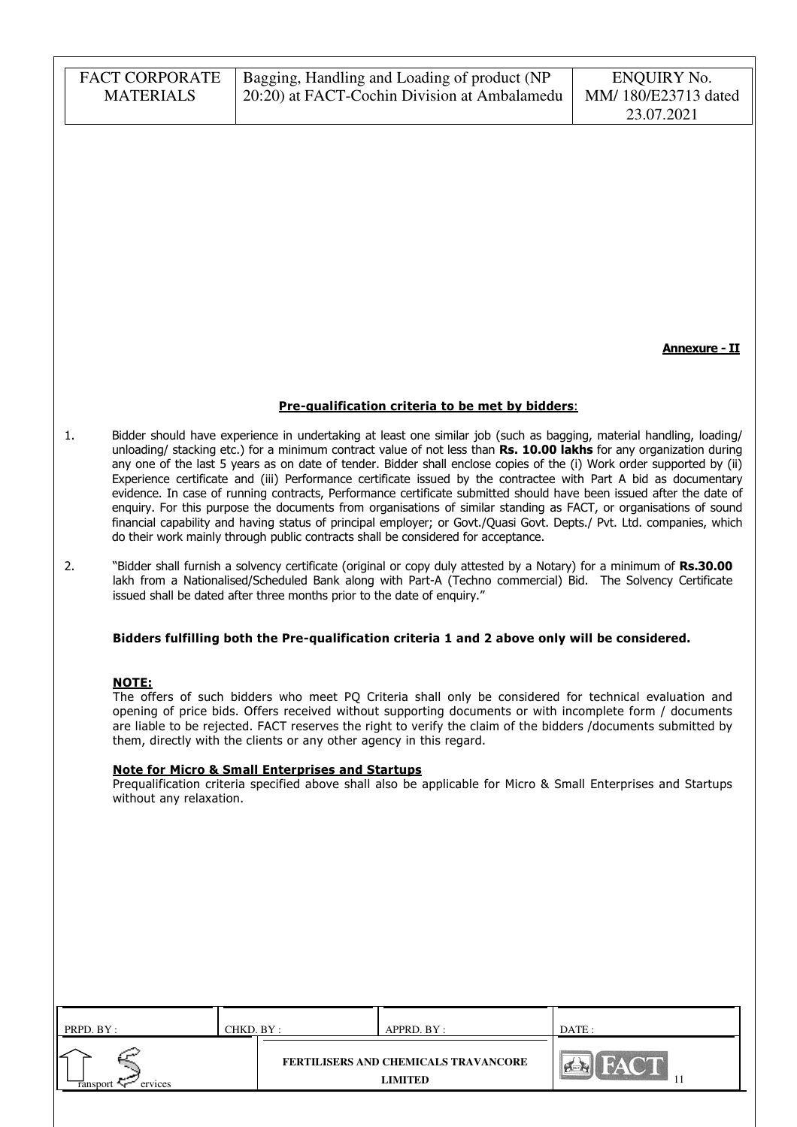|           | <b>FACT CORPORATE</b><br><b>MATERIALS</b> |                                                                                                                                   | Bagging, Handling and Loading of product (NP<br>20:20) at FACT-Cochin Division at Ambalamedu                                                                                                                                                                                                                                                                                                                                                                                                                                                                                                                                                                                                                                                                                                                                                                                                                                                      | <b>ENQUIRY No.</b><br>MM/180/E23713 dated<br>23.07.2021 |
|-----------|-------------------------------------------|-----------------------------------------------------------------------------------------------------------------------------------|---------------------------------------------------------------------------------------------------------------------------------------------------------------------------------------------------------------------------------------------------------------------------------------------------------------------------------------------------------------------------------------------------------------------------------------------------------------------------------------------------------------------------------------------------------------------------------------------------------------------------------------------------------------------------------------------------------------------------------------------------------------------------------------------------------------------------------------------------------------------------------------------------------------------------------------------------|---------------------------------------------------------|
|           |                                           |                                                                                                                                   |                                                                                                                                                                                                                                                                                                                                                                                                                                                                                                                                                                                                                                                                                                                                                                                                                                                                                                                                                   | <b>Annexure - II</b>                                    |
|           |                                           |                                                                                                                                   | Pre-qualification criteria to be met by bidders:                                                                                                                                                                                                                                                                                                                                                                                                                                                                                                                                                                                                                                                                                                                                                                                                                                                                                                  |                                                         |
| 1.        |                                           |                                                                                                                                   | Bidder should have experience in undertaking at least one similar job (such as bagging, material handling, loading/<br>unloading/ stacking etc.) for a minimum contract value of not less than Rs. 10.00 lakhs for any organization during<br>any one of the last 5 years as on date of tender. Bidder shall enclose copies of the (i) Work order supported by (ii)<br>Experience certificate and (iii) Performance certificate issued by the contractee with Part A bid as documentary<br>evidence. In case of running contracts, Performance certificate submitted should have been issued after the date of<br>enquiry. For this purpose the documents from organisations of similar standing as FACT, or organisations of sound<br>financial capability and having status of principal employer; or Govt./Quasi Govt. Depts./ Pvt. Ltd. companies, which<br>do their work mainly through public contracts shall be considered for acceptance. |                                                         |
| 2.        |                                           | issued shall be dated after three months prior to the date of enquiry."                                                           | "Bidder shall furnish a solvency certificate (original or copy duly attested by a Notary) for a minimum of Rs.30.00<br>lakh from a Nationalised/Scheduled Bank along with Part-A (Techno commercial) Bid. The Solvency Certificate                                                                                                                                                                                                                                                                                                                                                                                                                                                                                                                                                                                                                                                                                                                |                                                         |
|           |                                           |                                                                                                                                   | Bidders fulfilling both the Pre-qualification criteria 1 and 2 above only will be considered.                                                                                                                                                                                                                                                                                                                                                                                                                                                                                                                                                                                                                                                                                                                                                                                                                                                     |                                                         |
|           | <b>NOTE:</b><br>without any relaxation.   | them, directly with the clients or any other agency in this regard.<br><b>Note for Micro &amp; Small Enterprises and Startups</b> | The offers of such bidders who meet PQ Criteria shall only be considered for technical evaluation and<br>opening of price bids. Offers received without supporting documents or with incomplete form / documents<br>are liable to be rejected. FACT reserves the right to verify the claim of the bidders /documents submitted by<br>Prequalification criteria specified above shall also be applicable for Micro & Small Enterprises and Startups                                                                                                                                                                                                                                                                                                                                                                                                                                                                                                |                                                         |
|           |                                           |                                                                                                                                   |                                                                                                                                                                                                                                                                                                                                                                                                                                                                                                                                                                                                                                                                                                                                                                                                                                                                                                                                                   |                                                         |
|           |                                           |                                                                                                                                   |                                                                                                                                                                                                                                                                                                                                                                                                                                                                                                                                                                                                                                                                                                                                                                                                                                                                                                                                                   |                                                         |
|           |                                           |                                                                                                                                   |                                                                                                                                                                                                                                                                                                                                                                                                                                                                                                                                                                                                                                                                                                                                                                                                                                                                                                                                                   |                                                         |
|           |                                           |                                                                                                                                   |                                                                                                                                                                                                                                                                                                                                                                                                                                                                                                                                                                                                                                                                                                                                                                                                                                                                                                                                                   |                                                         |
|           |                                           |                                                                                                                                   |                                                                                                                                                                                                                                                                                                                                                                                                                                                                                                                                                                                                                                                                                                                                                                                                                                                                                                                                                   |                                                         |
|           |                                           |                                                                                                                                   |                                                                                                                                                                                                                                                                                                                                                                                                                                                                                                                                                                                                                                                                                                                                                                                                                                                                                                                                                   |                                                         |
| PRPD. BY: |                                           | CHKD. BY:                                                                                                                         | APPRD. BY :                                                                                                                                                                                                                                                                                                                                                                                                                                                                                                                                                                                                                                                                                                                                                                                                                                                                                                                                       | DATE:                                                   |
| ransport  | ervices                                   |                                                                                                                                   | <b>FERTILISERS AND CHEMICALS TRAVANCORE</b><br><b>LIMITED</b>                                                                                                                                                                                                                                                                                                                                                                                                                                                                                                                                                                                                                                                                                                                                                                                                                                                                                     |                                                         |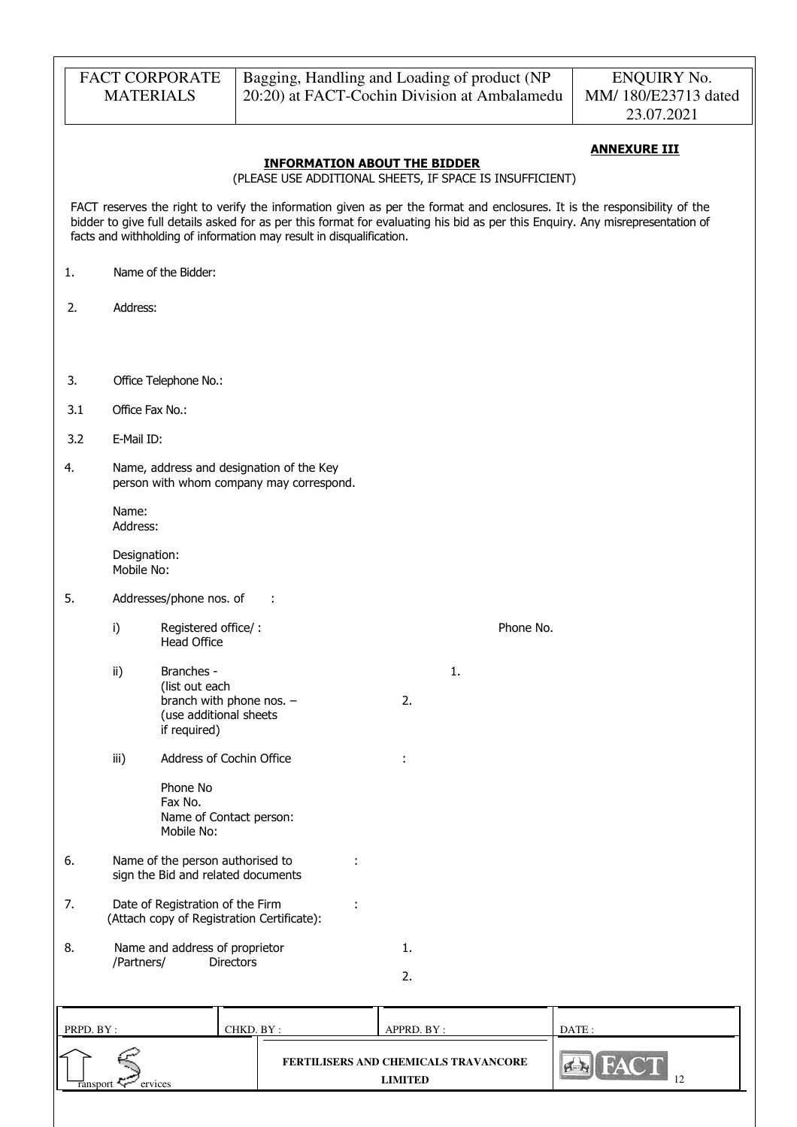|                 | <b>MATERIALS</b>           | <b>FACT CORPORATE</b>                     |                                                                                      | Bagging, Handling and Loading of product (NP<br>20:20) at FACT-Cochin Division at Ambalamedu |          |    |           |                | <b>ENQUIRY No.</b><br>MM/180/E23713 dated<br>23.07.2021                                                                                                                                                                                                    |
|-----------------|----------------------------|-------------------------------------------|--------------------------------------------------------------------------------------|----------------------------------------------------------------------------------------------|----------|----|-----------|----------------|------------------------------------------------------------------------------------------------------------------------------------------------------------------------------------------------------------------------------------------------------------|
|                 |                            |                                           |                                                                                      |                                                                                              |          |    |           |                |                                                                                                                                                                                                                                                            |
|                 |                            |                                           | (PLEASE USE ADDITIONAL SHEETS, IF SPACE IS INSUFFICIENT)                             | <b>INFORMATION ABOUT THE BIDDER</b>                                                          |          |    |           |                | <b>ANNEXURE III</b>                                                                                                                                                                                                                                        |
|                 |                            |                                           | facts and withholding of information may result in disqualification.                 |                                                                                              |          |    |           |                | FACT reserves the right to verify the information given as per the format and enclosures. It is the responsibility of the<br>bidder to give full details asked for as per this format for evaluating his bid as per this Enquiry. Any misrepresentation of |
| 1.              |                            | Name of the Bidder:                       |                                                                                      |                                                                                              |          |    |           |                |                                                                                                                                                                                                                                                            |
| 2.              | Address:                   |                                           |                                                                                      |                                                                                              |          |    |           |                |                                                                                                                                                                                                                                                            |
|                 |                            |                                           |                                                                                      |                                                                                              |          |    |           |                |                                                                                                                                                                                                                                                            |
| 3.              |                            | Office Telephone No.:                     |                                                                                      |                                                                                              |          |    |           |                |                                                                                                                                                                                                                                                            |
| 3.1             | Office Fax No.:            |                                           |                                                                                      |                                                                                              |          |    |           |                |                                                                                                                                                                                                                                                            |
| 3.2             | E-Mail ID:                 |                                           |                                                                                      |                                                                                              |          |    |           |                |                                                                                                                                                                                                                                                            |
| 4.              |                            |                                           | Name, address and designation of the Key<br>person with whom company may correspond. |                                                                                              |          |    |           |                |                                                                                                                                                                                                                                                            |
|                 | Name:<br>Address:          |                                           |                                                                                      |                                                                                              |          |    |           |                |                                                                                                                                                                                                                                                            |
|                 | Designation:<br>Mobile No: |                                           |                                                                                      |                                                                                              |          |    |           |                |                                                                                                                                                                                                                                                            |
| 5.              |                            | Addresses/phone nos. of                   | ÷                                                                                    |                                                                                              |          |    |           |                |                                                                                                                                                                                                                                                            |
|                 | i)                         | Registered office/:<br><b>Head Office</b> |                                                                                      |                                                                                              |          |    | Phone No. |                |                                                                                                                                                                                                                                                            |
|                 | ii)                        | Branches -                                |                                                                                      |                                                                                              |          | 1. |           |                |                                                                                                                                                                                                                                                            |
|                 |                            | (list out each<br>if required)            | branch with phone nos. -<br>(use additional sheets                                   |                                                                                              | 2.       |    |           |                |                                                                                                                                                                                                                                                            |
|                 | iii)                       |                                           | Address of Cochin Office                                                             |                                                                                              |          |    |           |                |                                                                                                                                                                                                                                                            |
|                 |                            | Phone No<br>Fax No.<br>Mobile No:         | Name of Contact person:                                                              |                                                                                              |          |    |           |                |                                                                                                                                                                                                                                                            |
| 6.              |                            |                                           | Name of the person authorised to<br>sign the Bid and related documents               |                                                                                              |          |    |           |                |                                                                                                                                                                                                                                                            |
| 7.              |                            | Date of Registration of the Firm          | (Attach copy of Registration Certificate):                                           |                                                                                              |          |    |           |                |                                                                                                                                                                                                                                                            |
| 8.              | /Partners/                 |                                           | Name and address of proprietor<br><b>Directors</b>                                   |                                                                                              | 1.       |    |           |                |                                                                                                                                                                                                                                                            |
|                 |                            |                                           |                                                                                      |                                                                                              | 2.       |    |           |                |                                                                                                                                                                                                                                                            |
|                 |                            |                                           |                                                                                      |                                                                                              |          |    |           |                |                                                                                                                                                                                                                                                            |
| <b>PRPD RV.</b> |                            |                                           | CHKD RV ·                                                                            |                                                                                              | APPRD RV |    |           | $\Gamma$ ATE · |                                                                                                                                                                                                                                                            |

| PRPD. BY:          | CHKD. BY : | APPRD. BY:                                             | DATE :      |
|--------------------|------------|--------------------------------------------------------|-------------|
| ervices<br>ranspor |            | FERTILISERS AND CHEMICALS TRAVANCORE<br><b>LIMITED</b> | $1^{\circ}$ |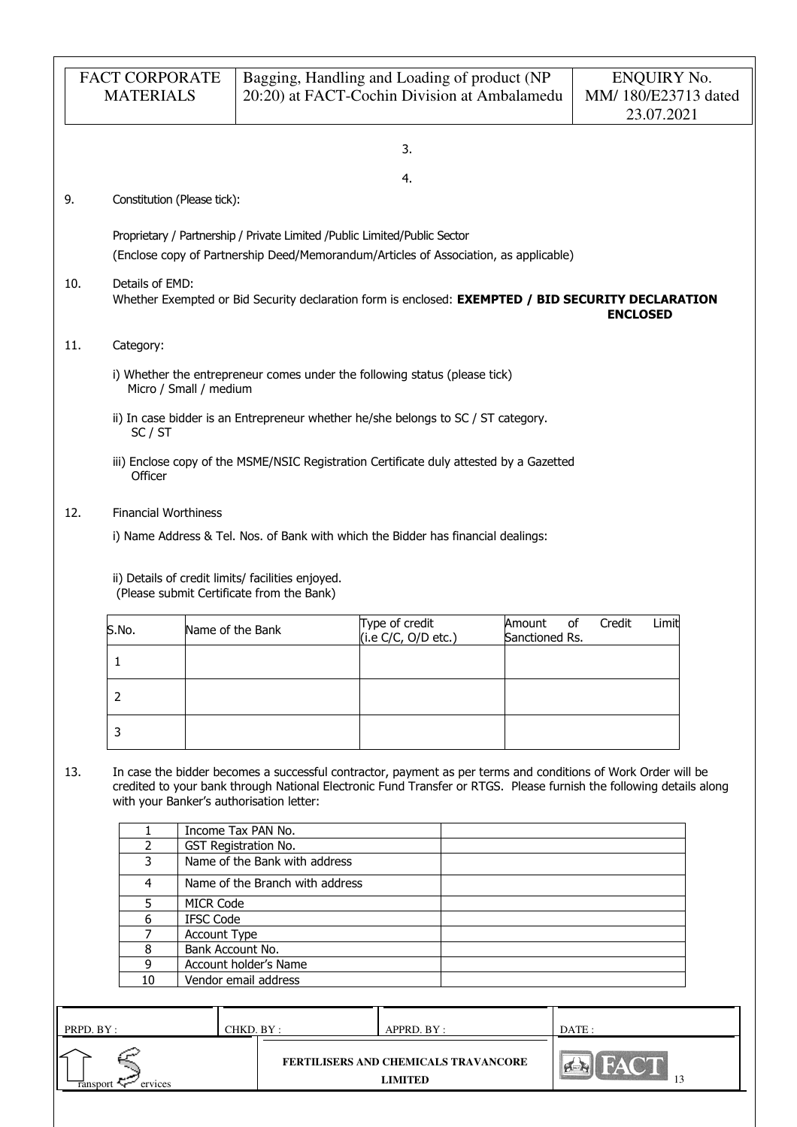|                 | <b>FACT CORPORATE</b><br><b>MATERIALS</b> |                                  | Bagging, Handling and Loading of product (NP                                                                                                                       |                                       | 20:20) at FACT-Cochin Division at Ambalamedu | <b>ENQUIRY No.</b><br>MM/180/E23713 dated<br>23.07.2021                                                                                                                                                                              |  |
|-----------------|-------------------------------------------|----------------------------------|--------------------------------------------------------------------------------------------------------------------------------------------------------------------|---------------------------------------|----------------------------------------------|--------------------------------------------------------------------------------------------------------------------------------------------------------------------------------------------------------------------------------------|--|
|                 |                                           |                                  |                                                                                                                                                                    | 3.                                    |                                              |                                                                                                                                                                                                                                      |  |
|                 |                                           |                                  |                                                                                                                                                                    | 4.                                    |                                              |                                                                                                                                                                                                                                      |  |
| 9.              | Constitution (Please tick):               |                                  |                                                                                                                                                                    |                                       |                                              |                                                                                                                                                                                                                                      |  |
|                 |                                           |                                  | Proprietary / Partnership / Private Limited / Public Limited/Public Sector<br>(Enclose copy of Partnership Deed/Memorandum/Articles of Association, as applicable) |                                       |                                              |                                                                                                                                                                                                                                      |  |
| 10.             | Details of EMD:                           |                                  |                                                                                                                                                                    |                                       |                                              | Whether Exempted or Bid Security declaration form is enclosed: EXEMPTED / BID SECURITY DECLARATION<br><b>ENCLOSED</b>                                                                                                                |  |
| 11.             | Category:                                 |                                  |                                                                                                                                                                    |                                       |                                              |                                                                                                                                                                                                                                      |  |
|                 |                                           | Micro / Small / medium           | i) Whether the entrepreneur comes under the following status (please tick)                                                                                         |                                       |                                              |                                                                                                                                                                                                                                      |  |
|                 | SC / ST                                   |                                  | ii) In case bidder is an Entrepreneur whether he/she belongs to SC / ST category.                                                                                  |                                       |                                              |                                                                                                                                                                                                                                      |  |
|                 | Officer                                   |                                  | iii) Enclose copy of the MSME/NSIC Registration Certificate duly attested by a Gazetted                                                                            |                                       |                                              |                                                                                                                                                                                                                                      |  |
|                 |                                           |                                  |                                                                                                                                                                    |                                       |                                              |                                                                                                                                                                                                                                      |  |
| 12.             | <b>Financial Worthiness</b>               |                                  |                                                                                                                                                                    |                                       |                                              |                                                                                                                                                                                                                                      |  |
|                 |                                           |                                  | i) Name Address & Tel. Nos. of Bank with which the Bidder has financial dealings:                                                                                  |                                       |                                              |                                                                                                                                                                                                                                      |  |
|                 |                                           |                                  | ii) Details of credit limits/ facilities enjoyed.<br>(Please submit Certificate from the Bank)                                                                     |                                       |                                              |                                                                                                                                                                                                                                      |  |
|                 | S.No.                                     | Name of the Bank                 |                                                                                                                                                                    | Type of credit<br>(i.e C/C, O/D etc.) | Amount<br>Sanctioned Rs.                     | of<br>Credit<br>Limit                                                                                                                                                                                                                |  |
|                 | 1                                         |                                  |                                                                                                                                                                    |                                       |                                              |                                                                                                                                                                                                                                      |  |
|                 | $\overline{2}$                            |                                  |                                                                                                                                                                    |                                       |                                              |                                                                                                                                                                                                                                      |  |
|                 | 3                                         |                                  |                                                                                                                                                                    |                                       |                                              |                                                                                                                                                                                                                                      |  |
| 13.             |                                           |                                  | with your Banker's authorisation letter:                                                                                                                           |                                       |                                              | In case the bidder becomes a successful contractor, payment as per terms and conditions of Work Order will be<br>credited to your bank through National Electronic Fund Transfer or RTGS. Please furnish the following details along |  |
|                 | 1                                         |                                  | Income Tax PAN No.                                                                                                                                                 |                                       |                                              |                                                                                                                                                                                                                                      |  |
|                 | $\overline{2}$<br>3                       |                                  | GST Registration No.<br>Name of the Bank with address                                                                                                              |                                       |                                              |                                                                                                                                                                                                                                      |  |
|                 | 4                                         |                                  | Name of the Branch with address                                                                                                                                    |                                       |                                              |                                                                                                                                                                                                                                      |  |
|                 | 5                                         | <b>MICR Code</b>                 |                                                                                                                                                                    |                                       |                                              |                                                                                                                                                                                                                                      |  |
|                 | 6                                         | <b>IFSC Code</b>                 |                                                                                                                                                                    |                                       |                                              |                                                                                                                                                                                                                                      |  |
|                 | 7<br>8                                    | Account Type<br>Bank Account No. |                                                                                                                                                                    |                                       |                                              |                                                                                                                                                                                                                                      |  |
|                 | 9                                         |                                  | Account holder's Name                                                                                                                                              |                                       |                                              |                                                                                                                                                                                                                                      |  |
|                 | 10                                        |                                  | Vendor email address                                                                                                                                               |                                       |                                              |                                                                                                                                                                                                                                      |  |
| PRPD. BY:       |                                           |                                  | CHKD. BY:                                                                                                                                                          | APPRD. BY :                           |                                              | DATE:                                                                                                                                                                                                                                |  |
|                 |                                           |                                  |                                                                                                                                                                    |                                       | <b>FERTILISERS AND CHEMICALS TRAVANCORE</b>  |                                                                                                                                                                                                                                      |  |
| <b>Tansport</b> | ervices                                   |                                  |                                                                                                                                                                    | <b>LIMITED</b>                        |                                              | 13                                                                                                                                                                                                                                   |  |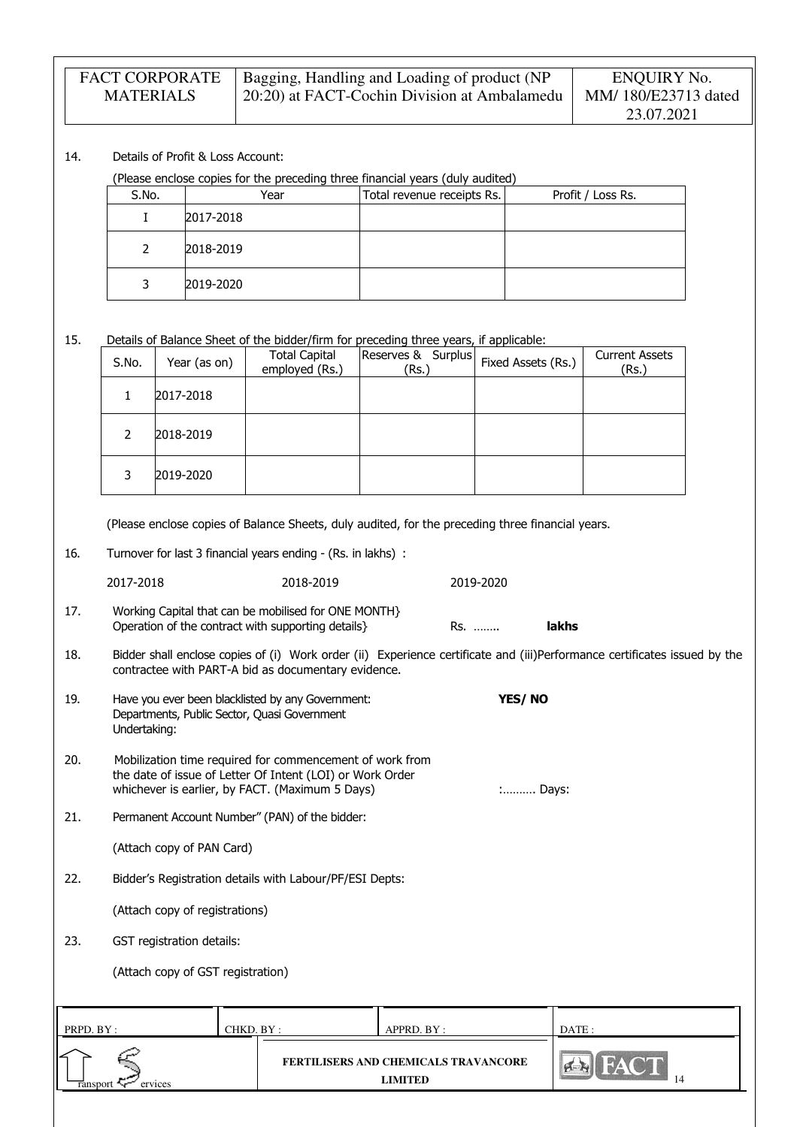| <b>FACT CORPORATE</b> | Bagging, Handling and Loading of product (NP | ENQUIRY No.         |
|-----------------------|----------------------------------------------|---------------------|
| <b>MATERIALS</b>      | 20:20) at FACT-Cochin Division at Ambalamedu | MM/180/E23713 dated |
|                       |                                              | 23.07.2021          |

### 14. Details of Profit & Loss Account:

(Please enclose copies for the preceding three financial years (duly audited)

| S.No. | Year      | Total revenue receipts Rs. | Profit / Loss Rs. |
|-------|-----------|----------------------------|-------------------|
|       | 2017-2018 |                            |                   |
|       | 2018-2019 |                            |                   |
|       | 2019-2020 |                            |                   |

15. Details of Balance Sheet of the bidder/firm for preceding three years, if applicable:

| S.No. | Year (as on) | <b>Total Capital</b><br>employed (Rs.) | Reserves & Surplus<br>(Rs.) | Fixed Assets (Rs.) | <b>Current Assets</b><br>(Rs.) |
|-------|--------------|----------------------------------------|-----------------------------|--------------------|--------------------------------|
|       | 2017-2018    |                                        |                             |                    |                                |
| 2     | 2018-2019    |                                        |                             |                    |                                |
| 3     | 2019-2020    |                                        |                             |                    |                                |

(Please enclose copies of Balance Sheets, duly audited, for the preceding three financial years.

16. Turnover for last 3 financial years ending - (Rs. in lakhs) :

2017-2018 2018-2019 2019-2020

- 17. Working Capital that can be mobilised for ONE MONTH} Operation of the contract with supporting details} Rs. …….. lakhs
- 18. Bidder shall enclose copies of (i) Work order (ii) Experience certificate and (iii)Performance certificates issued by the contractee with PART-A bid as documentary evidence.
- 19. Have you ever been blacklisted by any Government: **YES/ NO** Departments, Public Sector, Quasi Government Undertaking:
- 20. Mobilization time required for commencement of work from the date of issue of Letter Of Intent (LOI) or Work Order whichever is earlier, by FACT. (Maximum 5 Days)  $\ldots$   $\ldots$   $\ldots$  Days:
- 21. Permanent Account Number" (PAN) of the bidder:

| (Attach copy of PAN Card) |
|---------------------------|
|---------------------------|

22. Bidder's Registration details with Labour/PF/ESI Depts:

(Attach copy of registrations)

23. GST registration details:

(Attach copy of GST registration)

| PRPD. BY:           | CHKD. BY : | APPRD. BY :                                            | DATE : |
|---------------------|------------|--------------------------------------------------------|--------|
| ervices<br>ransport |            | <b>FERTILISERS AND CHEMICALS TRAVANCORE</b><br>LIMITED | 14     |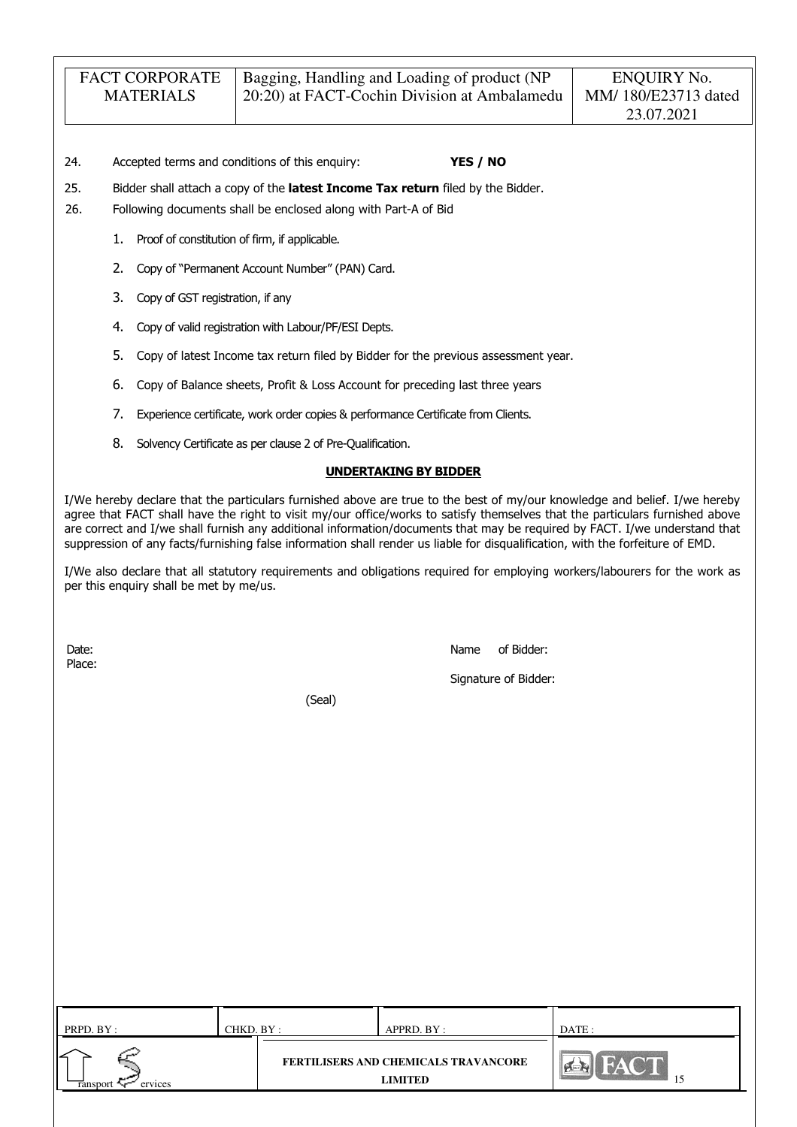- 24. Accepted terms and conditions of this enquiry: YES / NO
- 25. Bidder shall attach a copy of the latest Income Tax return filed by the Bidder.
- 26. Following documents shall be enclosed along with Part-A of Bid
	- 1. Proof of constitution of firm, if applicable.
	- 2. Copy of "Permanent Account Number" (PAN) Card.
	- 3. Copy of GST registration, if any
	- 4. Copy of valid registration with Labour/PF/ESI Depts.
	- 5. Copy of latest Income tax return filed by Bidder for the previous assessment year.
	- 6. Copy of Balance sheets, Profit & Loss Account for preceding last three years
	- 7. Experience certificate, work order copies & performance Certificate from Clients.
	- 8. Solvency Certificate as per clause 2 of Pre-Qualification.

#### UNDERTAKING BY BIDDER

I/We hereby declare that the particulars furnished above are true to the best of my/our knowledge and belief. I/we hereby agree that FACT shall have the right to visit my/our office/works to satisfy themselves that the particulars furnished above are correct and I/we shall furnish any additional information/documents that may be required by FACT. I/we understand that suppression of any facts/furnishing false information shall render us liable for disqualification, with the forfeiture of EMD.

I/We also declare that all statutory requirements and obligations required for employing workers/labourers for the work as per this enquiry shall be met by me/us.

Place:

Date: Name of Bidder:

Signature of Bidder:

(Seal)

| PRPD. BY :                      | CHKD. BY : | APPRD. BY :                                            | DATE: |  |
|---------------------------------|------------|--------------------------------------------------------|-------|--|
| ↙<br><b>Tansport</b><br>ervices |            | FERTILISERS AND CHEMICALS TRAVANCORE<br><b>LIMITED</b> |       |  |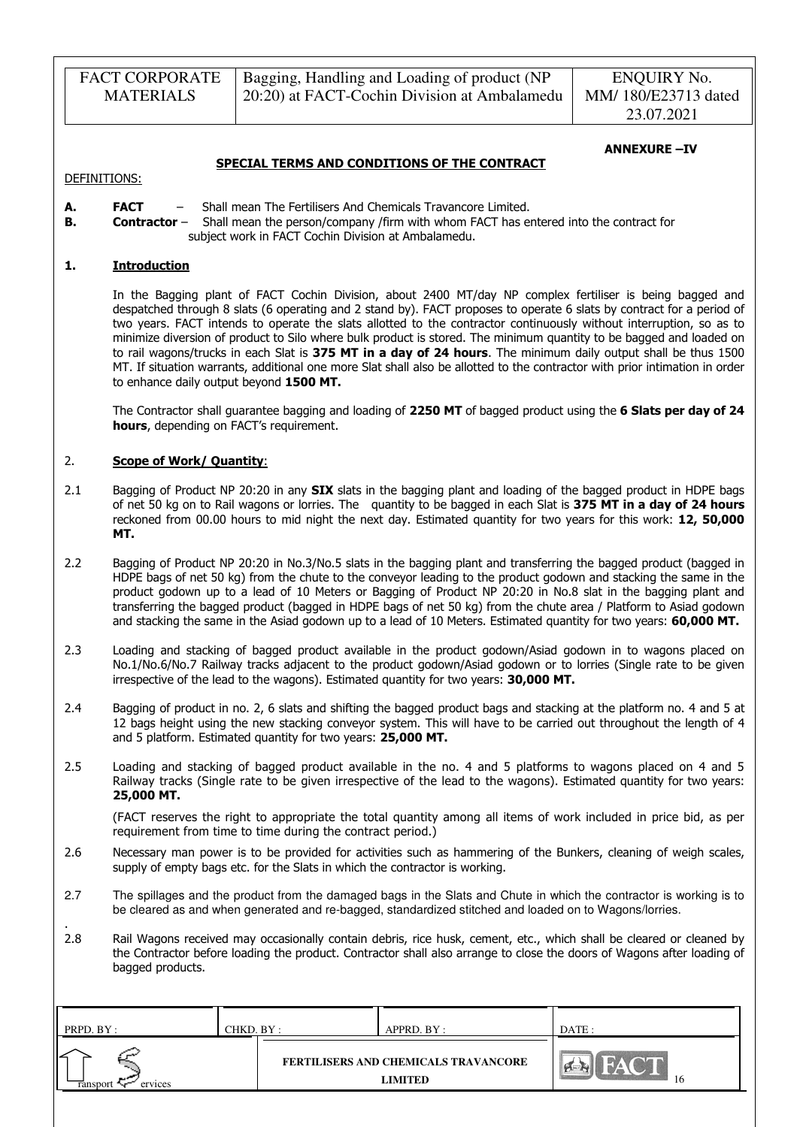| <b>FACT CORPORATE</b> | Bagging, Handling and Loading of product (NP | ENQUIRY No.         |
|-----------------------|----------------------------------------------|---------------------|
| <b>MATERIALS</b>      | 20:20) at FACT-Cochin Division at Ambalamedu | MM/180/E23713 dated |
|                       |                                              | 23.07.2021          |

#### ANNEXURE –IV

DEFINITIONS:

.

- A. FACT Shall mean The Fertilisers And Chemicals Travancore Limited.
- **B. Contractor** Shall mean the person/company /firm with whom FACT has entered into the contract for subject work in FACT Cochin Division at Ambalamedu.

SPECIAL TERMS AND CONDITIONS OF THE CONTRACT

### 1. Introduction

In the Bagging plant of FACT Cochin Division, about 2400 MT/day NP complex fertiliser is being bagged and despatched through 8 slats (6 operating and 2 stand by). FACT proposes to operate 6 slats by contract for a period of two years. FACT intends to operate the slats allotted to the contractor continuously without interruption, so as to minimize diversion of product to Silo where bulk product is stored. The minimum quantity to be bagged and loaded on to rail wagons/trucks in each Slat is 375 MT in a day of 24 hours. The minimum daily output shall be thus 1500 MT. If situation warrants, additional one more Slat shall also be allotted to the contractor with prior intimation in order to enhance daily output beyond 1500 MT.

The Contractor shall guarantee bagging and loading of 2250 MT of bagged product using the 6 Slats per day of 24 hours, depending on FACT's requirement.

#### 2. Scope of Work/ Quantity:

- 2.1 Bagging of Product NP 20:20 in any **SIX** slats in the bagging plant and loading of the bagged product in HDPE bags of net 50 kg on to Rail wagons or lorries. The quantity to be bagged in each Slat is 375 MT in a day of 24 hours reckoned from 00.00 hours to mid night the next day. Estimated quantity for two years for this work: 12, 50,000 MT.
- 2.2 Bagging of Product NP 20:20 in No.3/No.5 slats in the bagging plant and transferring the bagged product (bagged in HDPE bags of net 50 kg) from the chute to the conveyor leading to the product godown and stacking the same in the product godown up to a lead of 10 Meters or Bagging of Product NP 20:20 in No.8 slat in the bagging plant and transferring the bagged product (bagged in HDPE bags of net 50 kg) from the chute area / Platform to Asiad godown and stacking the same in the Asiad godown up to a lead of 10 Meters. Estimated quantity for two years: 60,000 MT.
- 2.3 Loading and stacking of bagged product available in the product godown/Asiad godown in to wagons placed on No.1/No.6/No.7 Railway tracks adjacent to the product godown/Asiad godown or to lorries (Single rate to be given irrespective of the lead to the wagons). Estimated quantity for two years: 30,000 MT.
- 2.4 Bagging of product in no. 2, 6 slats and shifting the bagged product bags and stacking at the platform no. 4 and 5 at 12 bags height using the new stacking conveyor system. This will have to be carried out throughout the length of 4 and 5 platform. Estimated quantity for two years: 25,000 MT.
- 2.5 Loading and stacking of bagged product available in the no. 4 and 5 platforms to wagons placed on 4 and 5 Railway tracks (Single rate to be given irrespective of the lead to the wagons). Estimated quantity for two years: 25,000 MT.

(FACT reserves the right to appropriate the total quantity among all items of work included in price bid, as per requirement from time to time during the contract period.)

- 2.6 Necessary man power is to be provided for activities such as hammering of the Bunkers, cleaning of weigh scales, supply of empty bags etc. for the Slats in which the contractor is working.
- 2.7 The spillages and the product from the damaged bags in the Slats and Chute in which the contractor is working is to be cleared as and when generated and re-bagged, standardized stitched and loaded on to Wagons/lorries.
- 2.8 Rail Wagons received may occasionally contain debris, rice husk, cement, etc., which shall be cleared or cleaned by the Contractor before loading the product. Contractor shall also arrange to close the doors of Wagons after loading of bagged products.

| PRPD. BY:           | CHKD. BY : | APPRD. BY :                                            | DATE: |
|---------------------|------------|--------------------------------------------------------|-------|
| ervices<br>ransport |            | FERTILISERS AND CHEMICALS TRAVANCORE<br><b>LIMITED</b> | 16    |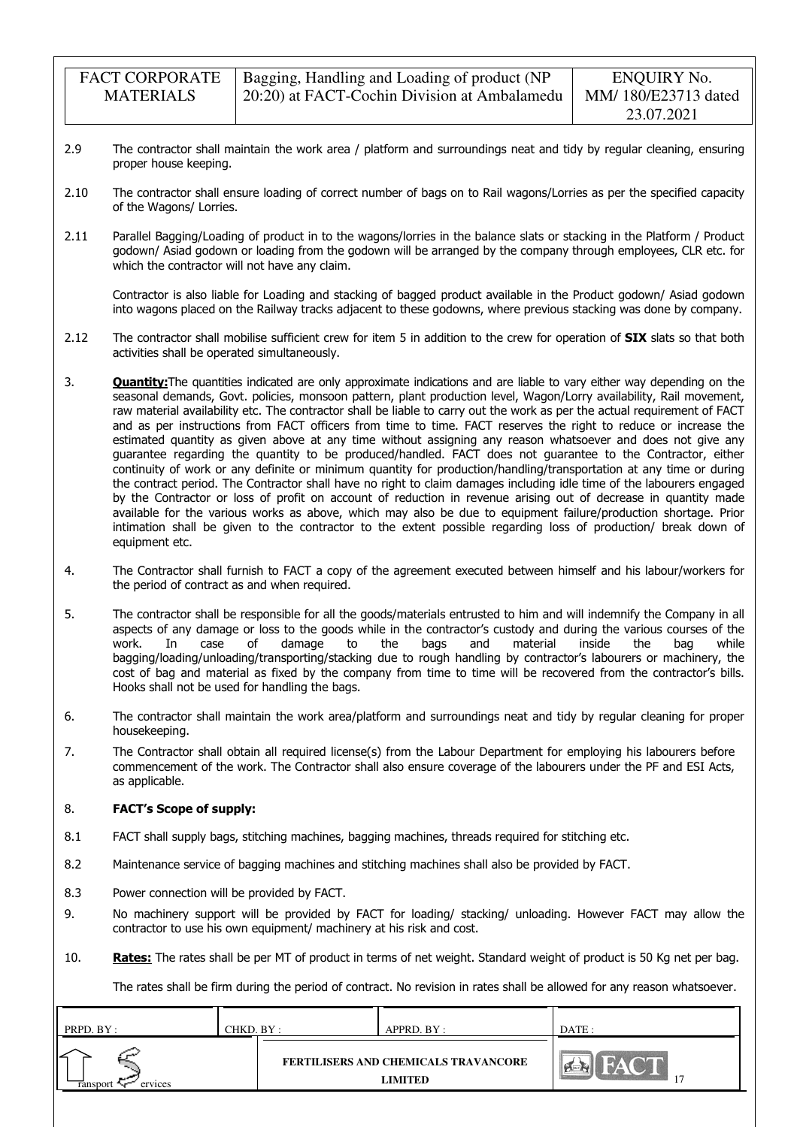| <b>FACT CORPORATE</b> | Bagging, Handling and Loading of product (NP |
|-----------------------|----------------------------------------------|
| <b>MATERIALS</b>      | 20:20) at FACT-Cochin Division at Ambalamedu |

- 2.9 The contractor shall maintain the work area / platform and surroundings neat and tidy by regular cleaning, ensuring proper house keeping.
- 2.10 The contractor shall ensure loading of correct number of bags on to Rail wagons/Lorries as per the specified capacity of the Wagons/ Lorries.
- 2.11 Parallel Bagging/Loading of product in to the wagons/lorries in the balance slats or stacking in the Platform / Product godown/ Asiad godown or loading from the godown will be arranged by the company through employees, CLR etc. for which the contractor will not have any claim.

Contractor is also liable for Loading and stacking of bagged product available in the Product godown/ Asiad godown into wagons placed on the Railway tracks adjacent to these godowns, where previous stacking was done by company.

- 2.12 The contractor shall mobilise sufficient crew for item 5 in addition to the crew for operation of **SIX** slats so that both activities shall be operated simultaneously.
- 3. **Quantity:** The quantities indicated are only approximate indications and are liable to vary either way depending on the seasonal demands, Govt. policies, monsoon pattern, plant production level, Wagon/Lorry availability, Rail movement, raw material availability etc. The contractor shall be liable to carry out the work as per the actual requirement of FACT and as per instructions from FACT officers from time to time. FACT reserves the right to reduce or increase the estimated quantity as given above at any time without assigning any reason whatsoever and does not give any guarantee regarding the quantity to be produced/handled. FACT does not guarantee to the Contractor, either continuity of work or any definite or minimum quantity for production/handling/transportation at any time or during the contract period. The Contractor shall have no right to claim damages including idle time of the labourers engaged by the Contractor or loss of profit on account of reduction in revenue arising out of decrease in quantity made available for the various works as above, which may also be due to equipment failure/production shortage. Prior intimation shall be given to the contractor to the extent possible regarding loss of production/ break down of equipment etc.
- 4. The Contractor shall furnish to FACT a copy of the agreement executed between himself and his labour/workers for the period of contract as and when required.
- 5. The contractor shall be responsible for all the goods/materials entrusted to him and will indemnify the Company in all aspects of any damage or loss to the goods while in the contractor's custody and during the various courses of the work.<br>
In case of damage to the bags and material inside the bag while work. In case of damage to the bags and material inside the bag while bagging/loading/unloading/transporting/stacking due to rough handling by contractor's labourers or machinery, the cost of bag and material as fixed by the company from time to time will be recovered from the contractor's bills. Hooks shall not be used for handling the bags.
- 6. The contractor shall maintain the work area/platform and surroundings neat and tidy by regular cleaning for proper housekeeping.
- 7. The Contractor shall obtain all required license(s) from the Labour Department for employing his labourers before commencement of the work. The Contractor shall also ensure coverage of the labourers under the PF and ESI Acts, as applicable.

### 8. FACT's Scope of supply:

- 8.1 FACT shall supply bags, stitching machines, bagging machines, threads required for stitching etc.
- 8.2 Maintenance service of bagging machines and stitching machines shall also be provided by FACT.
- 8.3 Power connection will be provided by FACT.
- 9. No machinery support will be provided by FACT for loading/ stacking/ unloading. However FACT may allow the contractor to use his own equipment/ machinery at his risk and cost.
- 10. Rates: The rates shall be per MT of product in terms of net weight. Standard weight of product is 50 Kg net per bag.

The rates shall be firm during the period of contract. No revision in rates shall be allowed for any reason whatsoever.

| PRPD. BY :               | CHKD. BY : | APPRD. BY :                                                   | DATE :           |
|--------------------------|------------|---------------------------------------------------------------|------------------|
| ↙<br>ervices<br>ransport |            | <b>FERTILISERS AND CHEMICALS TRAVANCORE</b><br><b>LIMITED</b> | $\sum_{i=1}^{n}$ |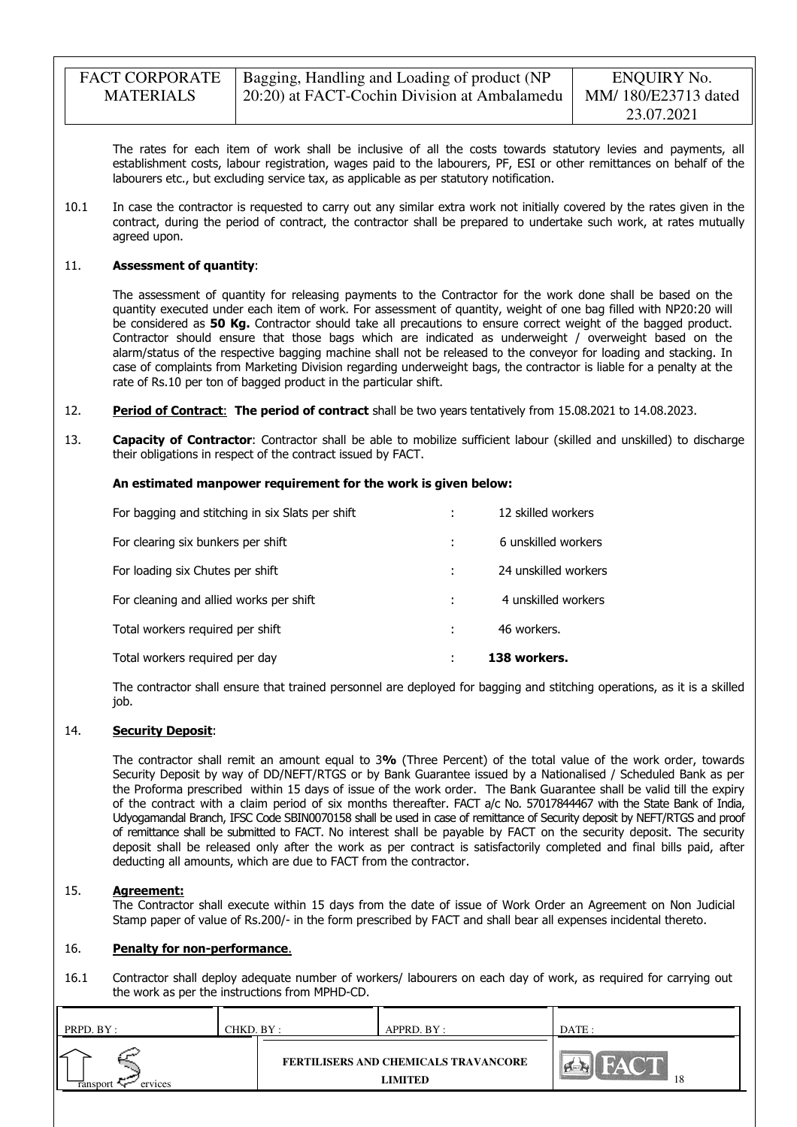| <b>FACT CORPORATE</b> | Bagging, Handling and Loading of product (NP | ENQUIRY No.         |
|-----------------------|----------------------------------------------|---------------------|
| <b>MATERIALS</b>      | 20:20) at FACT-Cochin Division at Ambalamedu | MM/180/E23713 dated |
|                       |                                              | 23.07.2021          |

The rates for each item of work shall be inclusive of all the costs towards statutory levies and payments, all establishment costs, labour registration, wages paid to the labourers, PF, ESI or other remittances on behalf of the labourers etc., but excluding service tax, as applicable as per statutory notification.

10.1 In case the contractor is requested to carry out any similar extra work not initially covered by the rates given in the contract, during the period of contract, the contractor shall be prepared to undertake such work, at rates mutually agreed upon.

#### 11. Assessment of quantity:

The assessment of quantity for releasing payments to the Contractor for the work done shall be based on the quantity executed under each item of work. For assessment of quantity, weight of one bag filled with NP20:20 will be considered as 50 Kg. Contractor should take all precautions to ensure correct weight of the bagged product. Contractor should ensure that those bags which are indicated as underweight / overweight based on the alarm/status of the respective bagging machine shall not be released to the conveyor for loading and stacking. In case of complaints from Marketing Division regarding underweight bags, the contractor is liable for a penalty at the rate of Rs.10 per ton of bagged product in the particular shift.

- 12. Period of Contract: The period of contract shall be two years tentatively from 15.08.2021 to 14.08.2023.
- 13. **Capacity of Contractor**: Contractor shall be able to mobilize sufficient labour (skilled and unskilled) to discharge their obligations in respect of the contract issued by FACT.

#### An estimated manpower requirement for the work is given below:

| Total workers required per day                   | 138 workers.         |
|--------------------------------------------------|----------------------|
| Total workers required per shift                 | 46 workers.          |
| For cleaning and allied works per shift          | 4 unskilled workers  |
| For loading six Chutes per shift                 | 24 unskilled workers |
| For clearing six bunkers per shift               | 6 unskilled workers  |
| For bagging and stitching in six Slats per shift | 12 skilled workers   |

The contractor shall ensure that trained personnel are deployed for bagging and stitching operations, as it is a skilled job.

#### 14. **Security Deposit:**

The contractor shall remit an amount equal to 3% (Three Percent) of the total value of the work order, towards Security Deposit by way of DD/NEFT/RTGS or by Bank Guarantee issued by a Nationalised / Scheduled Bank as per the Proforma prescribed within 15 days of issue of the work order. The Bank Guarantee shall be valid till the expiry of the contract with a claim period of six months thereafter. FACT a/c No. 57017844467 with the State Bank of India, Udyogamandal Branch, IFSC Code SBIN0070158 shall be used in case of remittance of Security deposit by NEFT/RTGS and proof of remittance shall be submitted to FACT. No interest shall be payable by FACT on the security deposit. The security deposit shall be released only after the work as per contract is satisfactorily completed and final bills paid, after deducting all amounts, which are due to FACT from the contractor.

#### 15. Agreement:

The Contractor shall execute within 15 days from the date of issue of Work Order an Agreement on Non Judicial Stamp paper of value of Rs.200/- in the form prescribed by FACT and shall bear all expenses incidental thereto.

#### 16. Penalty for non-performance.

16.1 Contractor shall deploy adequate number of workers/ labourers on each day of work, as required for carrying out the work as per the instructions from MPHD-CD.

| PRPD. BY: | CHKD. BY : | APPRD. BY :                          | DATE:         |
|-----------|------------|--------------------------------------|---------------|
| ervices   |            | FERTILISERS AND CHEMICALS TRAVANCORE | <b>CALLES</b> |
| ranspor   |            | <b>LIMITED</b>                       | -18           |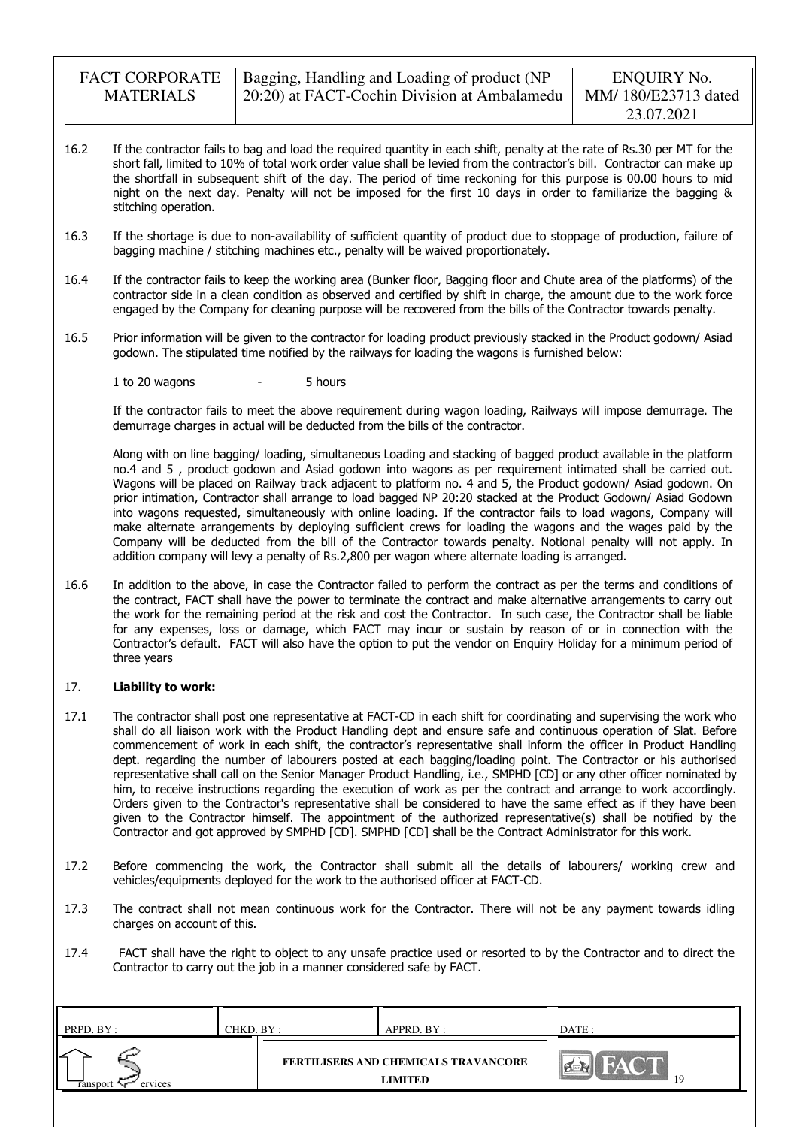| <b>FACT CORPORATE</b> | Bagging, Handling and Loading of product (NP | ENQUIRY No.         |
|-----------------------|----------------------------------------------|---------------------|
| <b>MATERIALS</b>      | 20:20) at FACT-Cochin Division at Ambalamedu | MM/180/E23713 dated |
|                       |                                              | 23.07.2021          |

- 16.2 If the contractor fails to bag and load the required quantity in each shift, penalty at the rate of Rs.30 per MT for the short fall, limited to 10% of total work order value shall be levied from the contractor's bill. Contractor can make up the shortfall in subsequent shift of the day. The period of time reckoning for this purpose is 00.00 hours to mid night on the next day. Penalty will not be imposed for the first 10 days in order to familiarize the bagging & stitching operation.
- 16.3 If the shortage is due to non-availability of sufficient quantity of product due to stoppage of production, failure of bagging machine / stitching machines etc., penalty will be waived proportionately.
- 16.4 If the contractor fails to keep the working area (Bunker floor, Bagging floor and Chute area of the platforms) of the contractor side in a clean condition as observed and certified by shift in charge, the amount due to the work force engaged by the Company for cleaning purpose will be recovered from the bills of the Contractor towards penalty.
- 16.5 Prior information will be given to the contractor for loading product previously stacked in the Product godown/ Asiad godown. The stipulated time notified by the railways for loading the wagons is furnished below:

1 to 20 wagons - 5 hours

If the contractor fails to meet the above requirement during wagon loading, Railways will impose demurrage. The demurrage charges in actual will be deducted from the bills of the contractor.

Along with on line bagging/ loading, simultaneous Loading and stacking of bagged product available in the platform no.4 and 5 , product godown and Asiad godown into wagons as per requirement intimated shall be carried out. Wagons will be placed on Railway track adjacent to platform no. 4 and 5, the Product godown/ Asiad godown. On prior intimation, Contractor shall arrange to load bagged NP 20:20 stacked at the Product Godown/ Asiad Godown into wagons requested, simultaneously with online loading. If the contractor fails to load wagons, Company will make alternate arrangements by deploying sufficient crews for loading the wagons and the wages paid by the Company will be deducted from the bill of the Contractor towards penalty. Notional penalty will not apply. In addition company will levy a penalty of Rs.2,800 per wagon where alternate loading is arranged.

16.6 In addition to the above, in case the Contractor failed to perform the contract as per the terms and conditions of the contract, FACT shall have the power to terminate the contract and make alternative arrangements to carry out the work for the remaining period at the risk and cost the Contractor. In such case, the Contractor shall be liable for any expenses, loss or damage, which FACT may incur or sustain by reason of or in connection with the Contractor's default. FACT will also have the option to put the vendor on Enquiry Holiday for a minimum period of three years

#### 17. Liability to work:

- 17.1 The contractor shall post one representative at FACT-CD in each shift for coordinating and supervising the work who shall do all liaison work with the Product Handling dept and ensure safe and continuous operation of Slat. Before commencement of work in each shift, the contractor's representative shall inform the officer in Product Handling dept. regarding the number of labourers posted at each bagging/loading point. The Contractor or his authorised representative shall call on the Senior Manager Product Handling, i.e., SMPHD [CD] or any other officer nominated by him, to receive instructions regarding the execution of work as per the contract and arrange to work accordingly. Orders given to the Contractor's representative shall be considered to have the same effect as if they have been given to the Contractor himself. The appointment of the authorized representative(s) shall be notified by the Contractor and got approved by SMPHD [CD]. SMPHD [CD] shall be the Contract Administrator for this work.
- 17.2 Before commencing the work, the Contractor shall submit all the details of labourers/ working crew and vehicles/equipments deployed for the work to the authorised officer at FACT-CD.
- 17.3 The contract shall not mean continuous work for the Contractor. There will not be any payment towards idling charges on account of this.
- 17.4 FACT shall have the right to object to any unsafe practice used or resorted to by the Contractor and to direct the Contractor to carry out the job in a manner considered safe by FACT.

| PRPD. BY:           | CHKD. BY : | APPRD. BY :                                     | DATE: |
|---------------------|------------|-------------------------------------------------|-------|
| ervices<br>ransport |            | FERTILISERS AND CHEMICALS TRAVANCORE<br>LIMITED | 19    |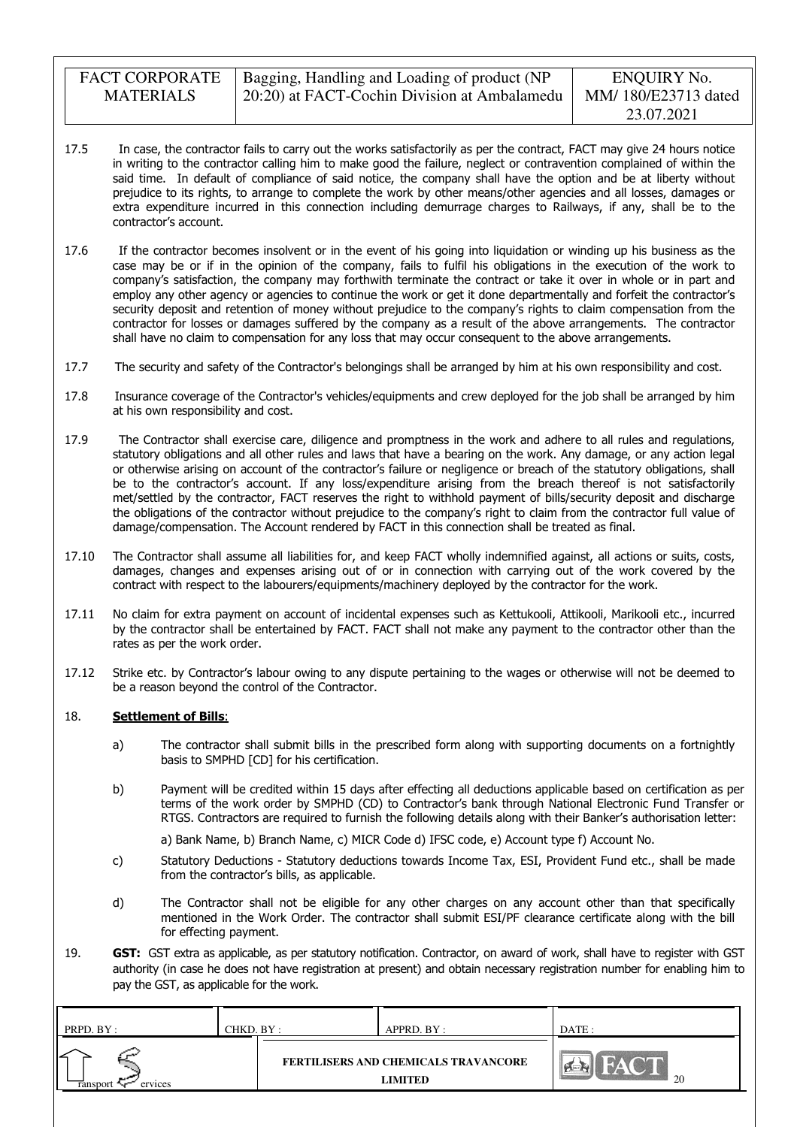| <b>FACT CORPORATE</b> | Bagging, Handling and Loading of product (NP | ENQUIRY No.         |
|-----------------------|----------------------------------------------|---------------------|
| <b>MATERIALS</b>      | 20:20) at FACT-Cochin Division at Ambalamedu | MM/180/E23713 dated |
|                       |                                              | 23.07.2021          |

- 17.5 In case, the contractor fails to carry out the works satisfactorily as per the contract, FACT may give 24 hours notice in writing to the contractor calling him to make good the failure, neglect or contravention complained of within the said time. In default of compliance of said notice, the company shall have the option and be at liberty without prejudice to its rights, to arrange to complete the work by other means/other agencies and all losses, damages or extra expenditure incurred in this connection including demurrage charges to Railways, if any, shall be to the contractor's account.
- 17.6 If the contractor becomes insolvent or in the event of his going into liquidation or winding up his business as the case may be or if in the opinion of the company, fails to fulfil his obligations in the execution of the work to company's satisfaction, the company may forthwith terminate the contract or take it over in whole or in part and employ any other agency or agencies to continue the work or get it done departmentally and forfeit the contractor's security deposit and retention of money without prejudice to the company's rights to claim compensation from the contractor for losses or damages suffered by the company as a result of the above arrangements. The contractor shall have no claim to compensation for any loss that may occur consequent to the above arrangements.
- 17.7 The security and safety of the Contractor's belongings shall be arranged by him at his own responsibility and cost.
- 17.8 Insurance coverage of the Contractor's vehicles/equipments and crew deployed for the job shall be arranged by him at his own responsibility and cost.
- 17.9 The Contractor shall exercise care, diligence and promptness in the work and adhere to all rules and regulations, statutory obligations and all other rules and laws that have a bearing on the work. Any damage, or any action legal or otherwise arising on account of the contractor's failure or negligence or breach of the statutory obligations, shall be to the contractor's account. If any loss/expenditure arising from the breach thereof is not satisfactorily met/settled by the contractor, FACT reserves the right to withhold payment of bills/security deposit and discharge the obligations of the contractor without prejudice to the company's right to claim from the contractor full value of damage/compensation. The Account rendered by FACT in this connection shall be treated as final.
- 17.10 The Contractor shall assume all liabilities for, and keep FACT wholly indemnified against, all actions or suits, costs, damages, changes and expenses arising out of or in connection with carrying out of the work covered by the contract with respect to the labourers/equipments/machinery deployed by the contractor for the work.
- 17.11 No claim for extra payment on account of incidental expenses such as Kettukooli, Attikooli, Marikooli etc., incurred by the contractor shall be entertained by FACT. FACT shall not make any payment to the contractor other than the rates as per the work order.
- 17.12 Strike etc. by Contractor's labour owing to any dispute pertaining to the wages or otherwise will not be deemed to be a reason beyond the control of the Contractor.

#### 18. Settlement of Bills:

- a) The contractor shall submit bills in the prescribed form along with supporting documents on a fortnightly basis to SMPHD [CD] for his certification.
- b) Payment will be credited within 15 days after effecting all deductions applicable based on certification as per terms of the work order by SMPHD (CD) to Contractor's bank through National Electronic Fund Transfer or RTGS. Contractors are required to furnish the following details along with their Banker's authorisation letter:
	- a) Bank Name, b) Branch Name, c) MICR Code d) IFSC code, e) Account type f) Account No.
- c) Statutory Deductions Statutory deductions towards Income Tax, ESI, Provident Fund etc., shall be made from the contractor's bills, as applicable.
- d) The Contractor shall not be eligible for any other charges on any account other than that specifically mentioned in the Work Order. The contractor shall submit ESI/PF clearance certificate along with the bill for effecting payment.
- 19. GST: GST extra as applicable, as per statutory notification. Contractor, on award of work, shall have to register with GST authority (in case he does not have registration at present) and obtain necessary registration number for enabling him to pay the GST, as applicable for the work.

| PRPD. BY:         | CHKD. BY : | APPRD. BY :                                     | DATE: |
|-------------------|------------|-------------------------------------------------|-------|
| ervices<br>ranspo |            | FERTILISERS AND CHEMICALS TRAVANCORE<br>LIMITED | 20    |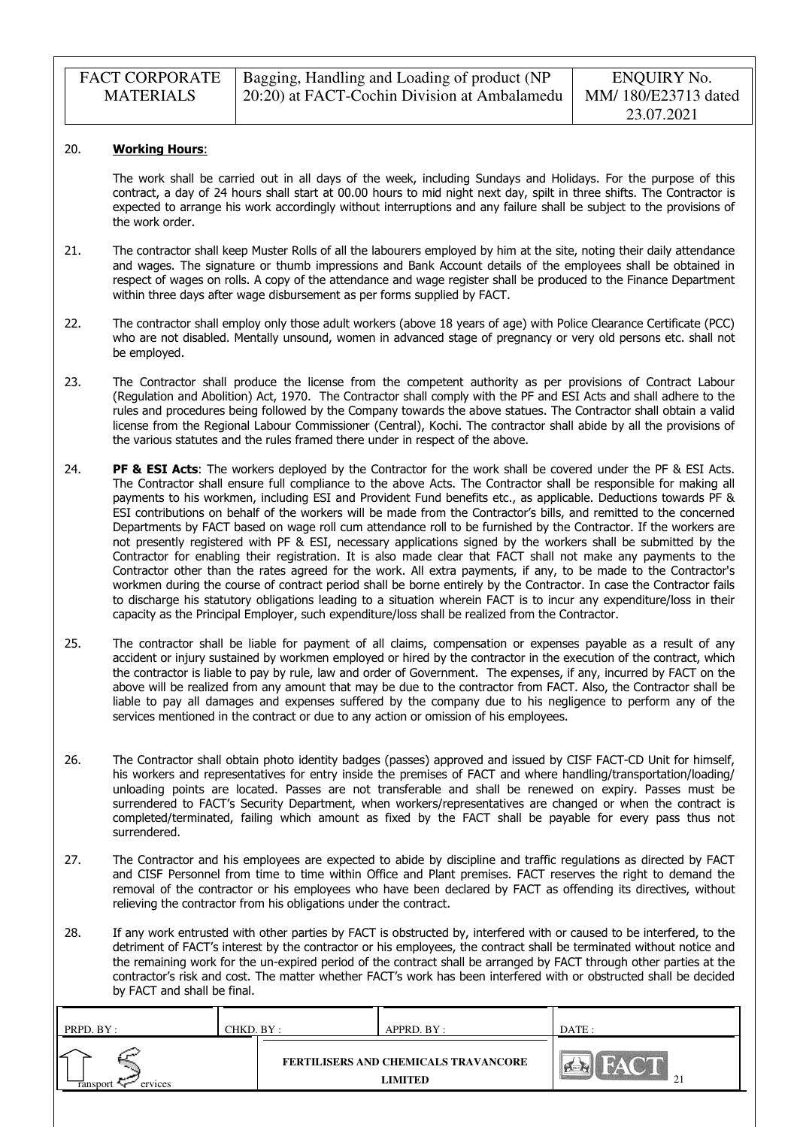| <b>FACT CORPORATE</b> | Bagging, Handling and Loading of product (NP | ENQUIRY No.         |
|-----------------------|----------------------------------------------|---------------------|
| <b>MATERIALS</b>      | 20:20) at FACT-Cochin Division at Ambalamedu | MM/180/E23713 dated |
|                       |                                              | 23.07.2021          |

#### 20. Working Hours:

The work shall be carried out in all days of the week, including Sundays and Holidays. For the purpose of this contract, a day of 24 hours shall start at 00.00 hours to mid night next day, spilt in three shifts. The Contractor is expected to arrange his work accordingly without interruptions and any failure shall be subject to the provisions of the work order.

- 21. The contractor shall keep Muster Rolls of all the labourers employed by him at the site, noting their daily attendance and wages. The signature or thumb impressions and Bank Account details of the employees shall be obtained in respect of wages on rolls. A copy of the attendance and wage register shall be produced to the Finance Department within three days after wage disbursement as per forms supplied by FACT.
- 22. The contractor shall employ only those adult workers (above 18 years of age) with Police Clearance Certificate (PCC) who are not disabled. Mentally unsound, women in advanced stage of pregnancy or very old persons etc. shall not be employed.
- 23. The Contractor shall produce the license from the competent authority as per provisions of Contract Labour (Regulation and Abolition) Act, 1970. The Contractor shall comply with the PF and ESI Acts and shall adhere to the rules and procedures being followed by the Company towards the above statues. The Contractor shall obtain a valid license from the Regional Labour Commissioner (Central), Kochi. The contractor shall abide by all the provisions of the various statutes and the rules framed there under in respect of the above.
- 24. PF & ESI Acts: The workers deployed by the Contractor for the work shall be covered under the PF & ESI Acts. The Contractor shall ensure full compliance to the above Acts. The Contractor shall be responsible for making all payments to his workmen, including ESI and Provident Fund benefits etc., as applicable. Deductions towards PF & ESI contributions on behalf of the workers will be made from the Contractor's bills, and remitted to the concerned Departments by FACT based on wage roll cum attendance roll to be furnished by the Contractor. If the workers are not presently registered with PF & ESI, necessary applications signed by the workers shall be submitted by the Contractor for enabling their registration. It is also made clear that FACT shall not make any payments to the Contractor other than the rates agreed for the work. All extra payments, if any, to be made to the Contractor's workmen during the course of contract period shall be borne entirely by the Contractor. In case the Contractor fails to discharge his statutory obligations leading to a situation wherein FACT is to incur any expenditure/loss in their capacity as the Principal Employer, such expenditure/loss shall be realized from the Contractor.
- 25. The contractor shall be liable for payment of all claims, compensation or expenses payable as a result of any accident or injury sustained by workmen employed or hired by the contractor in the execution of the contract, which the contractor is liable to pay by rule, law and order of Government. The expenses, if any, incurred by FACT on the above will be realized from any amount that may be due to the contractor from FACT. Also, the Contractor shall be liable to pay all damages and expenses suffered by the company due to his negligence to perform any of the services mentioned in the contract or due to any action or omission of his employees.
- 26. The Contractor shall obtain photo identity badges (passes) approved and issued by CISF FACT-CD Unit for himself, his workers and representatives for entry inside the premises of FACT and where handling/transportation/loading/ unloading points are located. Passes are not transferable and shall be renewed on expiry. Passes must be surrendered to FACT's Security Department, when workers/representatives are changed or when the contract is completed/terminated, failing which amount as fixed by the FACT shall be payable for every pass thus not surrendered.
- 27. The Contractor and his employees are expected to abide by discipline and traffic regulations as directed by FACT and CISF Personnel from time to time within Office and Plant premises. FACT reserves the right to demand the removal of the contractor or his employees who have been declared by FACT as offending its directives, without relieving the contractor from his obligations under the contract.
- 28. If any work entrusted with other parties by FACT is obstructed by, interfered with or caused to be interfered, to the detriment of FACT's interest by the contractor or his employees, the contract shall be terminated without notice and the remaining work for the un-expired period of the contract shall be arranged by FACT through other parties at the contractor's risk and cost. The matter whether FACT's work has been interfered with or obstructed shall be decided by FACT and shall be final.

| PRPD. BY: | CHKD. BY : | APPRD. BY :                          | DATE :    |
|-----------|------------|--------------------------------------|-----------|
| ervices   |            | FERTILISERS AND CHEMICALS TRAVANCORE | $\bigcap$ |
| ransport  |            | <b>LIMITED</b>                       | ∸         |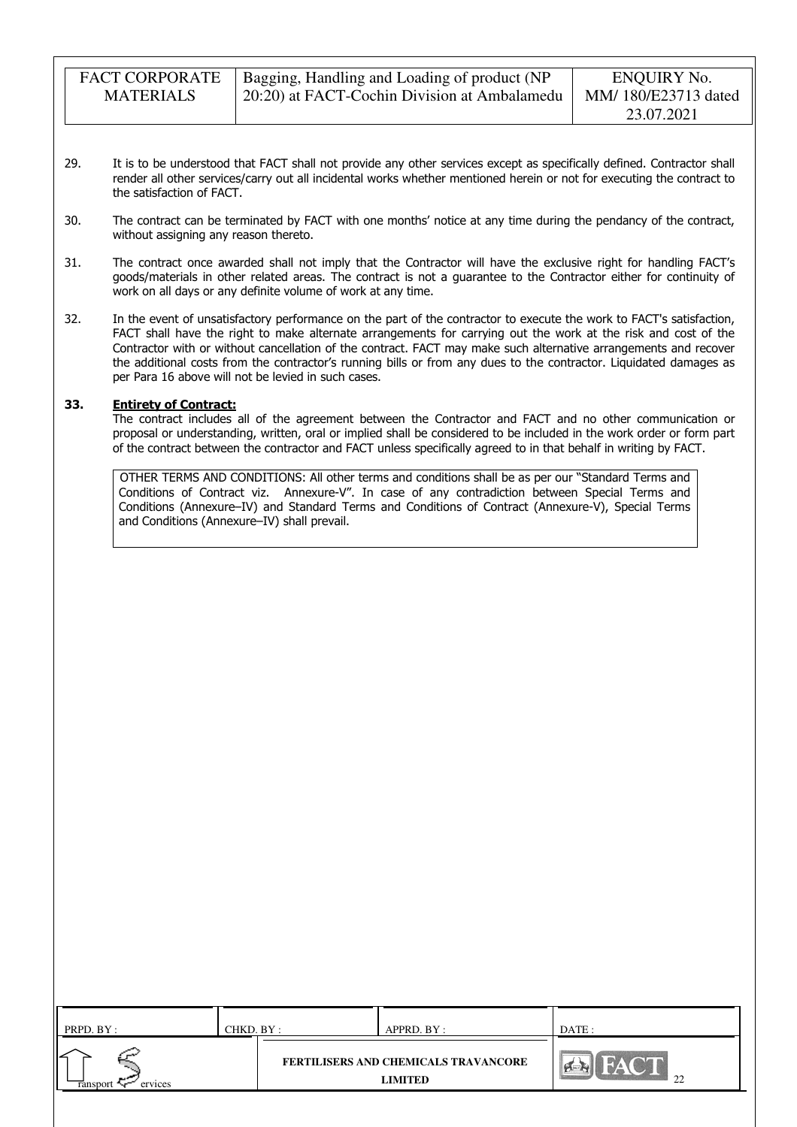FACT CORPORATE MATERIALS

- 29. It is to be understood that FACT shall not provide any other services except as specifically defined. Contractor shall render all other services/carry out all incidental works whether mentioned herein or not for executing the contract to the satisfaction of FACT.
- 30. The contract can be terminated by FACT with one months' notice at any time during the pendancy of the contract, without assigning any reason thereto.
- 31. The contract once awarded shall not imply that the Contractor will have the exclusive right for handling FACT's goods/materials in other related areas. The contract is not a guarantee to the Contractor either for continuity of work on all days or any definite volume of work at any time.
- 32. In the event of unsatisfactory performance on the part of the contractor to execute the work to FACT's satisfaction, FACT shall have the right to make alternate arrangements for carrying out the work at the risk and cost of the Contractor with or without cancellation of the contract. FACT may make such alternative arrangements and recover the additional costs from the contractor's running bills or from any dues to the contractor. Liquidated damages as per Para 16 above will not be levied in such cases.

### 33. Entirety of Contract:

The contract includes all of the agreement between the Contractor and FACT and no other communication or proposal or understanding, written, oral or implied shall be considered to be included in the work order or form part of the contract between the contractor and FACT unless specifically agreed to in that behalf in writing by FACT.

OTHER TERMS AND CONDITIONS: All other terms and conditions shall be as per our "Standard Terms and Conditions of Contract viz. Annexure-V". In case of any contradiction between Special Terms and Conditions (Annexure–IV) and Standard Terms and Conditions of Contract (Annexure-V), Special Terms and Conditions (Annexure–IV) shall prevail.

| PRPD. BY :          | CHKD. BY : | APPRD. BY :                                                   | DATE: |
|---------------------|------------|---------------------------------------------------------------|-------|
| ervices<br>ransport |            | <b>FERTILISERS AND CHEMICALS TRAVANCORE</b><br><b>LIMITED</b> | 22    |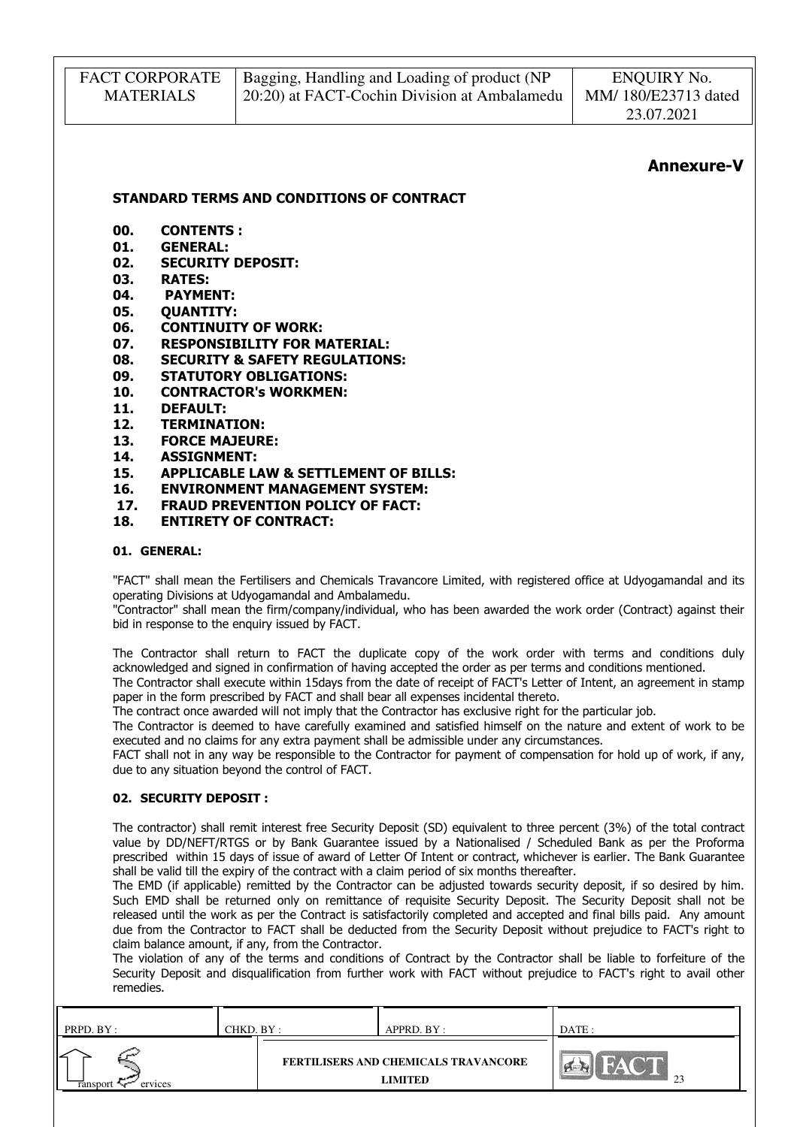| <b>FACT CORPORATE</b> | Bagging, Handling and Loading of product (NP | ENQUIRY No.         |
|-----------------------|----------------------------------------------|---------------------|
| <b>MATERIALS</b>      | 20:20) at FACT-Cochin Division at Ambalamedu | MM/180/E23713 dated |
|                       |                                              | 23.07.2021          |

### Annexure-V

STANDARD TERMS AND CONDITIONS OF CONTRACT

- 00. CONTENTS :
- 01. GENERAL:
- 02. SECURITY DEPOSIT:
- 03. RATES:
- 04. PAYMENT:
- 05. OUANTITY:
- 06. CONTINUITY OF WORK:<br>07. RESPONSIBILITY FOR M
- RESPONSIBILITY FOR MATERIAL:
- 08. SECURITY & SAFETY REGULATIONS:
- 09. STATUTORY OBLIGATIONS:
- 10. CONTRACTOR's WORKMEN:
- 11. DEFAULT:
- 12. TERMINATION:
- 13. FORCE MAJEURE:
- 14. ASSIGNMENT:
- 15. APPLICABLE LAW & SETTLEMENT OF BILLS:
- 16. ENVIRONMENT MANAGEMENT SYSTEM:
- 17. FRAUD PREVENTION POLICY OF FACT:
- 18. ENTIRETY OF CONTRACT:

### 01. GENERAL:

"FACT" shall mean the Fertilisers and Chemicals Travancore Limited, with registered office at Udyogamandal and its operating Divisions at Udyogamandal and Ambalamedu.

"Contractor" shall mean the firm/company/individual, who has been awarded the work order (Contract) against their bid in response to the enquiry issued by FACT.

The Contractor shall return to FACT the duplicate copy of the work order with terms and conditions duly acknowledged and signed in confirmation of having accepted the order as per terms and conditions mentioned.

The Contractor shall execute within 15days from the date of receipt of FACT's Letter of Intent, an agreement in stamp paper in the form prescribed by FACT and shall bear all expenses incidental thereto.

The contract once awarded will not imply that the Contractor has exclusive right for the particular job.

The Contractor is deemed to have carefully examined and satisfied himself on the nature and extent of work to be executed and no claims for any extra payment shall be admissible under any circumstances.

FACT shall not in any way be responsible to the Contractor for payment of compensation for hold up of work, if any, due to any situation beyond the control of FACT.

#### 02. SECURITY DEPOSIT :

The contractor) shall remit interest free Security Deposit (SD) equivalent to three percent (3%) of the total contract value by DD/NEFT/RTGS or by Bank Guarantee issued by a Nationalised / Scheduled Bank as per the Proforma prescribed within 15 days of issue of award of Letter Of Intent or contract, whichever is earlier. The Bank Guarantee shall be valid till the expiry of the contract with a claim period of six months thereafter.

The EMD (if applicable) remitted by the Contractor can be adjusted towards security deposit, if so desired by him. Such EMD shall be returned only on remittance of requisite Security Deposit. The Security Deposit shall not be released until the work as per the Contract is satisfactorily completed and accepted and final bills paid. Any amount due from the Contractor to FACT shall be deducted from the Security Deposit without prejudice to FACT's right to claim balance amount, if any, from the Contractor.

The violation of any of the terms and conditions of Contract by the Contractor shall be liable to forfeiture of the Security Deposit and disqualification from further work with FACT without prejudice to FACT's right to avail other remedies.

| PRPD. BY:          | CHKD. BY : | APPRD. BY :                                            | DATE : |
|--------------------|------------|--------------------------------------------------------|--------|
| ervices<br>ranspor |            | <b>FERTILISERS AND CHEMICALS TRAVANCORE</b><br>LIMITED | $\cap$ |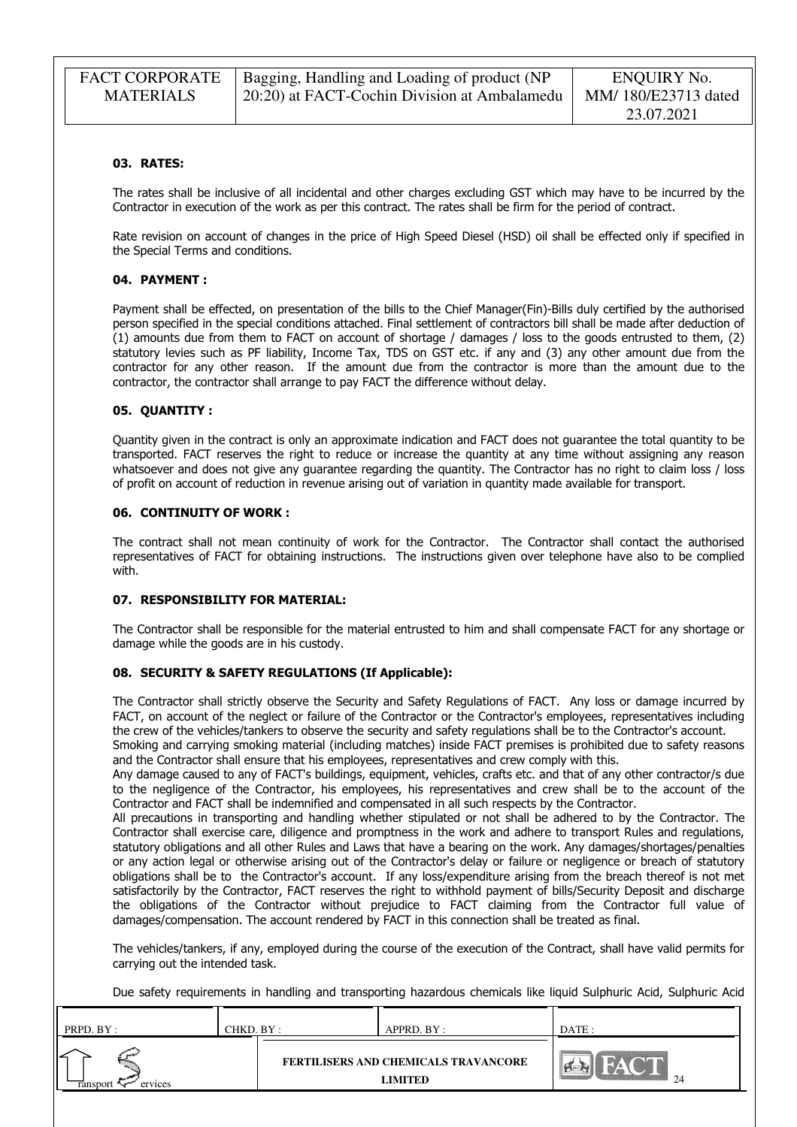| <b>FACT CORPORATE</b> | Bagging, Handling and Loading of product (NP | ENQUIRY No.         |
|-----------------------|----------------------------------------------|---------------------|
| <b>MATERIALS</b>      | 20:20) at FACT-Cochin Division at Ambalamedu | MM/180/E23713 dated |
|                       |                                              | 23.07.2021          |

#### 03. RATES:

The rates shall be inclusive of all incidental and other charges excluding GST which may have to be incurred by the Contractor in execution of the work as per this contract. The rates shall be firm for the period of contract.

Rate revision on account of changes in the price of High Speed Diesel (HSD) oil shall be effected only if specified in the Special Terms and conditions.

#### 04. PAYMENT :

Payment shall be effected, on presentation of the bills to the Chief Manager(Fin)-Bills duly certified by the authorised person specified in the special conditions attached. Final settlement of contractors bill shall be made after deduction of (1) amounts due from them to FACT on account of shortage / damages / loss to the goods entrusted to them, (2) statutory levies such as PF liability, Income Tax, TDS on GST etc. if any and (3) any other amount due from the contractor for any other reason. If the amount due from the contractor is more than the amount due to the contractor, the contractor shall arrange to pay FACT the difference without delay.

#### 05. QUANTITY :

Quantity given in the contract is only an approximate indication and FACT does not guarantee the total quantity to be transported. FACT reserves the right to reduce or increase the quantity at any time without assigning any reason whatsoever and does not give any guarantee regarding the quantity. The Contractor has no right to claim loss / loss of profit on account of reduction in revenue arising out of variation in quantity made available for transport.

#### 06. CONTINUITY OF WORK :

The contract shall not mean continuity of work for the Contractor. The Contractor shall contact the authorised representatives of FACT for obtaining instructions. The instructions given over telephone have also to be complied with.

#### 07. RESPONSIBILITY FOR MATERIAL:

The Contractor shall be responsible for the material entrusted to him and shall compensate FACT for any shortage or damage while the goods are in his custody.

#### 08. SECURITY & SAFETY REGULATIONS (If Applicable):

The Contractor shall strictly observe the Security and Safety Regulations of FACT. Any loss or damage incurred by FACT, on account of the neglect or failure of the Contractor or the Contractor's employees, representatives including the crew of the vehicles/tankers to observe the security and safety regulations shall be to the Contractor's account. Smoking and carrying smoking material (including matches) inside FACT premises is prohibited due to safety reasons

and the Contractor shall ensure that his employees, representatives and crew comply with this. Any damage caused to any of FACT's buildings, equipment, vehicles, crafts etc. and that of any other contractor/s due to the negligence of the Contractor, his employees, his representatives and crew shall be to the account of the Contractor and FACT shall be indemnified and compensated in all such respects by the Contractor.

All precautions in transporting and handling whether stipulated or not shall be adhered to by the Contractor. The Contractor shall exercise care, diligence and promptness in the work and adhere to transport Rules and regulations, statutory obligations and all other Rules and Laws that have a bearing on the work. Any damages/shortages/penalties or any action legal or otherwise arising out of the Contractor's delay or failure or negligence or breach of statutory obligations shall be to the Contractor's account. If any loss/expenditure arising from the breach thereof is not met satisfactorily by the Contractor, FACT reserves the right to withhold payment of bills/Security Deposit and discharge the obligations of the Contractor without prejudice to FACT claiming from the Contractor full value of damages/compensation. The account rendered by FACT in this connection shall be treated as final.

The vehicles/tankers, if any, employed during the course of the execution of the Contract, shall have valid permits for carrying out the intended task.

Due safety requirements in handling and transporting hazardous chemicals like liquid Sulphuric Acid, Sulphuric Acid

| PRPD. BY:           | CHKD. BY : | APPRD. BY :                                                   | DATE : |  |
|---------------------|------------|---------------------------------------------------------------|--------|--|
| ervices<br>ransport |            | <b>FERTILISERS AND CHEMICALS TRAVANCORE</b><br><b>LIMITED</b> | 24     |  |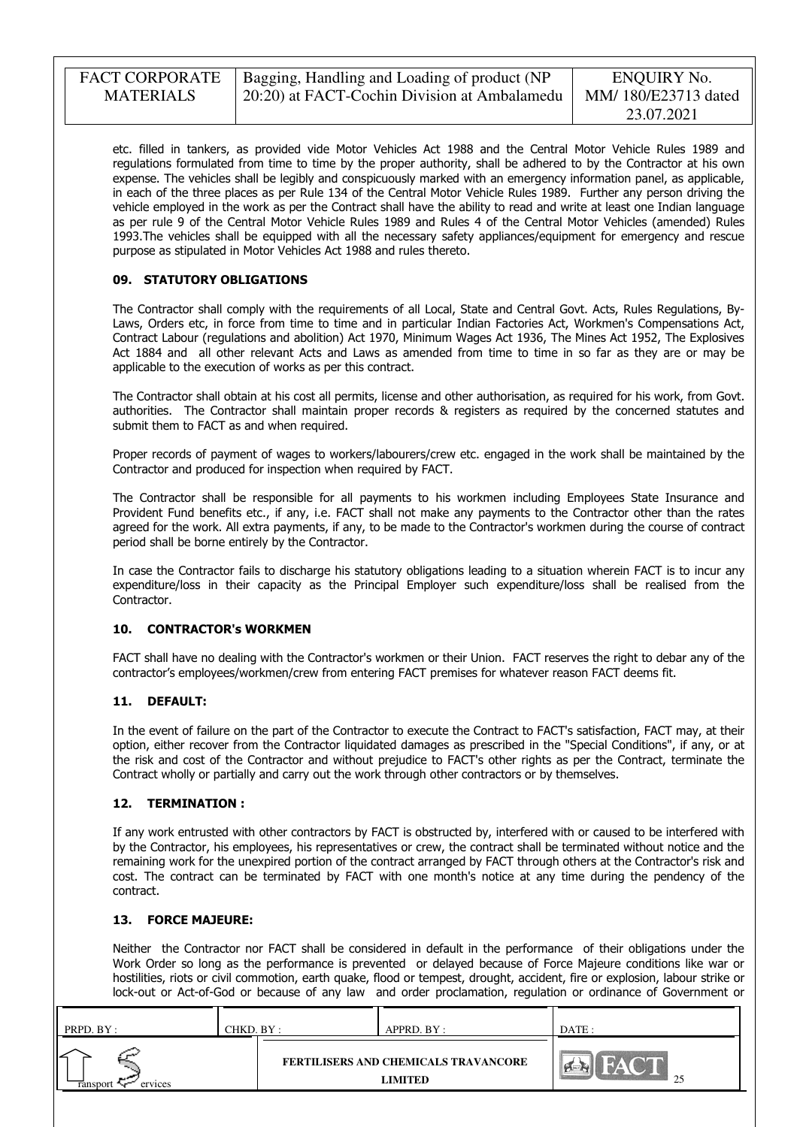etc. filled in tankers, as provided vide Motor Vehicles Act 1988 and the Central Motor Vehicle Rules 1989 and regulations formulated from time to time by the proper authority, shall be adhered to by the Contractor at his own expense. The vehicles shall be legibly and conspicuously marked with an emergency information panel, as applicable, in each of the three places as per Rule 134 of the Central Motor Vehicle Rules 1989. Further any person driving the vehicle employed in the work as per the Contract shall have the ability to read and write at least one Indian language as per rule 9 of the Central Motor Vehicle Rules 1989 and Rules 4 of the Central Motor Vehicles (amended) Rules 1993.The vehicles shall be equipped with all the necessary safety appliances/equipment for emergency and rescue purpose as stipulated in Motor Vehicles Act 1988 and rules thereto.

### 09. STATUTORY OBLIGATIONS

The Contractor shall comply with the requirements of all Local, State and Central Govt. Acts, Rules Regulations, By-Laws, Orders etc, in force from time to time and in particular Indian Factories Act, Workmen's Compensations Act, Contract Labour (regulations and abolition) Act 1970, Minimum Wages Act 1936, The Mines Act 1952, The Explosives Act 1884 and all other relevant Acts and Laws as amended from time to time in so far as they are or may be applicable to the execution of works as per this contract.

The Contractor shall obtain at his cost all permits, license and other authorisation, as required for his work, from Govt. authorities. The Contractor shall maintain proper records & registers as required by the concerned statutes and submit them to FACT as and when required.

Proper records of payment of wages to workers/labourers/crew etc. engaged in the work shall be maintained by the Contractor and produced for inspection when required by FACT.

The Contractor shall be responsible for all payments to his workmen including Employees State Insurance and Provident Fund benefits etc., if any, i.e. FACT shall not make any payments to the Contractor other than the rates agreed for the work. All extra payments, if any, to be made to the Contractor's workmen during the course of contract period shall be borne entirely by the Contractor.

In case the Contractor fails to discharge his statutory obligations leading to a situation wherein FACT is to incur any expenditure/loss in their capacity as the Principal Employer such expenditure/loss shall be realised from the Contractor.

#### 10. CONTRACTOR's WORKMEN

FACT shall have no dealing with the Contractor's workmen or their Union. FACT reserves the right to debar any of the contractor's employees/workmen/crew from entering FACT premises for whatever reason FACT deems fit.

#### 11. DEFAULT:

In the event of failure on the part of the Contractor to execute the Contract to FACT's satisfaction, FACT may, at their option, either recover from the Contractor liquidated damages as prescribed in the "Special Conditions", if any, or at the risk and cost of the Contractor and without prejudice to FACT's other rights as per the Contract, terminate the Contract wholly or partially and carry out the work through other contractors or by themselves.

#### 12. TERMINATION :

If any work entrusted with other contractors by FACT is obstructed by, interfered with or caused to be interfered with by the Contractor, his employees, his representatives or crew, the contract shall be terminated without notice and the remaining work for the unexpired portion of the contract arranged by FACT through others at the Contractor's risk and cost. The contract can be terminated by FACT with one month's notice at any time during the pendency of the contract.

### 13. FORCE MAJEURE:

Neither the Contractor nor FACT shall be considered in default in the performance of their obligations under the Work Order so long as the performance is prevented or delayed because of Force Majeure conditions like war or hostilities, riots or civil commotion, earth quake, flood or tempest, drought, accident, fire or explosion, labour strike or lock-out or Act-of-God or because of any law and order proclamation, regulation or ordinance of Government or

| PRPD. BY: | CHKD. BY : | APPRD. BY :                          | DATE :   |
|-----------|------------|--------------------------------------|----------|
| ervices   |            | FERTILISERS AND CHEMICALS TRAVANCORE | $\gamma$ |
| ransport  |            | LIMITED                              | ت        |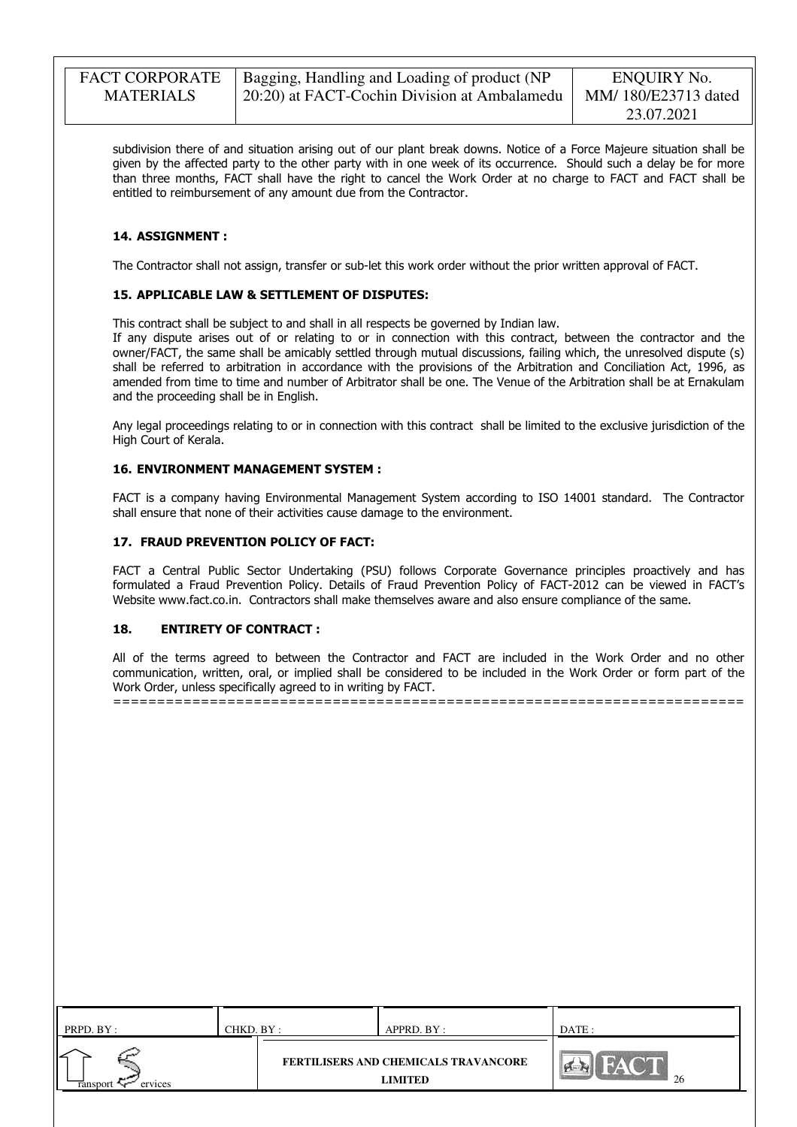| <b>FACT CORPORATE</b> | Bagging, Handling and Loading of product (NP  | ENQUIRY No.         |
|-----------------------|-----------------------------------------------|---------------------|
| <b>MATERIALS</b>      | [20:20] at FACT-Cochin Division at Ambalamedu | MM/180/E23713 dated |
|                       |                                               | 23.07.2021          |

subdivision there of and situation arising out of our plant break downs. Notice of a Force Majeure situation shall be given by the affected party to the other party with in one week of its occurrence. Should such a delay be for more than three months, FACT shall have the right to cancel the Work Order at no charge to FACT and FACT shall be entitled to reimbursement of any amount due from the Contractor.

### 14. ASSIGNMENT :

The Contractor shall not assign, transfer or sub-let this work order without the prior written approval of FACT.

#### 15. APPLICABLE LAW & SETTLEMENT OF DISPUTES:

This contract shall be subject to and shall in all respects be governed by Indian law.

If any dispute arises out of or relating to or in connection with this contract, between the contractor and the owner/FACT, the same shall be amicably settled through mutual discussions, failing which, the unresolved dispute (s) shall be referred to arbitration in accordance with the provisions of the Arbitration and Conciliation Act, 1996, as amended from time to time and number of Arbitrator shall be one. The Venue of the Arbitration shall be at Ernakulam and the proceeding shall be in English.

Any legal proceedings relating to or in connection with this contract shall be limited to the exclusive jurisdiction of the High Court of Kerala.

#### 16. ENVIRONMENT MANAGEMENT SYSTEM :

FACT is a company having Environmental Management System according to ISO 14001 standard. The Contractor shall ensure that none of their activities cause damage to the environment.

#### 17. FRAUD PREVENTION POLICY OF FACT:

FACT a Central Public Sector Undertaking (PSU) follows Corporate Governance principles proactively and has formulated a Fraud Prevention Policy. Details of Fraud Prevention Policy of FACT-2012 can be viewed in FACT's Website www.fact.co.in. Contractors shall make themselves aware and also ensure compliance of the same.

#### 18. ENTIRETY OF CONTRACT :

All of the terms agreed to between the Contractor and FACT are included in the Work Order and no other communication, written, oral, or implied shall be considered to be included in the Work Order or form part of the Work Order, unless specifically agreed to in writing by FACT. ========================================================================

| PRPD. BY :          | CHKD. BY : | APPRD. BY :                                            | DATE: |
|---------------------|------------|--------------------------------------------------------|-------|
| ervices<br>ransport |            | FERTILISERS AND CHEMICALS TRAVANCORE<br><b>LIMITED</b> | 26    |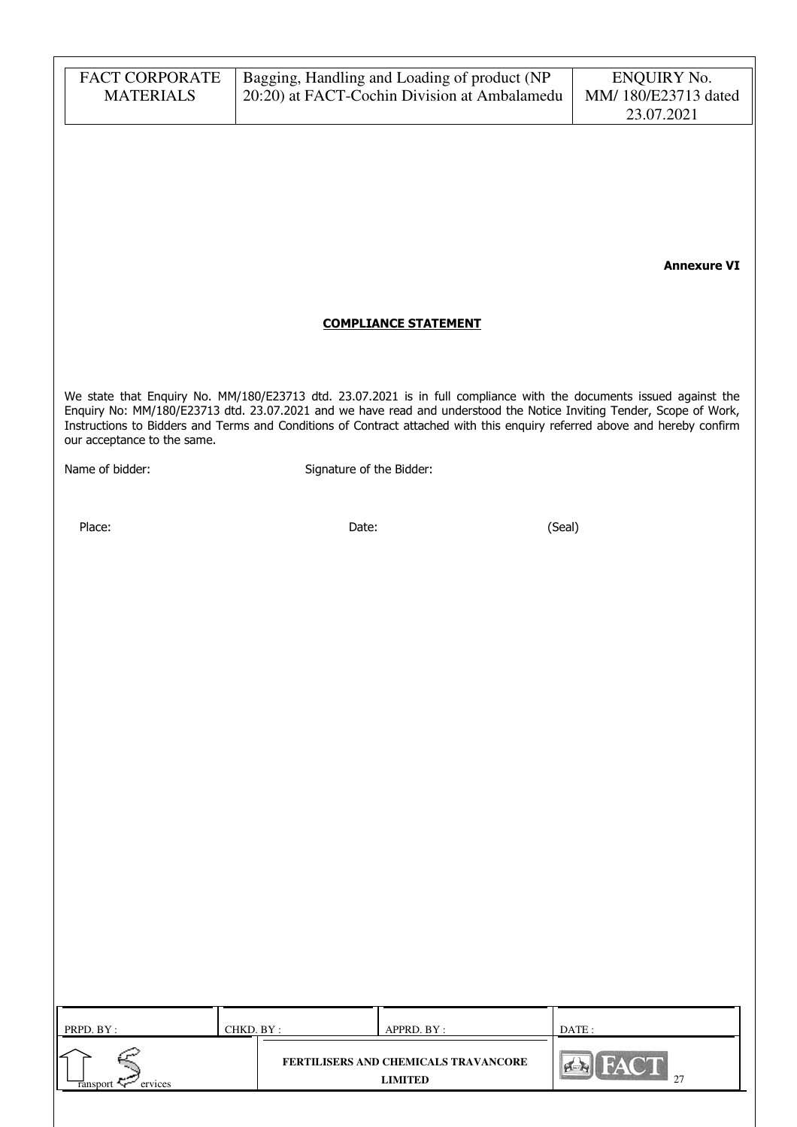| <b>FACT CORPORATE</b><br><b>MATERIALS</b> |                                                                                                                                                                                                                                                                                                                                                                          | Bagging, Handling and Loading of product (NP<br>20:20) at FACT-Cochin Division at Ambalamedu | <b>ENQUIRY No.</b><br>MM/180/E23713 dated<br>23.07.2021 |  |  |  |
|-------------------------------------------|--------------------------------------------------------------------------------------------------------------------------------------------------------------------------------------------------------------------------------------------------------------------------------------------------------------------------------------------------------------------------|----------------------------------------------------------------------------------------------|---------------------------------------------------------|--|--|--|
|                                           |                                                                                                                                                                                                                                                                                                                                                                          |                                                                                              |                                                         |  |  |  |
|                                           |                                                                                                                                                                                                                                                                                                                                                                          |                                                                                              |                                                         |  |  |  |
|                                           |                                                                                                                                                                                                                                                                                                                                                                          |                                                                                              | <b>Annexure VI</b>                                      |  |  |  |
|                                           |                                                                                                                                                                                                                                                                                                                                                                          | <b>COMPLIANCE STATEMENT</b>                                                                  |                                                         |  |  |  |
| our acceptance to the same.               | We state that Enquiry No. MM/180/E23713 dtd. 23.07.2021 is in full compliance with the documents issued against the<br>Enquiry No: MM/180/E23713 dtd. 23.07.2021 and we have read and understood the Notice Inviting Tender, Scope of Work,<br>Instructions to Bidders and Terms and Conditions of Contract attached with this enquiry referred above and hereby confirm |                                                                                              |                                                         |  |  |  |
| Name of bidder:                           | Signature of the Bidder:                                                                                                                                                                                                                                                                                                                                                 |                                                                                              |                                                         |  |  |  |
| Place:                                    | Date:                                                                                                                                                                                                                                                                                                                                                                    | (Seal)                                                                                       |                                                         |  |  |  |
|                                           |                                                                                                                                                                                                                                                                                                                                                                          |                                                                                              |                                                         |  |  |  |
|                                           |                                                                                                                                                                                                                                                                                                                                                                          |                                                                                              |                                                         |  |  |  |
|                                           |                                                                                                                                                                                                                                                                                                                                                                          |                                                                                              |                                                         |  |  |  |
|                                           |                                                                                                                                                                                                                                                                                                                                                                          |                                                                                              |                                                         |  |  |  |
|                                           |                                                                                                                                                                                                                                                                                                                                                                          |                                                                                              |                                                         |  |  |  |
|                                           |                                                                                                                                                                                                                                                                                                                                                                          |                                                                                              |                                                         |  |  |  |
|                                           |                                                                                                                                                                                                                                                                                                                                                                          |                                                                                              |                                                         |  |  |  |
|                                           |                                                                                                                                                                                                                                                                                                                                                                          |                                                                                              |                                                         |  |  |  |
|                                           |                                                                                                                                                                                                                                                                                                                                                                          |                                                                                              |                                                         |  |  |  |
| PRPD. BY:                                 | CHKD. BY:                                                                                                                                                                                                                                                                                                                                                                | APPRD. BY:                                                                                   | DATE:                                                   |  |  |  |
| ervices<br>ransport Tr                    |                                                                                                                                                                                                                                                                                                                                                                          | FERTILISERS AND CHEMICALS TRAVANCORE<br><b>LIMITED</b>                                       | FACT<br>27                                              |  |  |  |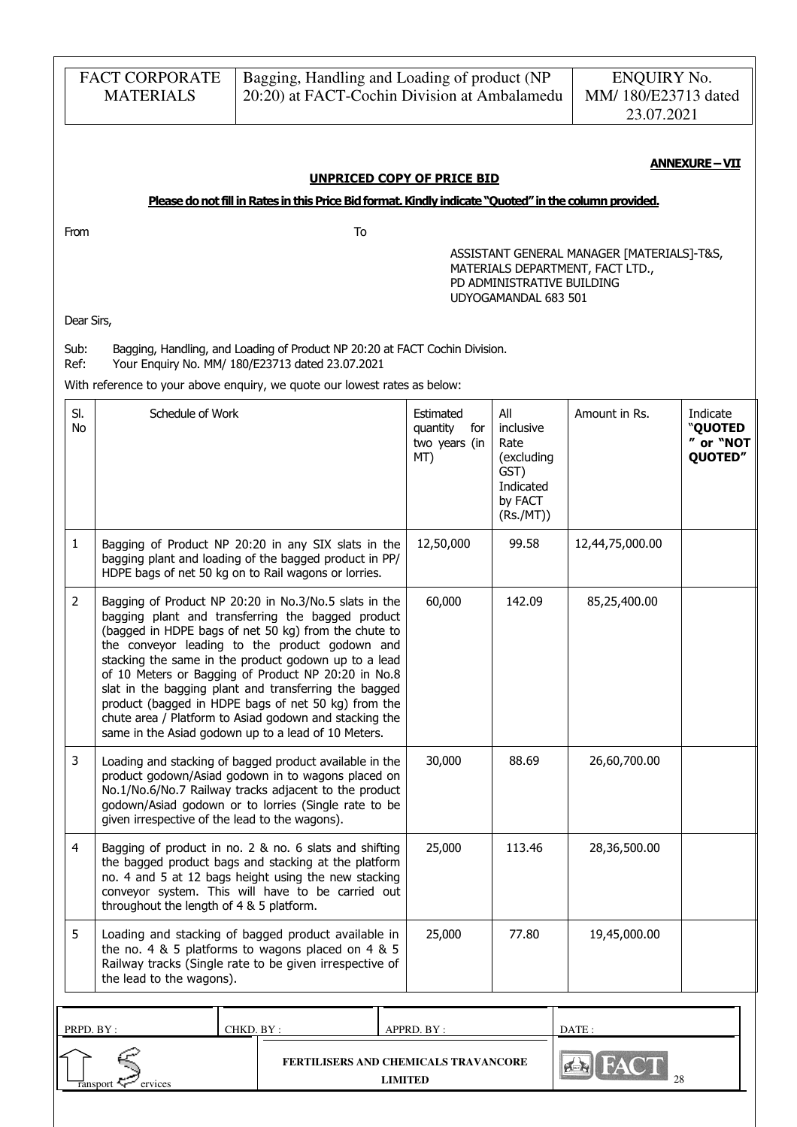|                  | <b>FACT CORPORATE</b><br><b>MATERIALS</b>                                                                                                                          |                                                                                                                                                                                                                                                                                                                                                                                                                                                                                                                                                                      |                                                                                                                                                                         | Bagging, Handling and Loading of product (NP<br>20:20) at FACT-Cochin Division at Ambalamedu |                                                                                     | <b>ENQUIRY No.</b><br>MM/180/E23713 dated<br>23.07.2021                        |                                             |  |  |
|------------------|--------------------------------------------------------------------------------------------------------------------------------------------------------------------|----------------------------------------------------------------------------------------------------------------------------------------------------------------------------------------------------------------------------------------------------------------------------------------------------------------------------------------------------------------------------------------------------------------------------------------------------------------------------------------------------------------------------------------------------------------------|-------------------------------------------------------------------------------------------------------------------------------------------------------------------------|----------------------------------------------------------------------------------------------|-------------------------------------------------------------------------------------|--------------------------------------------------------------------------------|---------------------------------------------|--|--|
|                  | <b>ANNEXURE-VII</b><br><b>UNPRICED COPY OF PRICE BID</b><br>Please do not fill in Rates in this Price Bid format. Kindly indicate "Quoted" in the column provided. |                                                                                                                                                                                                                                                                                                                                                                                                                                                                                                                                                                      |                                                                                                                                                                         |                                                                                              |                                                                                     |                                                                                |                                             |  |  |
| From             |                                                                                                                                                                    |                                                                                                                                                                                                                                                                                                                                                                                                                                                                                                                                                                      | To                                                                                                                                                                      |                                                                                              |                                                                                     |                                                                                |                                             |  |  |
| Dear Sirs,       |                                                                                                                                                                    |                                                                                                                                                                                                                                                                                                                                                                                                                                                                                                                                                                      |                                                                                                                                                                         |                                                                                              | PD ADMINISTRATIVE BUILDING<br>UDYOGAMANDAL 683 501                                  | ASSISTANT GENERAL MANAGER [MATERIALS]-T&S,<br>MATERIALS DEPARTMENT, FACT LTD., |                                             |  |  |
| Sub:<br>Ref:     |                                                                                                                                                                    |                                                                                                                                                                                                                                                                                                                                                                                                                                                                                                                                                                      | Bagging, Handling, and Loading of Product NP 20:20 at FACT Cochin Division.<br>Your Enquiry No. MM/ 180/E23713 dated 23.07.2021                                         |                                                                                              |                                                                                     |                                                                                |                                             |  |  |
|                  |                                                                                                                                                                    |                                                                                                                                                                                                                                                                                                                                                                                                                                                                                                                                                                      | With reference to your above enquiry, we quote our lowest rates as below:                                                                                               |                                                                                              |                                                                                     |                                                                                |                                             |  |  |
| SI.<br><b>No</b> | Schedule of Work                                                                                                                                                   |                                                                                                                                                                                                                                                                                                                                                                                                                                                                                                                                                                      |                                                                                                                                                                         | Estimated<br>quantity<br>for<br>two years (in<br>MT)                                         | All<br>inclusive<br>Rate<br>(excluding<br>GST)<br>Indicated<br>by FACT<br>(Rs./MT)) | Amount in Rs.                                                                  | Indicate<br>"QUOTED<br>" or "NOT<br>QUOTED" |  |  |
| $\mathbf{1}$     |                                                                                                                                                                    |                                                                                                                                                                                                                                                                                                                                                                                                                                                                                                                                                                      | Bagging of Product NP 20:20 in any SIX slats in the<br>bagging plant and loading of the bagged product in PP/<br>HDPE bags of net 50 kg on to Rail wagons or lorries.   | 12,50,000                                                                                    | 99.58                                                                               | 12,44,75,000.00                                                                |                                             |  |  |
| 2                |                                                                                                                                                                    | Bagging of Product NP 20:20 in No.3/No.5 slats in the<br>bagging plant and transferring the bagged product<br>(bagged in HDPE bags of net 50 kg) from the chute to<br>the conveyor leading to the product godown and<br>stacking the same in the product godown up to a lead<br>of 10 Meters or Bagging of Product NP 20:20 in No.8<br>slat in the bagging plant and transferring the bagged<br>product (bagged in HDPE bags of net 50 kg) from the<br>chute area / Platform to Asiad godown and stacking the<br>same in the Asiad godown up to a lead of 10 Meters. | 60,000                                                                                                                                                                  | 142.09                                                                                       | 85,25,400.00                                                                        |                                                                                |                                             |  |  |
| 3                | given irrespective of the lead to the wagons).                                                                                                                     | Loading and stacking of bagged product available in the<br>product godown/Asiad godown in to wagons placed on<br>No.1/No.6/No.7 Railway tracks adjacent to the product<br>godown/Asiad godown or to lorries (Single rate to be                                                                                                                                                                                                                                                                                                                                       | 30,000                                                                                                                                                                  | 88.69                                                                                        | 26,60,700.00                                                                        |                                                                                |                                             |  |  |
| 4                | throughout the length of 4 & 5 platform.                                                                                                                           | Bagging of product in no. 2 & no. 6 slats and shifting<br>the bagged product bags and stacking at the platform<br>no. 4 and 5 at 12 bags height using the new stacking<br>conveyor system. This will have to be carried out                                                                                                                                                                                                                                                                                                                                          | 25,000                                                                                                                                                                  | 113.46                                                                                       | 28,36,500.00                                                                        |                                                                                |                                             |  |  |
| 5                | the lead to the wagons).                                                                                                                                           |                                                                                                                                                                                                                                                                                                                                                                                                                                                                                                                                                                      | Loading and stacking of bagged product available in<br>the no. 4 $&$ 5 platforms to wagons placed on 4 $&$ 5<br>Railway tracks (Single rate to be given irrespective of | 25,000                                                                                       | 77.80                                                                               | 19,45,000.00                                                                   |                                             |  |  |
|                  |                                                                                                                                                                    |                                                                                                                                                                                                                                                                                                                                                                                                                                                                                                                                                                      |                                                                                                                                                                         |                                                                                              |                                                                                     |                                                                                |                                             |  |  |
| PRPD. BY:        | ervices<br><b>ransport</b>                                                                                                                                         | CHKD. BY:                                                                                                                                                                                                                                                                                                                                                                                                                                                                                                                                                            | FERTILISERS AND CHEMICALS TRAVANCORE<br><b>LIMITED</b>                                                                                                                  | APPRD. BY :                                                                                  |                                                                                     | DATE:                                                                          |                                             |  |  |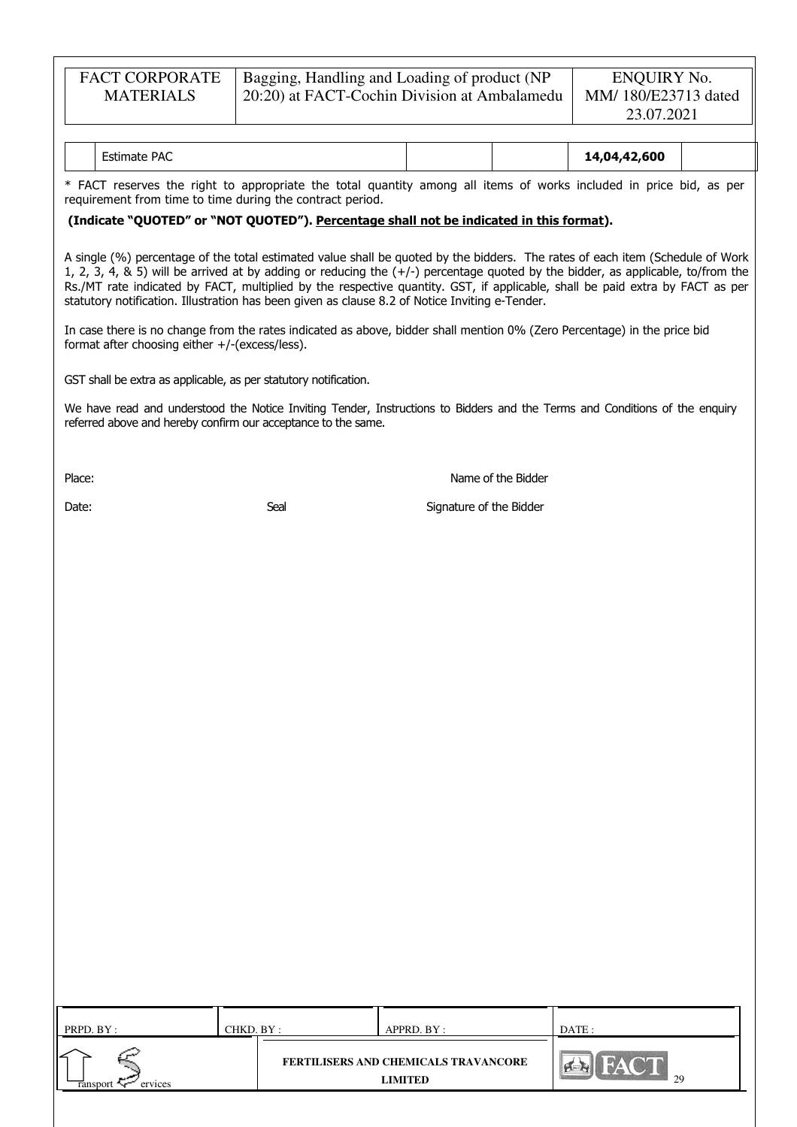| <b>FACT CORPORATE</b> | Bagging, Handling and Loading of product (NP              | ENQUIRY No.         |
|-----------------------|-----------------------------------------------------------|---------------------|
| <b>MATERIALS</b>      | <sup>1</sup> 20:20) at FACT-Cochin Division at Ambalamedu | MM/180/E23713 dated |
|                       |                                                           | 23.07.2021          |

| <b>PAC</b><br>$\cdots$<br>:stimate |  | 1,04,42,600<br>14. |  |
|------------------------------------|--|--------------------|--|
|                                    |  |                    |  |

\* FACT reserves the right to appropriate the total quantity among all items of works included in price bid, as per requirement from time to time during the contract period.

### (Indicate "QUOTED" or "NOT QUOTED"). Percentage shall not be indicated in this format).

A single (%) percentage of the total estimated value shall be quoted by the bidders. The rates of each item (Schedule of Work 1, 2, 3, 4, & 5) will be arrived at by adding or reducing the  $(+/-)$  percentage quoted by the bidder, as applicable, to/from the Rs./MT rate indicated by FACT, multiplied by the respective quantity. GST, if applicable, shall be paid extra by FACT as per statutory notification. Illustration has been given as clause 8.2 of Notice Inviting e-Tender.

In case there is no change from the rates indicated as above, bidder shall mention 0% (Zero Percentage) in the price bid format after choosing either +/-(excess/less).

GST shall be extra as applicable, as per statutory notification.

We have read and understood the Notice Inviting Tender, Instructions to Bidders and the Terms and Conditions of the enquiry referred above and hereby confirm our acceptance to the same.

Place: Name of the Bidder

Date: Signature of the Bidder Seal Seal Signature of the Bidder

| PRPD. BY:           | CHKD. BY : | APPRD. BY:                                                    | DATE: |
|---------------------|------------|---------------------------------------------------------------|-------|
| ervices<br>ransport |            | <b>FERTILISERS AND CHEMICALS TRAVANCORE</b><br><b>LIMITED</b> | 29    |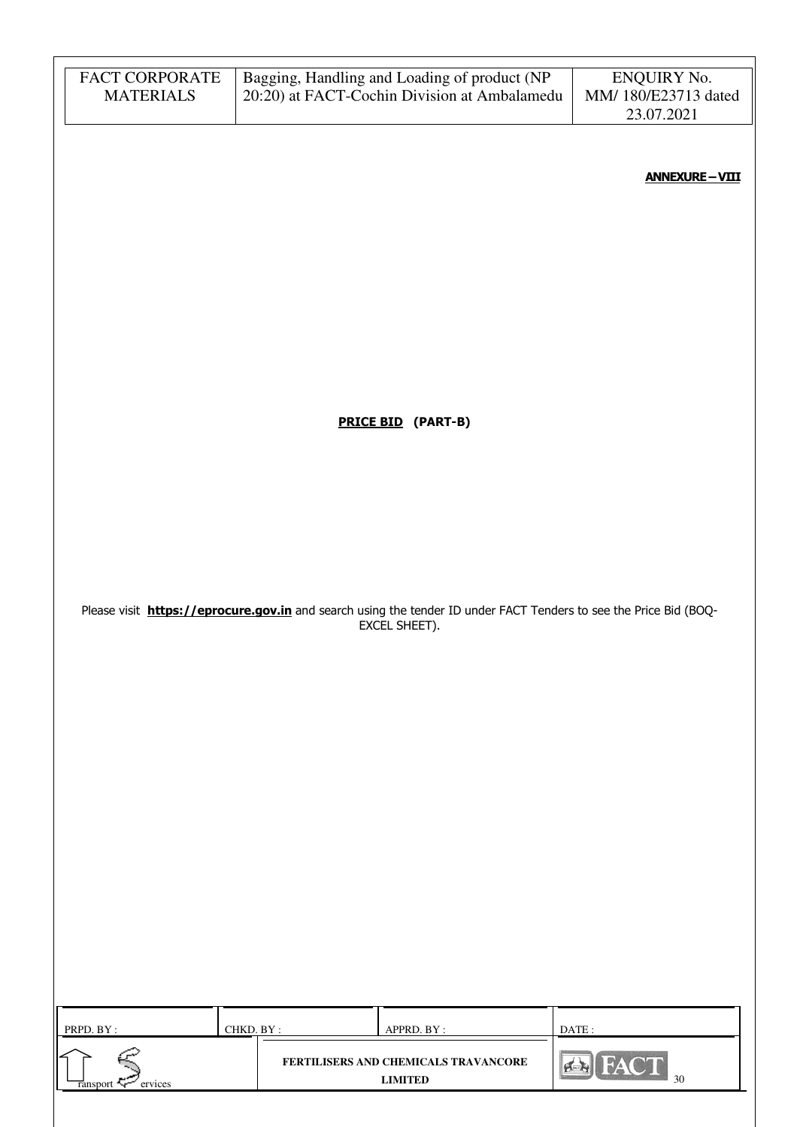| FACT CORPORATE<br><b>MATERIALS</b>     | Bagging, Handling and Loading of product (NP<br>20:20) at FACT-Cochin Division at Ambalamedu                                       | ENQUIRY No.<br>MM/ 180/E23713 dated<br>23.07.2021 |
|----------------------------------------|------------------------------------------------------------------------------------------------------------------------------------|---------------------------------------------------|
|                                        |                                                                                                                                    | <b>ANNEXURE-VIII</b>                              |
|                                        |                                                                                                                                    |                                                   |
|                                        |                                                                                                                                    |                                                   |
|                                        |                                                                                                                                    |                                                   |
|                                        | <b>PRICE BID</b> (PART-B)                                                                                                          |                                                   |
|                                        |                                                                                                                                    |                                                   |
|                                        |                                                                                                                                    |                                                   |
|                                        | Please visit https://eprocure.gov.in and search using the tender ID under FACT Tenders to see the Price Bid (BOQ-<br>EXCEL SHEET). |                                                   |
|                                        |                                                                                                                                    |                                                   |
|                                        |                                                                                                                                    |                                                   |
|                                        |                                                                                                                                    |                                                   |
|                                        |                                                                                                                                    |                                                   |
|                                        |                                                                                                                                    |                                                   |
|                                        |                                                                                                                                    |                                                   |
| PRPD. BY:                              | CHKD. BY:<br>APPRD. BY:                                                                                                            | DATE:                                             |
| $\frac{1}{\text{ransport}}$<br>ervices | FERTILISERS AND CHEMICALS TRAVANCORE<br><b>LIMITED</b>                                                                             | FACT<br>30                                        |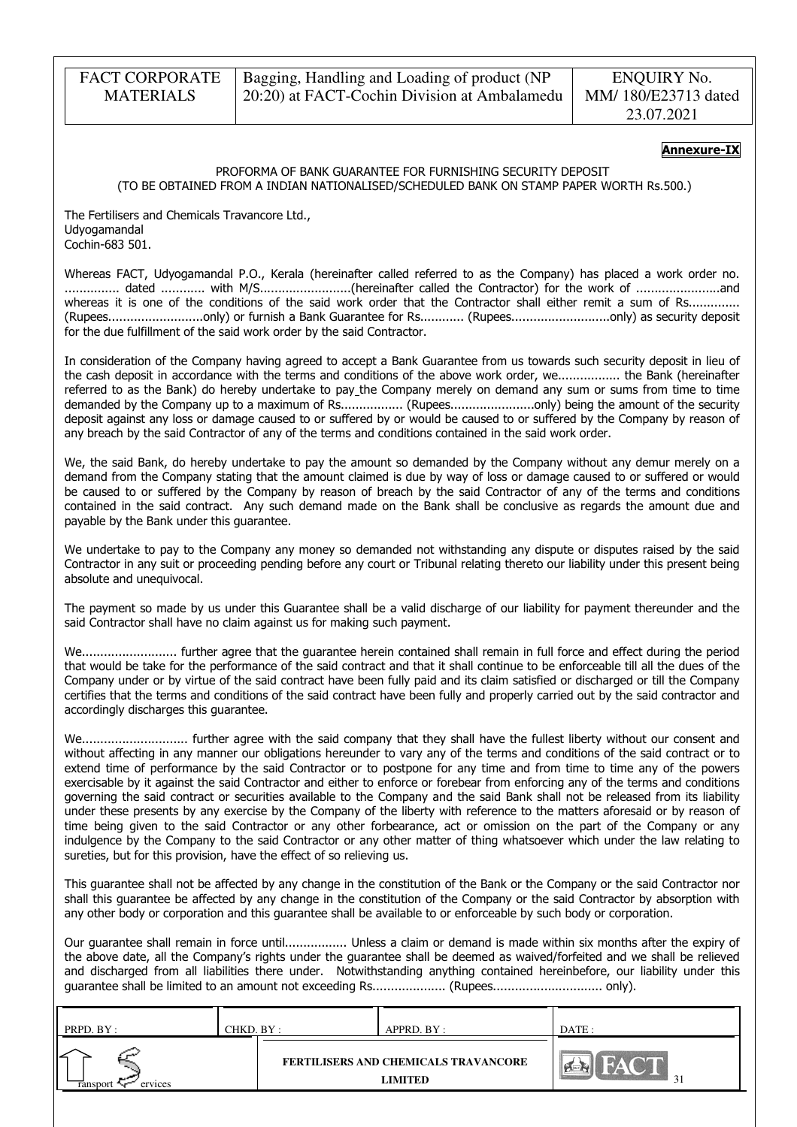### Annexure-IX

#### PROFORMA OF BANK GUARANTEE FOR FURNISHING SECURITY DEPOSIT (TO BE OBTAINED FROM A INDIAN NATIONALISED/SCHEDULED BANK ON STAMP PAPER WORTH Rs.500.)

The Fertilisers and Chemicals Travancore Ltd., Udyogamandal Cochin-683 501.

Whereas FACT, Udyogamandal P.O., Kerala (hereinafter called referred to as the Company) has placed a work order no. ............... dated ............ with M/S.........................(hereinafter called the Contractor) for the work of .......................and whereas it is one of the conditions of the said work order that the Contractor shall either remit a sum of Rs.............. (Rupees..........................only) or furnish a Bank Guarantee for Rs............ (Rupees...........................only) as security deposit for the due fulfillment of the said work order by the said Contractor.

In consideration of the Company having agreed to accept a Bank Guarantee from us towards such security deposit in lieu of the cash deposit in accordance with the terms and conditions of the above work order, we................. the Bank (hereinafter referred to as the Bank) do hereby undertake to pay the Company merely on demand any sum or sums from time to time demanded by the Company up to a maximum of Rs................. (Rupees.......................only) being the amount of the security deposit against any loss or damage caused to or suffered by or would be caused to or suffered by the Company by reason of any breach by the said Contractor of any of the terms and conditions contained in the said work order.

We, the said Bank, do hereby undertake to pay the amount so demanded by the Company without any demur merely on a demand from the Company stating that the amount claimed is due by way of loss or damage caused to or suffered or would be caused to or suffered by the Company by reason of breach by the said Contractor of any of the terms and conditions contained in the said contract. Any such demand made on the Bank shall be conclusive as regards the amount due and payable by the Bank under this guarantee.

We undertake to pay to the Company any money so demanded not withstanding any dispute or disputes raised by the said Contractor in any suit or proceeding pending before any court or Tribunal relating thereto our liability under this present being absolute and unequivocal.

The payment so made by us under this Guarantee shall be a valid discharge of our liability for payment thereunder and the said Contractor shall have no claim against us for making such payment.

We.......................... further agree that the guarantee herein contained shall remain in full force and effect during the period that would be take for the performance of the said contract and that it shall continue to be enforceable till all the dues of the Company under or by virtue of the said contract have been fully paid and its claim satisfied or discharged or till the Company certifies that the terms and conditions of the said contract have been fully and properly carried out by the said contractor and accordingly discharges this guarantee.

We............................. further agree with the said company that they shall have the fullest liberty without our consent and without affecting in any manner our obligations hereunder to vary any of the terms and conditions of the said contract or to extend time of performance by the said Contractor or to postpone for any time and from time to time any of the powers exercisable by it against the said Contractor and either to enforce or forebear from enforcing any of the terms and conditions governing the said contract or securities available to the Company and the said Bank shall not be released from its liability under these presents by any exercise by the Company of the liberty with reference to the matters aforesaid or by reason of time being given to the said Contractor or any other forbearance, act or omission on the part of the Company or any indulgence by the Company to the said Contractor or any other matter of thing whatsoever which under the law relating to sureties, but for this provision, have the effect of so relieving us.

This guarantee shall not be affected by any change in the constitution of the Bank or the Company or the said Contractor nor shall this guarantee be affected by any change in the constitution of the Company or the said Contractor by absorption with any other body or corporation and this guarantee shall be available to or enforceable by such body or corporation.

Our guarantee shall remain in force until................. Unless a claim or demand is made within six months after the expiry of the above date, all the Company's rights under the guarantee shall be deemed as waived/forfeited and we shall be relieved and discharged from all liabilities there under. Notwithstanding anything contained hereinbefore, our liability under this guarantee shall be limited to an amount not exceeding Rs.................... (Rupees.............................. only).

| PRPD. BY :               | CHKD. BY : | APPRD. BY :                                            | DATE:  |
|--------------------------|------------|--------------------------------------------------------|--------|
| ∠<br>ervices<br>ransport |            | FERTILISERS AND CHEMICALS TRAVANCORE<br><b>LIMITED</b> | $\sim$ |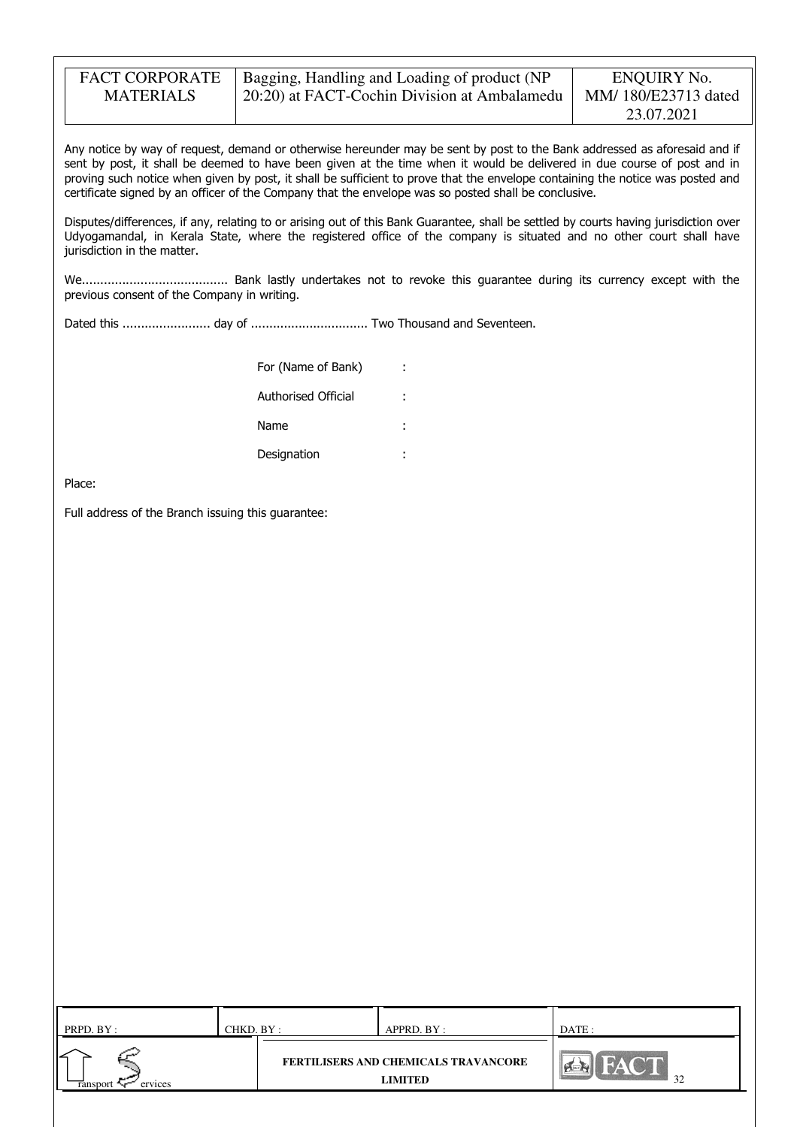| <b>FACT CORPORATE</b> | Bagging, Handling and Loading of product (NP | ENQUIRY No.         |
|-----------------------|----------------------------------------------|---------------------|
| <b>MATERIALS</b>      | 20:20) at FACT-Cochin Division at Ambalamedu | MM/180/E23713 dated |
|                       |                                              | 23.07.2021          |

Any notice by way of request, demand or otherwise hereunder may be sent by post to the Bank addressed as aforesaid and if sent by post, it shall be deemed to have been given at the time when it would be delivered in due course of post and in proving such notice when given by post, it shall be sufficient to prove that the envelope containing the notice was posted and certificate signed by an officer of the Company that the envelope was so posted shall be conclusive.

Disputes/differences, if any, relating to or arising out of this Bank Guarantee, shall be settled by courts having jurisdiction over Udyogamandal, in Kerala State, where the registered office of the company is situated and no other court shall have jurisdiction in the matter.

We........................................ Bank lastly undertakes not to revoke this guarantee during its currency except with the previous consent of the Company in writing.

Dated this ........................ day of ................................ Two Thousand and Seventeen.

| For (Name of Bank)  |   |
|---------------------|---|
| Authorised Official |   |
| Name                | ٠ |
| Designation         |   |

Place:

Full address of the Branch issuing this guarantee:

| PRPD. BY: | CHKD. BY : | APPRD. BY :                          | DATE : |
|-----------|------------|--------------------------------------|--------|
| ervices   |            | FERTILISERS AND CHEMICALS TRAVANCORE | 32     |
| ransport  |            | <b>LIMITED</b>                       | ے ر    |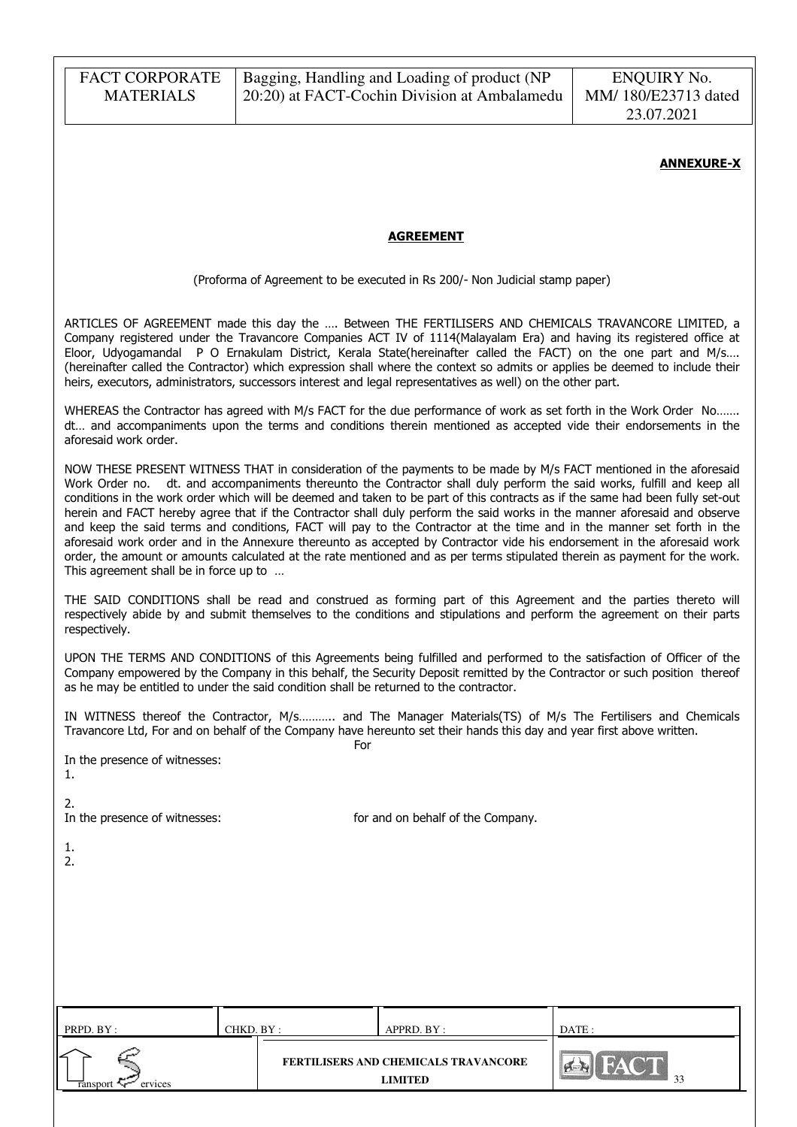### ANNEXURE-X

### AGREEMENT

(Proforma of Agreement to be executed in Rs 200/- Non Judicial stamp paper)

ARTICLES OF AGREEMENT made this day the …. Between THE FERTILISERS AND CHEMICALS TRAVANCORE LIMITED, a Company registered under the Travancore Companies ACT IV of 1114(Malayalam Era) and having its registered office at Eloor, Udyogamandal P O Ernakulam District, Kerala State(hereinafter called the FACT) on the one part and M/s…. (hereinafter called the Contractor) which expression shall where the context so admits or applies be deemed to include their heirs, executors, administrators, successors interest and legal representatives as well) on the other part.

WHEREAS the Contractor has agreed with M/s FACT for the due performance of work as set forth in the Work Order No……. dt… and accompaniments upon the terms and conditions therein mentioned as accepted vide their endorsements in the aforesaid work order.

NOW THESE PRESENT WITNESS THAT in consideration of the payments to be made by M/s FACT mentioned in the aforesaid Work Order no. dt. and accompaniments thereunto the Contractor shall duly perform the said works, fulfill and keep all conditions in the work order which will be deemed and taken to be part of this contracts as if the same had been fully set-out herein and FACT hereby agree that if the Contractor shall duly perform the said works in the manner aforesaid and observe and keep the said terms and conditions, FACT will pay to the Contractor at the time and in the manner set forth in the aforesaid work order and in the Annexure thereunto as accepted by Contractor vide his endorsement in the aforesaid work order, the amount or amounts calculated at the rate mentioned and as per terms stipulated therein as payment for the work. This agreement shall be in force up to …

THE SAID CONDITIONS shall be read and construed as forming part of this Agreement and the parties thereto will respectively abide by and submit themselves to the conditions and stipulations and perform the agreement on their parts respectively.

UPON THE TERMS AND CONDITIONS of this Agreements being fulfilled and performed to the satisfaction of Officer of the Company empowered by the Company in this behalf, the Security Deposit remitted by the Contractor or such position thereof as he may be entitled to under the said condition shall be returned to the contractor.

IN WITNESS thereof the Contractor, M/s……….. and The Manager Materials(TS) of M/s The Fertilisers and Chemicals Travancore Ltd, For and on behalf of the Company have hereunto set their hands this day and year first above written.

In the presence of witnesses:

**Formal Contract of the Contract of Texas Security Security Security Security Security Security Security Securi** 

| . . |  |
|-----|--|
|     |  |

2.

In the presence of witnesses: for and on behalf of the Company.

1.  $2.5$ 

| PRPD. BY :          | CHKD. BY : | APPRD. BY :                                            | DATE:    |
|---------------------|------------|--------------------------------------------------------|----------|
| ervices<br>ransport |            | <b>FERTILISERS AND CHEMICALS TRAVANCORE</b><br>LIMITED | $\Omega$ |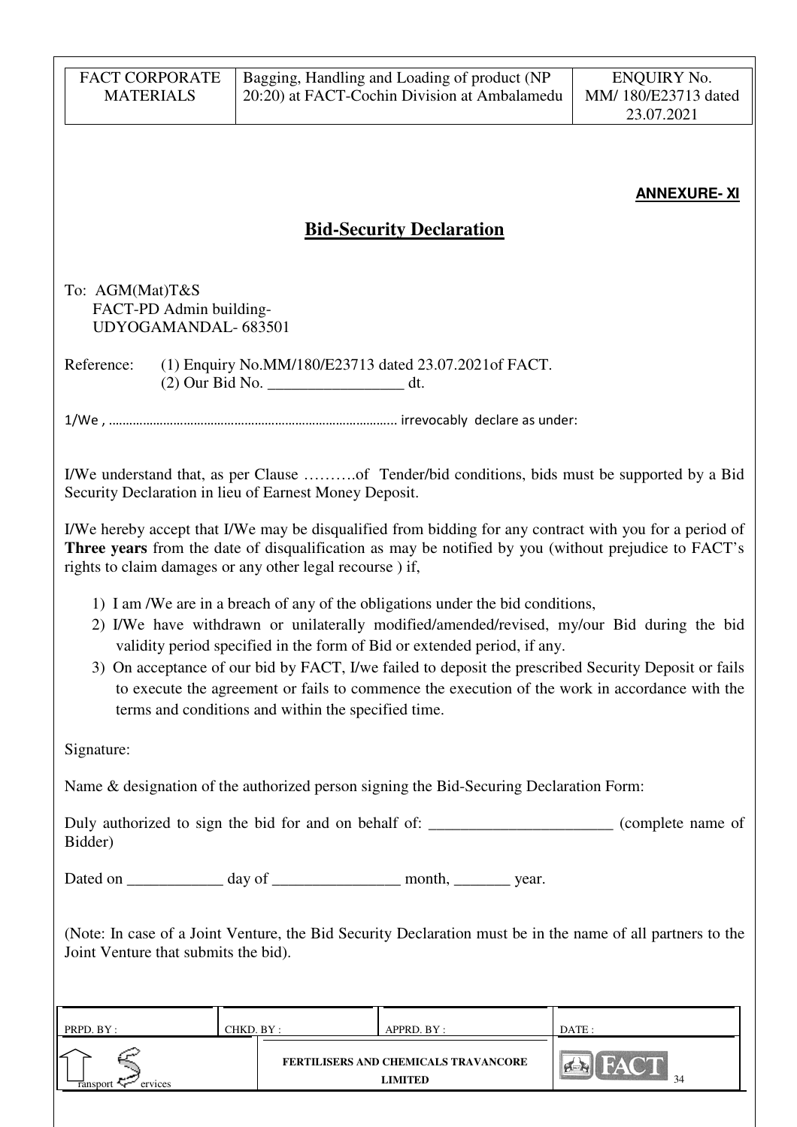| <b>FACT CORPORATE</b><br><b>MATERIALS</b>                         |                                                     | Bagging, Handling and Loading of product (NP<br>20:20) at FACT-Cochin Division at Ambalamedu                                                                | <b>ENQUIRY No.</b><br>MM/ 180/E23713 dated<br>23.07.2021                                                                                                                                                                                                                                             |
|-------------------------------------------------------------------|-----------------------------------------------------|-------------------------------------------------------------------------------------------------------------------------------------------------------------|------------------------------------------------------------------------------------------------------------------------------------------------------------------------------------------------------------------------------------------------------------------------------------------------------|
|                                                                   |                                                     |                                                                                                                                                             | <b>ANNEXURE-XI</b>                                                                                                                                                                                                                                                                                   |
|                                                                   |                                                     | <b>Bid-Security Declaration</b>                                                                                                                             |                                                                                                                                                                                                                                                                                                      |
| To: AGM(Mat)T&S<br>FACT-PD Admin building-<br>UDYOGAMANDAL-683501 |                                                     |                                                                                                                                                             |                                                                                                                                                                                                                                                                                                      |
| Reference:                                                        |                                                     | (1) Enquiry No.MM/180/E23713 dated 23.07.2021 of FACT.                                                                                                      |                                                                                                                                                                                                                                                                                                      |
|                                                                   |                                                     |                                                                                                                                                             |                                                                                                                                                                                                                                                                                                      |
| Security Declaration in lieu of Earnest Money Deposit.            |                                                     |                                                                                                                                                             | I/We understand that, as per Clause of Tender/bid conditions, bids must be supported by a Bid                                                                                                                                                                                                        |
| rights to claim damages or any other legal recourse) if,          |                                                     |                                                                                                                                                             | I/We hereby accept that I/We may be disqualified from bidding for any contract with you for a period of<br>Three years from the date of disqualification as may be notified by you (without prejudice to FACT's                                                                                      |
|                                                                   | terms and conditions and within the specified time. | 1) I am /We are in a breach of any of the obligations under the bid conditions,<br>validity period specified in the form of Bid or extended period, if any. | 2) I/We have withdrawn or unilaterally modified/amended/revised, my/our Bid during the bid<br>3) On acceptance of our bid by FACT, I/we failed to deposit the prescribed Security Deposit or fails<br>to execute the agreement or fails to commence the execution of the work in accordance with the |
| Signature:                                                        |                                                     |                                                                                                                                                             |                                                                                                                                                                                                                                                                                                      |
|                                                                   |                                                     | Name & designation of the authorized person signing the Bid-Securing Declaration Form:                                                                      |                                                                                                                                                                                                                                                                                                      |
| Bidder)                                                           |                                                     |                                                                                                                                                             | Duly authorized to sign the bid for and on behalf of: ______________________ (complete name of                                                                                                                                                                                                       |
|                                                                   |                                                     | Dated on ______________ day of ____________________ month, __________ year.                                                                                 |                                                                                                                                                                                                                                                                                                      |
| Joint Venture that submits the bid).                              |                                                     |                                                                                                                                                             | (Note: In case of a Joint Venture, the Bid Security Declaration must be in the name of all partners to the                                                                                                                                                                                           |
| PRPD. BY:                                                         | CHKD. BY:                                           | APPRD. BY:                                                                                                                                                  | DATE:                                                                                                                                                                                                                                                                                                |
| ervices<br>ınsport                                                |                                                     | FERTILISERS AND CHEMICALS TRAVANCORE<br><b>LIMITED</b>                                                                                                      | 34                                                                                                                                                                                                                                                                                                   |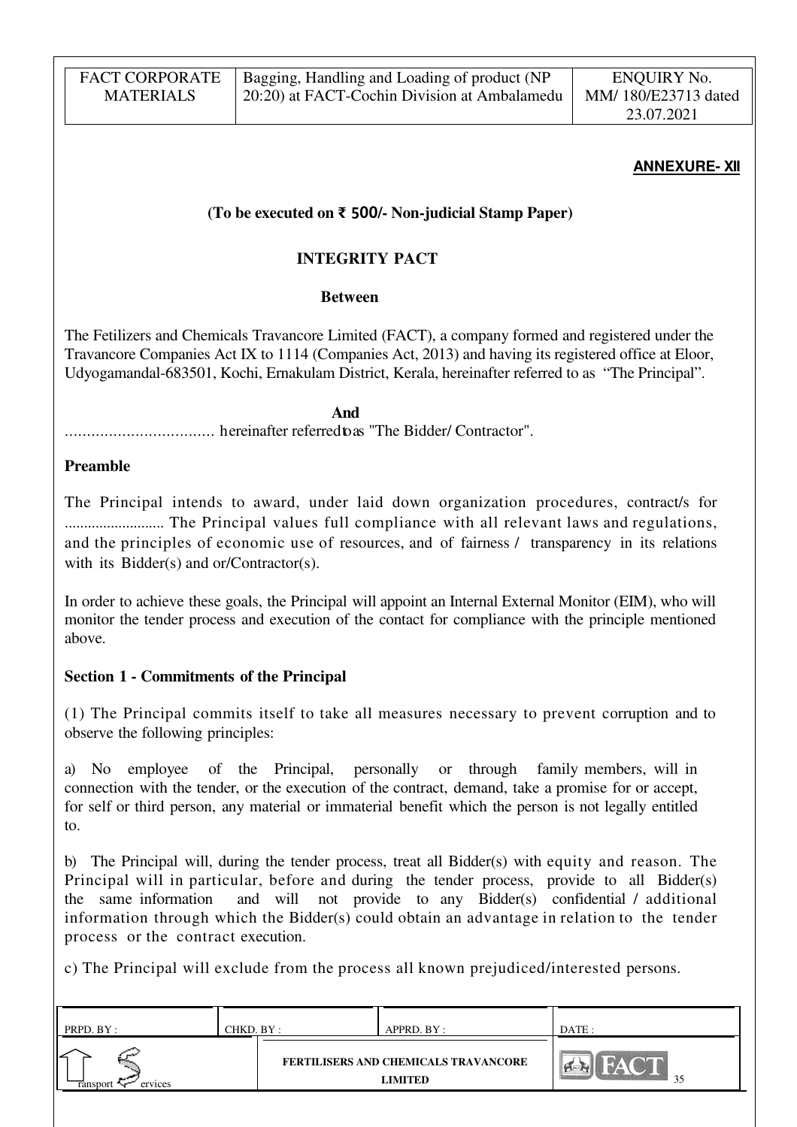| <b>FACT CORPORATE</b> | Bagging, Handling and Loading of product (NP | ENQUIRY No.         |
|-----------------------|----------------------------------------------|---------------------|
| <b>MATERIALS</b>      | 20:20) at FACT-Cochin Division at Ambalamedu | MM/180/E23713 dated |
|                       |                                              | 23.07.2021          |

### **ANNEXURE- XII**

### **(To be executed on** ₹ 500**/- Non-judicial Stamp Paper)**

## **INTEGRITY PACT**

### **Between**

The Fetilizers and Chemicals Travancore Limited (FACT), a company formed and registered under the Travancore Companies Act IX to 1114 (Companies Act, 2013) and having its registered office at Eloor, Udyogamandal-683501, Kochi, Ernakulam District, Kerala, hereinafter referred to as "The Principal".

 **And**

.................................. hereinafter referred to as "The Bidder/ Contractor".

### **Preamble**

The Principal intends to award, under laid down organization procedures, contract/s for .......................... The Principal values full compliance with all relevant laws and regulations, and the principles of economic use of resources, and of fairness / transparency in its relations with its Bidder(s) and or/Contractor(s).

In order to achieve these goals, the Principal will appoint an Internal External Monitor (EIM), who will monitor the tender process and execution of the contact for compliance with the principle mentioned above.

## **Section 1 - Commitments of the Principal**

(1) The Principal commits itself to take all measures necessary to prevent corruption and to observe the following principles:

a) No employee of the Principal, personally or through family members, will in connection with the tender, or the execution of the contract, demand, take a promise for or accept, for self or third person, any material or immaterial benefit which the person is not legally entitled to.

b) The Principal will, during the tender process, treat all Bidder(s) with equity and reason. The Principal will in particular, before and during the tender process, provide to all Bidder(s) the same information and will not provide to any Bidder(s) confidential / additional information through which the Bidder(s) could obtain an advantage in relation to the tender process or the contract execution.

c) The Principal will exclude from the process all known prejudiced/interested persons.

| PRPD. BY :          | CHKD. BY : | APPRD. BY :                                            | DATE: |
|---------------------|------------|--------------------------------------------------------|-------|
| ervices<br>ransport |            | FERTILISERS AND CHEMICALS TRAVANCORE<br><b>LIMITED</b> | 35    |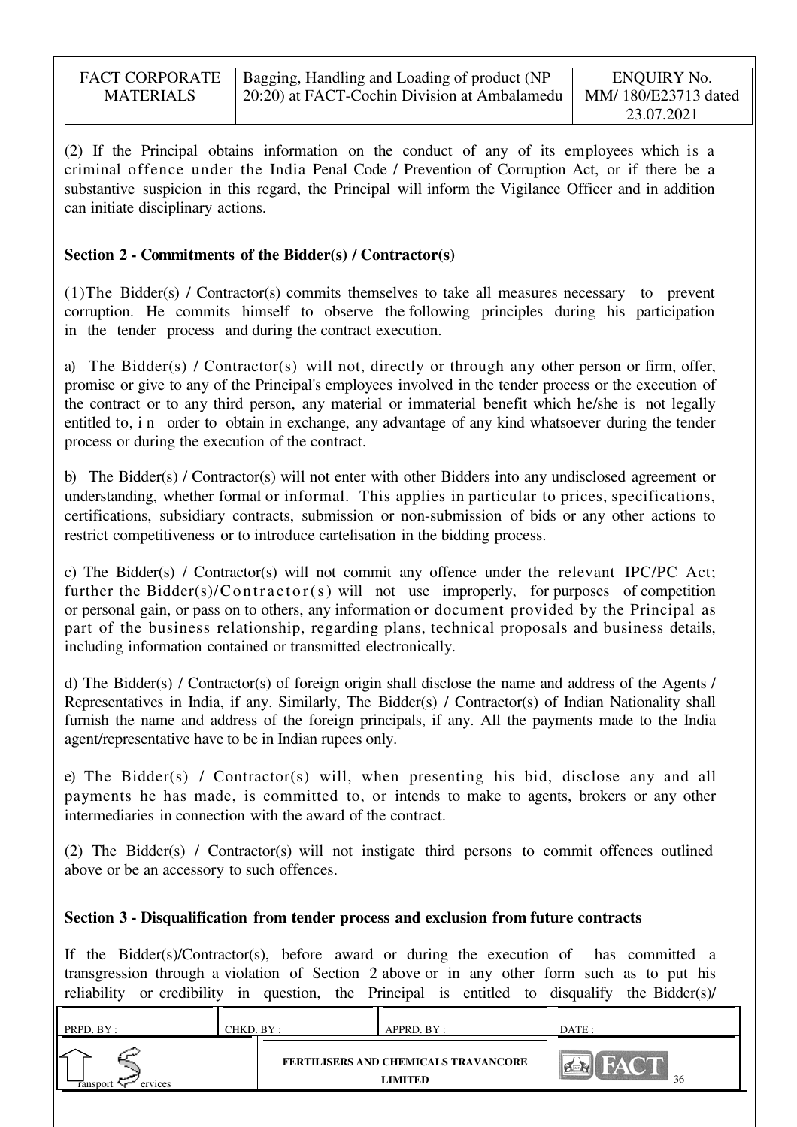| <b>FACT CORPORATE</b> | Bagging, Handling and Loading of product (NP | ENQUIRY No.         |
|-----------------------|----------------------------------------------|---------------------|
| <b>MATERIALS</b>      | 20:20) at FACT-Cochin Division at Ambalamedu | MM/180/E23713 dated |
|                       |                                              | 23.07.2021          |

(2) If the Principal obtains information on the conduct of any of its employees which is a criminal offence under the India Penal Code / Prevention of Corruption Act, or if there be a substantive suspicion in this regard, the Principal will inform the Vigilance Officer and in addition can initiate disciplinary actions.

## **Section 2 - Commitments of the Bidder(s) / Contractor(s)**

(1)The Bidder(s) / Contractor(s) commits themselves to take all measures necessary to prevent corruption. He commits himself to observe the following principles during his participation in the tender process and during the contract execution.

a) The Bidder(s) / Contractor(s) will not, directly or through any other person or firm, offer, promise or give to any of the Principal's employees involved in the tender process or the execution of the contract or to any third person, any material or immaterial benefit which he/she is not legally entitled to, i n order to obtain in exchange, any advantage of any kind whatsoever during the tender process or during the execution of the contract.

b) The Bidder(s) / Contractor(s) will not enter with other Bidders into any undisclosed agreement or understanding, whether formal or informal. This applies in particular to prices, specifications, certifications, subsidiary contracts, submission or non-submission of bids or any other actions to restrict competitiveness or to introduce cartelisation in the bidding process.

c) The Bidder(s) / Contractor(s) will not commit any offence under the relevant IPC/PC Act; further the Bidder(s)/Contractor(s) will not use improperly, for purposes of competition or personal gain, or pass on to others, any information or document provided by the Principal as part of the business relationship, regarding plans, technical proposals and business details, including information contained or transmitted electronically.

d) The Bidder(s) / Contractor(s) of foreign origin shall disclose the name and address of the Agents / Representatives in India, if any. Similarly, The Bidder(s) / Contractor(s) of Indian Nationality shall furnish the name and address of the foreign principals, if any. All the payments made to the India agent/representative have to be in Indian rupees only.

e) The Bidder(s) / Contractor(s) will, when presenting his bid, disclose any and all payments he has made, is committed to, or intends to make to agents, brokers or any other intermediaries in connection with the award of the contract.

(2) The Bidder(s) / Contractor(s) will not instigate third persons to commit offences outlined above or be an accessory to such offences.

## **Section 3 - Disqualification from tender process and exclusion from future contracts**

If the Bidder(s)/Contractor(s), before award or during the execution of has committed a transgression through a violation of Section 2 above or in any other form such as to put his reliability or credibility in question, the Principal is entitled to disqualify the Bidder(s)/

| PRPD. BY:           | CHKD. BY : | APPRD. BY :                                            | DATE : |
|---------------------|------------|--------------------------------------------------------|--------|
| ervices<br>ransport |            | <b>FERTILISERS AND CHEMICALS TRAVANCORE</b><br>LIMITED | 36     |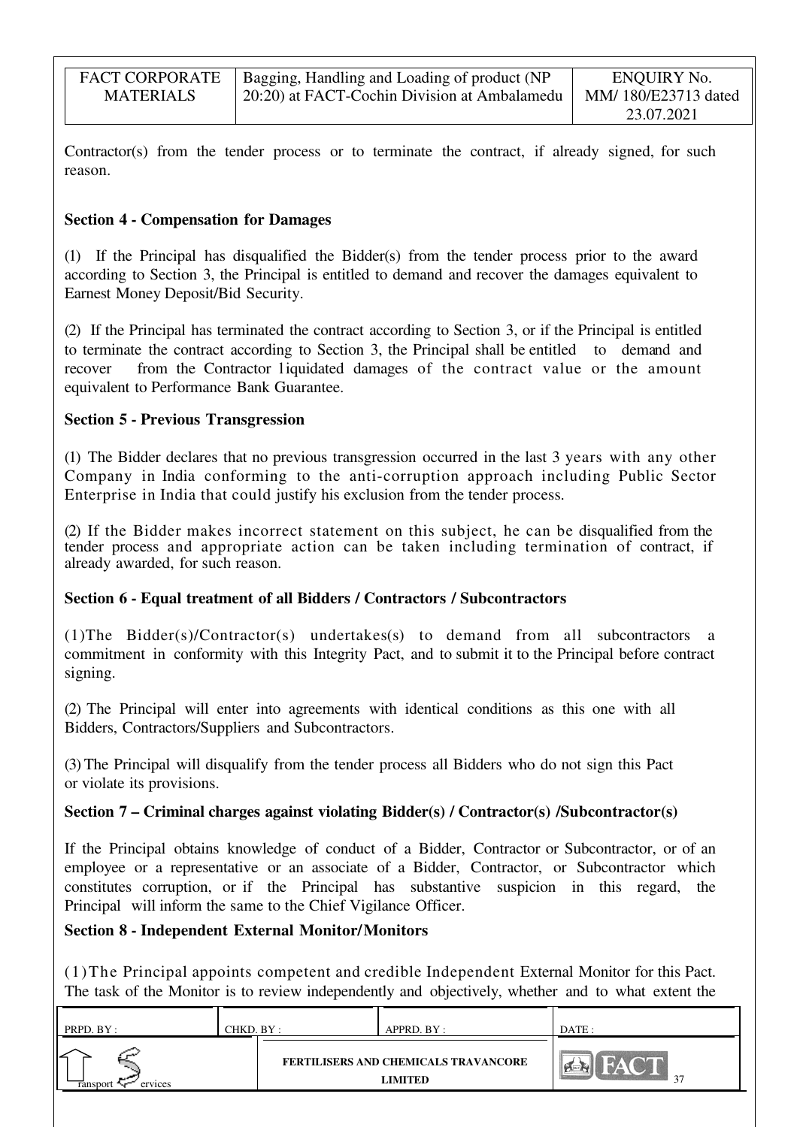| <b>FACT CORPORATE</b> | Bagging, Handling and Loading of product (NP | ENQUIRY No.         |
|-----------------------|----------------------------------------------|---------------------|
| <b>MATERIALS</b>      | 20:20) at FACT-Cochin Division at Ambalamedu | MM/180/E23713 dated |
|                       |                                              | 23.07.2021          |

Contractor(s) from the tender process or to terminate the contract, if already signed, for such reason.

## **Section 4 - Compensation for Damages**

(1) If the Principal has disqualified the Bidder(s) from the tender process prior to the award according to Section 3, the Principal is entitled to demand and recover the damages equivalent to Earnest Money Deposit/Bid Security.

(2) If the Principal has terminated the contract according to Section 3, or if the Principal is entitled to terminate the contract according to Section 3, the Principal shall be entitled to demand and recover from the Contractor liquidated damages of the contract value or the amount equivalent to Performance Bank Guarantee.

## **Section 5 - Previous Transgression**

(1) The Bidder declares that no previous transgression occurred in the last 3 years with any other Company in India conforming to the anti-corruption approach including Public Sector Enterprise in India that could justify his exclusion from the tender process.

(2) If the Bidder makes incorrect statement on this subject, he can be disqualified from the tender process and appropriate action can be taken including termination of contract, if already awarded, for such reason.

## **Section 6 - Equal treatment of all Bidders / Contractors / Subcontractors**

(1)The Bidder(s)/Contractor(s) undertakes(s) to demand from all subcontractors a commitment in conformity with this Integrity Pact, and to submit it to the Principal before contract signing.

(2) The Principal will enter into agreements with identical conditions as this one with all Bidders, Contractors/Suppliers and Subcontractors.

(3) The Principal will disqualify from the tender process all Bidders who do not sign this Pact or violate its provisions.

## **Section 7 – Criminal charges against violating Bidder(s) / Contractor(s) /Subcontractor(s)**

If the Principal obtains knowledge of conduct of a Bidder, Contractor or Subcontractor, or of an employee or a representative or an associate of a Bidder, Contractor, or Subcontractor which constitutes corruption, or if the Principal has substantive suspicion in this regard, the Principal will inform the same to the Chief Vigilance Officer.

## **Section 8 - Independent External Monitor/Monitors**

(1)The Principal appoints competent and credible Independent External Monitor for this Pact. The task of the Monitor is to review independently and objectively, whether and to what extent the

| PRPD. BY :                 | CHKD. BY : | APPRD. BY :                                            | DATE: |
|----------------------------|------------|--------------------------------------------------------|-------|
| ervices<br><b>Tansport</b> |            | <b>FERTILISERS AND CHEMICALS TRAVANCORE</b><br>LIMITED | 27    |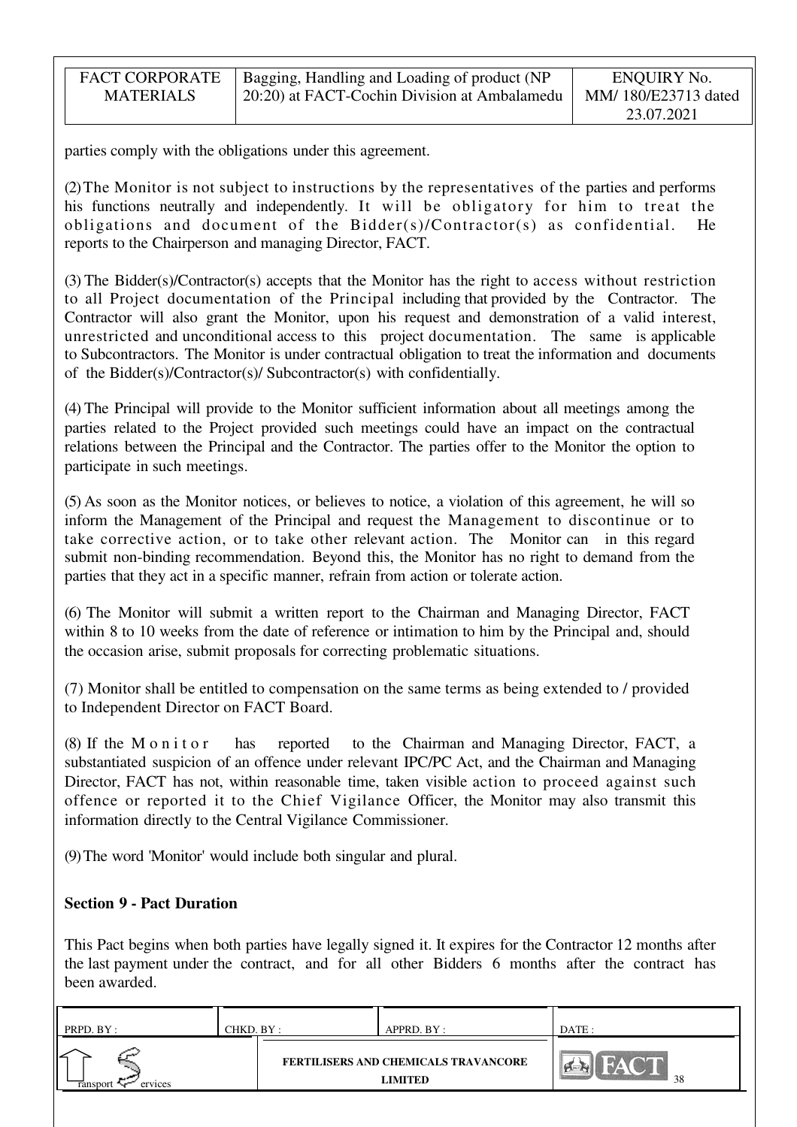| <b>FACT CORPORATE</b> | Bagging, Handling and Loading of product (NP | ENQUIRY No.         |
|-----------------------|----------------------------------------------|---------------------|
| <b>MATERIALS</b>      | 20:20) at FACT-Cochin Division at Ambalamedu | MM/180/E23713 dated |
|                       |                                              | 23.07.2021          |

parties comply with the obligations under this agreement.

(2) The Monitor is not subject to instructions by the representatives of the parties and performs his functions neutrally and independently. It will be obligatory for him to treat the obligations and document of the Bidder(s)/Contractor(s) as confidential. He reports to the Chairperson and managing Director, FACT.

(3) The Bidder(s)/Contractor(s) accepts that the Monitor has the right to access without restriction to all Project documentation of the Principal including that provided by the Contractor. The Contractor will also grant the Monitor, upon his request and demonstration of a valid interest, unrestricted and unconditional access to this project documentation. The same is applicable to Subcontractors. The Monitor is under contractual obligation to treat the information and documents of the Bidder(s)/Contractor(s)/ Subcontractor(s) with confidentially.

(4) The Principal will provide to the Monitor sufficient information about all meetings among the parties related to the Project provided such meetings could have an impact on the contractual relations between the Principal and the Contractor. The parties offer to the Monitor the option to participate in such meetings.

(5) As soon as the Monitor notices, or believes to notice, a violation of this agreement, he will so inform the Management of the Principal and request the Management to discontinue or to take corrective action, or to take other relevant action. The Monitor can in this regard submit non-binding recommendation. Beyond this, the Monitor has no right to demand from the parties that they act in a specific manner, refrain from action or tolerate action.

(6) The Monitor will submit a written report to the Chairman and Managing Director, FACT within 8 to 10 weeks from the date of reference or intimation to him by the Principal and, should the occasion arise, submit proposals for correcting problematic situations.

(7) Monitor shall be entitled to compensation on the same terms as being extended to / provided to Independent Director on FACT Board.

(8) If the M o n i t o r has reported to the Chairman and Managing Director, FACT, a substantiated suspicion of an offence under relevant IPC/PC Act, and the Chairman and Managing Director, FACT has not, within reasonable time, taken visible action to proceed against such offence or reported it to the Chief Vigilance Officer, the Monitor may also transmit this information directly to the Central Vigilance Commissioner.

(9) The word 'Monitor' would include both singular and plural.

### **Section 9 - Pact Duration**

This Pact begins when both parties have legally signed it. It expires for the Contractor 12 months after the last payment under the contract, and for all other Bidders 6 months after the contract has been awarded.

| PRPD. BY :               | CHKD. BY : | APPRD. BY :                                            | DATE : |
|--------------------------|------------|--------------------------------------------------------|--------|
| ↙<br>ervices<br>ransport |            | FERTILISERS AND CHEMICALS TRAVANCORE<br><b>LIMITED</b> | 38     |